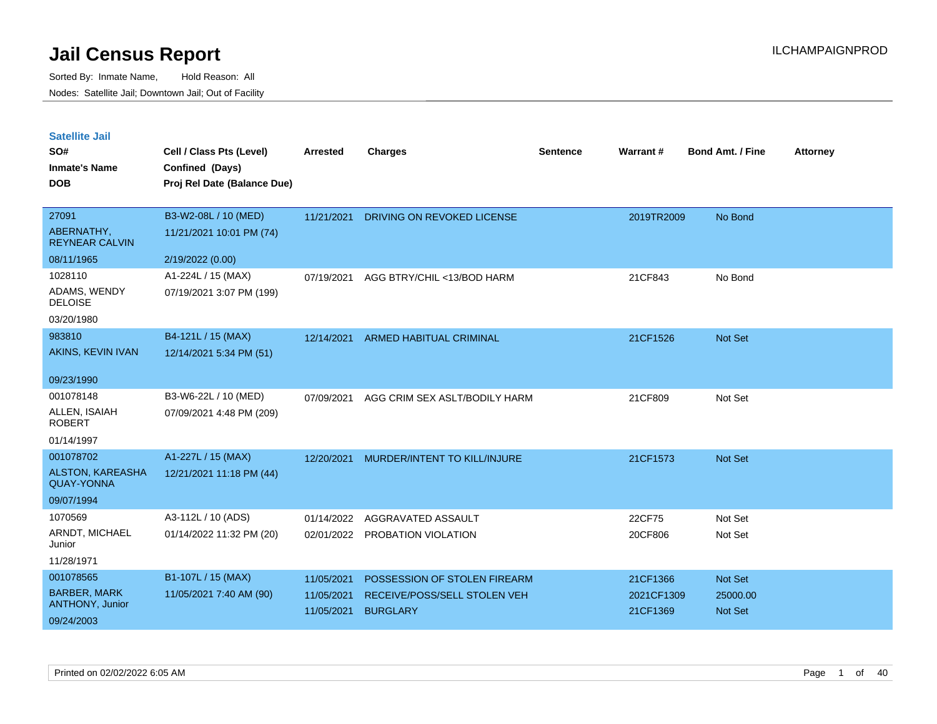| <b>Satellite Jail</b> |  |
|-----------------------|--|
|                       |  |

| SO#<br><b>Inmate's Name</b>                  | Cell / Class Pts (Level)<br>Confined (Days) | Arrested   | <b>Charges</b>                | <b>Sentence</b> | Warrant#   | <b>Bond Amt. / Fine</b> | <b>Attorney</b> |
|----------------------------------------------|---------------------------------------------|------------|-------------------------------|-----------------|------------|-------------------------|-----------------|
| <b>DOB</b>                                   | Proj Rel Date (Balance Due)                 |            |                               |                 |            |                         |                 |
| 27091                                        | B3-W2-08L / 10 (MED)                        | 11/21/2021 | DRIVING ON REVOKED LICENSE    |                 | 2019TR2009 | No Bond                 |                 |
| ABERNATHY,<br><b>REYNEAR CALVIN</b>          | 11/21/2021 10:01 PM (74)                    |            |                               |                 |            |                         |                 |
| 08/11/1965                                   | 2/19/2022 (0.00)                            |            |                               |                 |            |                         |                 |
| 1028110                                      | A1-224L / 15 (MAX)                          | 07/19/2021 | AGG BTRY/CHIL <13/BOD HARM    |                 | 21CF843    | No Bond                 |                 |
| ADAMS, WENDY<br><b>DELOISE</b>               | 07/19/2021 3:07 PM (199)                    |            |                               |                 |            |                         |                 |
| 03/20/1980                                   |                                             |            |                               |                 |            |                         |                 |
| 983810                                       | B4-121L / 15 (MAX)                          | 12/14/2021 | ARMED HABITUAL CRIMINAL       |                 | 21CF1526   | Not Set                 |                 |
| AKINS, KEVIN IVAN                            | 12/14/2021 5:34 PM (51)                     |            |                               |                 |            |                         |                 |
| 09/23/1990                                   |                                             |            |                               |                 |            |                         |                 |
| 001078148                                    | B3-W6-22L / 10 (MED)                        | 07/09/2021 | AGG CRIM SEX ASLT/BODILY HARM |                 | 21CF809    | Not Set                 |                 |
| ALLEN, ISAIAH<br><b>ROBERT</b>               | 07/09/2021 4:48 PM (209)                    |            |                               |                 |            |                         |                 |
| 01/14/1997                                   |                                             |            |                               |                 |            |                         |                 |
| 001078702                                    | A1-227L / 15 (MAX)                          | 12/20/2021 | MURDER/INTENT TO KILL/INJURE  |                 | 21CF1573   | Not Set                 |                 |
| <b>ALSTON, KAREASHA</b><br><b>QUAY-YONNA</b> | 12/21/2021 11:18 PM (44)                    |            |                               |                 |            |                         |                 |
| 09/07/1994                                   |                                             |            |                               |                 |            |                         |                 |
| 1070569                                      | A3-112L / 10 (ADS)                          | 01/14/2022 | AGGRAVATED ASSAULT            |                 | 22CF75     | Not Set                 |                 |
| ARNDT, MICHAEL<br>Junior                     | 01/14/2022 11:32 PM (20)                    | 02/01/2022 | PROBATION VIOLATION           |                 | 20CF806    | Not Set                 |                 |
| 11/28/1971                                   |                                             |            |                               |                 |            |                         |                 |
| 001078565                                    | B1-107L / 15 (MAX)                          | 11/05/2021 | POSSESSION OF STOLEN FIREARM  |                 | 21CF1366   | Not Set                 |                 |
| <b>BARBER, MARK</b>                          | 11/05/2021 7:40 AM (90)                     | 11/05/2021 | RECEIVE/POSS/SELL STOLEN VEH  |                 | 2021CF1309 | 25000.00                |                 |
| ANTHONY, Junior                              |                                             | 11/05/2021 | <b>BURGLARY</b>               |                 | 21CF1369   | <b>Not Set</b>          |                 |
| 09/24/2003                                   |                                             |            |                               |                 |            |                         |                 |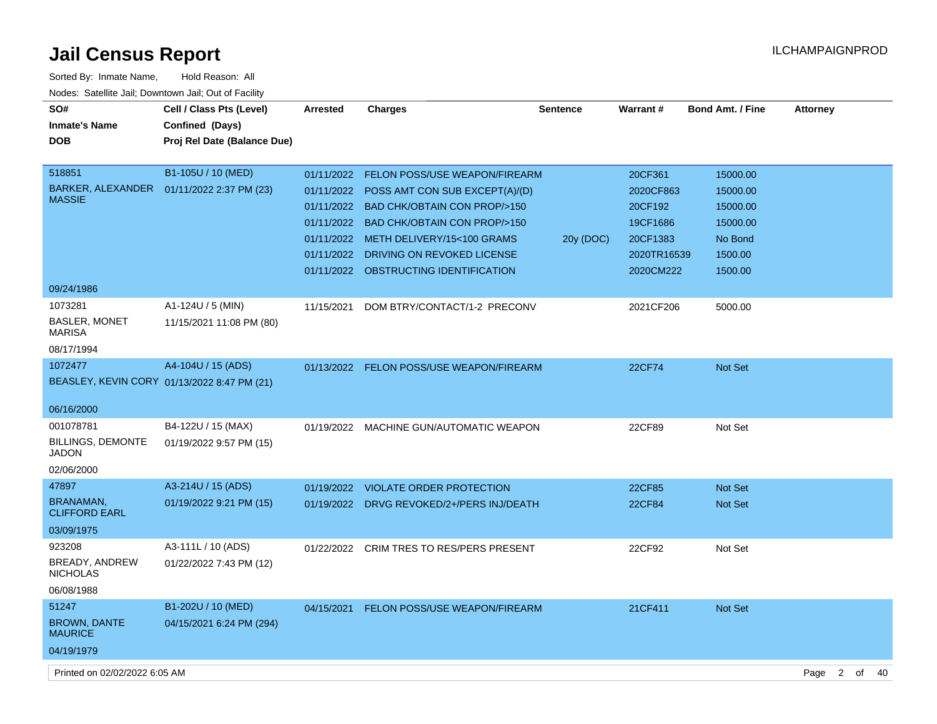| Sorted By: Inmate Name,                               | Hold Reason: All                            |                 |                                           |                 |                 |                         |                 |
|-------------------------------------------------------|---------------------------------------------|-----------------|-------------------------------------------|-----------------|-----------------|-------------------------|-----------------|
| Nodes: Satellite Jail; Downtown Jail; Out of Facility |                                             |                 |                                           |                 |                 |                         |                 |
| SO#                                                   | Cell / Class Pts (Level)                    | <b>Arrested</b> | <b>Charges</b>                            | <b>Sentence</b> | <b>Warrant#</b> | <b>Bond Amt. / Fine</b> | <b>Attorney</b> |
| <b>Inmate's Name</b>                                  | Confined (Days)                             |                 |                                           |                 |                 |                         |                 |
| <b>DOB</b>                                            | Proj Rel Date (Balance Due)                 |                 |                                           |                 |                 |                         |                 |
|                                                       |                                             |                 |                                           |                 |                 |                         |                 |
| 518851                                                | B1-105U / 10 (MED)                          |                 | 01/11/2022 FELON POSS/USE WEAPON/FIREARM  |                 | 20CF361         | 15000.00                |                 |
|                                                       | BARKER, ALEXANDER  01/11/2022 2:37 PM (23)  | 01/11/2022      | POSS AMT CON SUB EXCEPT(A)/(D)            |                 | 2020CF863       | 15000.00                |                 |
| <b>MASSIE</b>                                         |                                             | 01/11/2022      | <b>BAD CHK/OBTAIN CON PROP/&gt;150</b>    |                 | 20CF192         | 15000.00                |                 |
|                                                       |                                             |                 | 01/11/2022 BAD CHK/OBTAIN CON PROP/>150   |                 | 19CF1686        | 15000.00                |                 |
|                                                       |                                             | 01/11/2022      | METH DELIVERY/15<100 GRAMS                | 20y (DOC)       | 20CF1383        | No Bond                 |                 |
|                                                       |                                             | 01/11/2022      | DRIVING ON REVOKED LICENSE                |                 | 2020TR16539     | 1500.00                 |                 |
|                                                       |                                             |                 | 01/11/2022 OBSTRUCTING IDENTIFICATION     |                 | 2020CM222       | 1500.00                 |                 |
| 09/24/1986                                            |                                             |                 |                                           |                 |                 |                         |                 |
| 1073281                                               | A1-124U / 5 (MIN)                           | 11/15/2021      | DOM BTRY/CONTACT/1-2 PRECONV              |                 | 2021CF206       | 5000.00                 |                 |
| <b>BASLER, MONET</b>                                  | 11/15/2021 11:08 PM (80)                    |                 |                                           |                 |                 |                         |                 |
| <b>MARISA</b>                                         |                                             |                 |                                           |                 |                 |                         |                 |
| 08/17/1994                                            |                                             |                 |                                           |                 |                 |                         |                 |
| 1072477                                               | A4-104U / 15 (ADS)                          |                 | 01/13/2022 FELON POSS/USE WEAPON/FIREARM  |                 | 22CF74          | <b>Not Set</b>          |                 |
|                                                       | BEASLEY, KEVIN CORY 01/13/2022 8:47 PM (21) |                 |                                           |                 |                 |                         |                 |
| 06/16/2000                                            |                                             |                 |                                           |                 |                 |                         |                 |
| 001078781                                             | B4-122U / 15 (MAX)                          |                 |                                           |                 | 22CF89          | Not Set                 |                 |
| <b>BILLINGS, DEMONTE</b>                              | 01/19/2022 9:57 PM (15)                     | 01/19/2022      | MACHINE GUN/AUTOMATIC WEAPON              |                 |                 |                         |                 |
| <b>JADON</b>                                          |                                             |                 |                                           |                 |                 |                         |                 |
| 02/06/2000                                            |                                             |                 |                                           |                 |                 |                         |                 |
| 47897                                                 | A3-214U / 15 (ADS)                          | 01/19/2022      | <b>VIOLATE ORDER PROTECTION</b>           |                 | 22CF85          | <b>Not Set</b>          |                 |
| <b>BRANAMAN,</b>                                      | 01/19/2022 9:21 PM (15)                     |                 | 01/19/2022 DRVG REVOKED/2+/PERS INJ/DEATH |                 | 22CF84          | <b>Not Set</b>          |                 |
| <b>CLIFFORD EARL</b>                                  |                                             |                 |                                           |                 |                 |                         |                 |
| 03/09/1975                                            |                                             |                 |                                           |                 |                 |                         |                 |
| 923208                                                | A3-111L / 10 (ADS)                          | 01/22/2022      | <b>CRIM TRES TO RES/PERS PRESENT</b>      |                 | 22CF92          | Not Set                 |                 |
| BREADY, ANDREW                                        | 01/22/2022 7:43 PM (12)                     |                 |                                           |                 |                 |                         |                 |
| <b>NICHOLAS</b>                                       |                                             |                 |                                           |                 |                 |                         |                 |
| 06/08/1988                                            |                                             |                 |                                           |                 |                 |                         |                 |
| 51247                                                 | B1-202U / 10 (MED)                          | 04/15/2021      | <b>FELON POSS/USE WEAPON/FIREARM</b>      |                 | 21CF411         | <b>Not Set</b>          |                 |
| <b>BROWN, DANTE</b><br><b>MAURICE</b>                 | 04/15/2021 6:24 PM (294)                    |                 |                                           |                 |                 |                         |                 |
| 04/19/1979                                            |                                             |                 |                                           |                 |                 |                         |                 |
|                                                       |                                             |                 |                                           |                 |                 |                         |                 |

Printed on 02/02/2022 6:05 AM Page 2 of 40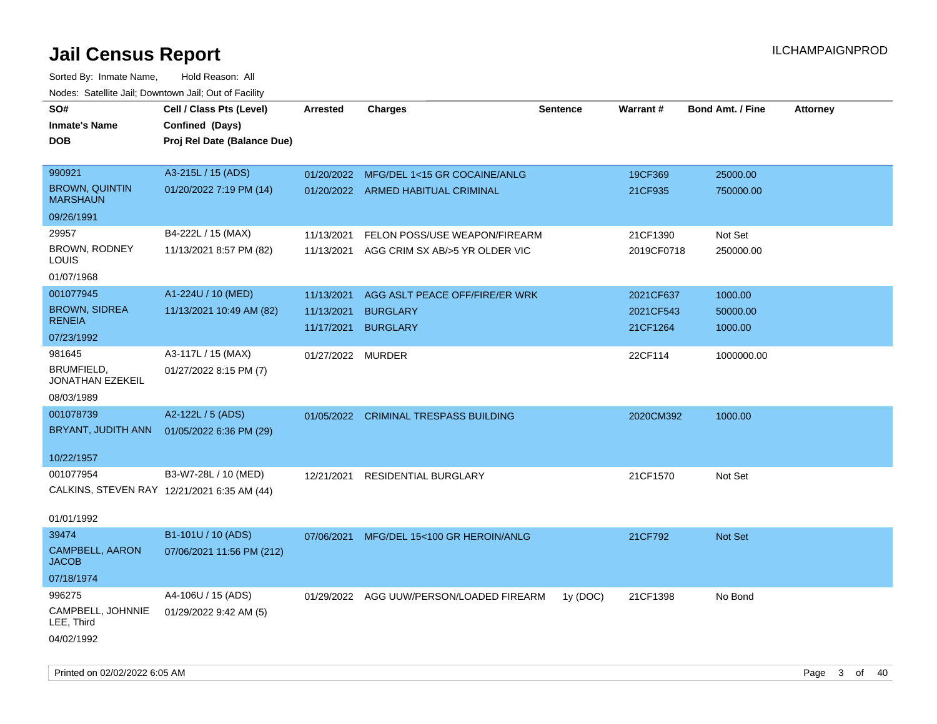| SO#                                         | Cell / Class Pts (Level)    | Arrested          | <b>Charges</b>                           | <b>Sentence</b> | Warrant#   | <b>Bond Amt. / Fine</b> | <b>Attorney</b> |
|---------------------------------------------|-----------------------------|-------------------|------------------------------------------|-----------------|------------|-------------------------|-----------------|
| <b>Inmate's Name</b>                        | Confined (Days)             |                   |                                          |                 |            |                         |                 |
| <b>DOB</b>                                  | Proj Rel Date (Balance Due) |                   |                                          |                 |            |                         |                 |
|                                             |                             |                   |                                          |                 |            |                         |                 |
| 990921                                      | A3-215L / 15 (ADS)          | 01/20/2022        | MFG/DEL 1<15 GR COCAINE/ANLG             |                 | 19CF369    | 25000.00                |                 |
| <b>BROWN, QUINTIN</b><br><b>MARSHAUN</b>    | 01/20/2022 7:19 PM (14)     |                   | 01/20/2022 ARMED HABITUAL CRIMINAL       |                 | 21CF935    | 750000.00               |                 |
| 09/26/1991                                  |                             |                   |                                          |                 |            |                         |                 |
| 29957                                       | B4-222L / 15 (MAX)          | 11/13/2021        | FELON POSS/USE WEAPON/FIREARM            |                 | 21CF1390   | Not Set                 |                 |
| BROWN, RODNEY<br>LOUIS                      | 11/13/2021 8:57 PM (82)     | 11/13/2021        | AGG CRIM SX AB/>5 YR OLDER VIC           |                 | 2019CF0718 | 250000.00               |                 |
| 01/07/1968                                  |                             |                   |                                          |                 |            |                         |                 |
| 001077945                                   | A1-224U / 10 (MED)          | 11/13/2021        | AGG ASLT PEACE OFF/FIRE/ER WRK           |                 | 2021CF637  | 1000.00                 |                 |
| <b>BROWN, SIDREA</b>                        | 11/13/2021 10:49 AM (82)    | 11/13/2021        | <b>BURGLARY</b>                          |                 | 2021CF543  | 50000.00                |                 |
| <b>RENEIA</b>                               |                             | 11/17/2021        | <b>BURGLARY</b>                          |                 | 21CF1264   | 1000.00                 |                 |
| 07/23/1992                                  |                             |                   |                                          |                 |            |                         |                 |
| 981645                                      | A3-117L / 15 (MAX)          | 01/27/2022 MURDER |                                          |                 | 22CF114    | 1000000.00              |                 |
| BRUMFIELD,<br>JONATHAN EZEKEIL              | 01/27/2022 8:15 PM (7)      |                   |                                          |                 |            |                         |                 |
| 08/03/1989                                  |                             |                   |                                          |                 |            |                         |                 |
| 001078739                                   | A2-122L / 5 (ADS)           |                   | 01/05/2022 CRIMINAL TRESPASS BUILDING    |                 | 2020CM392  | 1000.00                 |                 |
| BRYANT, JUDITH ANN                          | 01/05/2022 6:36 PM (29)     |                   |                                          |                 |            |                         |                 |
|                                             |                             |                   |                                          |                 |            |                         |                 |
| 10/22/1957                                  |                             |                   |                                          |                 |            |                         |                 |
| 001077954                                   | B3-W7-28L / 10 (MED)        | 12/21/2021        | <b>RESIDENTIAL BURGLARY</b>              |                 | 21CF1570   | Not Set                 |                 |
| CALKINS, STEVEN RAY 12/21/2021 6:35 AM (44) |                             |                   |                                          |                 |            |                         |                 |
|                                             |                             |                   |                                          |                 |            |                         |                 |
| 01/01/1992                                  |                             |                   |                                          |                 |            |                         |                 |
| 39474                                       | B1-101U / 10 (ADS)          | 07/06/2021        | MFG/DEL 15<100 GR HEROIN/ANLG            |                 | 21CF792    | <b>Not Set</b>          |                 |
| <b>CAMPBELL, AARON</b><br><b>JACOB</b>      | 07/06/2021 11:56 PM (212)   |                   |                                          |                 |            |                         |                 |
| 07/18/1974                                  |                             |                   |                                          |                 |            |                         |                 |
| 996275                                      | A4-106U / 15 (ADS)          |                   | 01/29/2022 AGG UUW/PERSON/LOADED FIREARM | 1y (DOC)        | 21CF1398   | No Bond                 |                 |
| CAMPBELL, JOHNNIE<br>LEE, Third             | 01/29/2022 9:42 AM (5)      |                   |                                          |                 |            |                         |                 |
| 04/02/1992                                  |                             |                   |                                          |                 |            |                         |                 |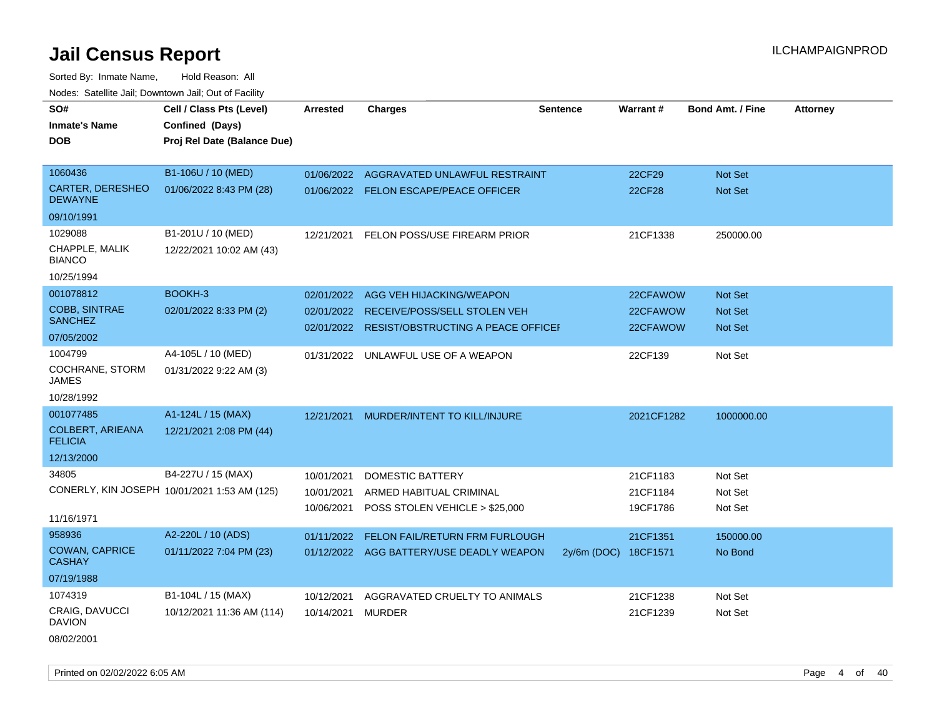Sorted By: Inmate Name, Hold Reason: All

| Nodes: Satellite Jail; Downtown Jail; Out of Facility |                                              |                 |                                               |                 |               |                         |                 |
|-------------------------------------------------------|----------------------------------------------|-----------------|-----------------------------------------------|-----------------|---------------|-------------------------|-----------------|
| SO#                                                   | Cell / Class Pts (Level)                     | <b>Arrested</b> | Charges                                       | <b>Sentence</b> | Warrant#      | <b>Bond Amt. / Fine</b> | <b>Attorney</b> |
| <b>Inmate's Name</b>                                  | Confined (Days)                              |                 |                                               |                 |               |                         |                 |
| <b>DOB</b>                                            | Proj Rel Date (Balance Due)                  |                 |                                               |                 |               |                         |                 |
|                                                       |                                              |                 |                                               |                 |               |                         |                 |
| 1060436                                               | B1-106U / 10 (MED)                           |                 | 01/06/2022 AGGRAVATED UNLAWFUL RESTRAINT      |                 | 22CF29        | Not Set                 |                 |
| <b>CARTER, DERESHEO</b><br><b>DEWAYNE</b>             | 01/06/2022 8:43 PM (28)                      |                 | 01/06/2022 FELON ESCAPE/PEACE OFFICER         |                 | <b>22CF28</b> | Not Set                 |                 |
| 09/10/1991                                            |                                              |                 |                                               |                 |               |                         |                 |
| 1029088                                               | B1-201U / 10 (MED)                           |                 | 12/21/2021 FELON POSS/USE FIREARM PRIOR       |                 | 21CF1338      | 250000.00               |                 |
| CHAPPLE, MALIK<br><b>BIANCO</b>                       | 12/22/2021 10:02 AM (43)                     |                 |                                               |                 |               |                         |                 |
| 10/25/1994                                            |                                              |                 |                                               |                 |               |                         |                 |
| 001078812                                             | BOOKH-3                                      | 02/01/2022      | AGG VEH HIJACKING/WEAPON                      |                 | 22CFAWOW      | Not Set                 |                 |
| COBB, SINTRAE                                         | 02/01/2022 8:33 PM (2)                       | 02/01/2022      | RECEIVE/POSS/SELL STOLEN VEH                  |                 | 22CFAWOW      | <b>Not Set</b>          |                 |
| <b>SANCHEZ</b>                                        |                                              |                 | 02/01/2022 RESIST/OBSTRUCTING A PEACE OFFICEL |                 | 22CFAWOW      | Not Set                 |                 |
| 07/05/2002                                            |                                              |                 |                                               |                 |               |                         |                 |
| 1004799                                               | A4-105L / 10 (MED)                           | 01/31/2022      | UNLAWFUL USE OF A WEAPON                      |                 | 22CF139       | Not Set                 |                 |
| COCHRANE, STORM<br><b>JAMES</b>                       | 01/31/2022 9:22 AM (3)                       |                 |                                               |                 |               |                         |                 |
| 10/28/1992                                            |                                              |                 |                                               |                 |               |                         |                 |
| 001077485                                             | A1-124L / 15 (MAX)                           | 12/21/2021      | MURDER/INTENT TO KILL/INJURE                  |                 | 2021CF1282    | 1000000.00              |                 |
| <b>COLBERT, ARIEANA</b><br><b>FELICIA</b>             | 12/21/2021 2:08 PM (44)                      |                 |                                               |                 |               |                         |                 |
| 12/13/2000                                            |                                              |                 |                                               |                 |               |                         |                 |
| 34805                                                 | B4-227U / 15 (MAX)                           | 10/01/2021      | DOMESTIC BATTERY                              |                 | 21CF1183      | Not Set                 |                 |
|                                                       | CONERLY, KIN JOSEPH 10/01/2021 1:53 AM (125) | 10/01/2021      | ARMED HABITUAL CRIMINAL                       |                 | 21CF1184      | Not Set                 |                 |
|                                                       |                                              | 10/06/2021      | POSS STOLEN VEHICLE > \$25,000                |                 | 19CF1786      | Not Set                 |                 |
| 11/16/1971                                            |                                              |                 |                                               |                 |               |                         |                 |
| 958936                                                | A2-220L / 10 (ADS)                           | 01/11/2022      | FELON FAIL/RETURN FRM FURLOUGH                |                 | 21CF1351      | 150000.00               |                 |
| <b>COWAN, CAPRICE</b><br><b>CASHAY</b>                | 01/11/2022 7:04 PM (23)                      |                 | 01/12/2022 AGG BATTERY/USE DEADLY WEAPON      | $2y/6m$ (DOC)   | 18CF1571      | No Bond                 |                 |
| 07/19/1988                                            |                                              |                 |                                               |                 |               |                         |                 |
| 1074319                                               | B1-104L / 15 (MAX)                           | 10/12/2021      | AGGRAVATED CRUELTY TO ANIMALS                 |                 | 21CF1238      | Not Set                 |                 |
| CRAIG, DAVUCCI<br><b>DAVION</b>                       | 10/12/2021 11:36 AM (114)                    | 10/14/2021      | <b>MURDER</b>                                 |                 | 21CF1239      | Not Set                 |                 |
|                                                       |                                              |                 |                                               |                 |               |                         |                 |

08/02/2001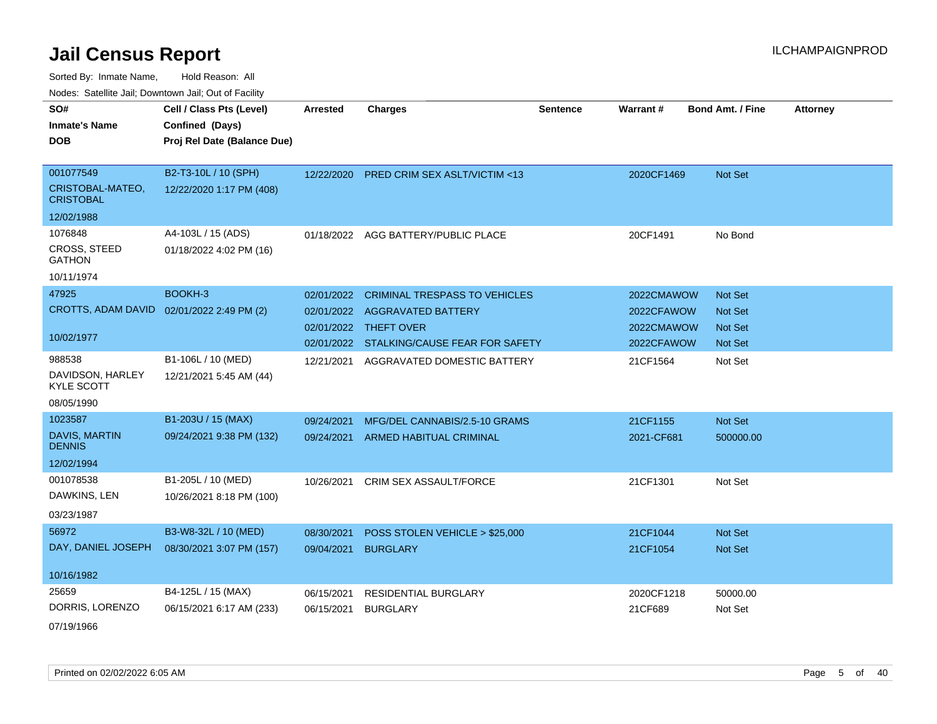Sorted By: Inmate Name, Hold Reason: All Nodes: Satellite Jail; Downtown Jail; Out of Facility

| SO#                                  | Cell / Class Pts (Level)    | <b>Arrested</b> | <b>Charges</b>                            | <b>Sentence</b> | <b>Warrant#</b> | <b>Bond Amt. / Fine</b> | <b>Attorney</b> |
|--------------------------------------|-----------------------------|-----------------|-------------------------------------------|-----------------|-----------------|-------------------------|-----------------|
|                                      |                             |                 |                                           |                 |                 |                         |                 |
| <b>Inmate's Name</b>                 | Confined (Days)             |                 |                                           |                 |                 |                         |                 |
| <b>DOB</b>                           | Proj Rel Date (Balance Due) |                 |                                           |                 |                 |                         |                 |
|                                      |                             |                 |                                           |                 |                 |                         |                 |
| 001077549                            | B2-T3-10L / 10 (SPH)        |                 | 12/22/2020 PRED CRIM SEX ASLT/VICTIM <13  |                 | 2020CF1469      | Not Set                 |                 |
| CRISTOBAL-MATEO,<br><b>CRISTOBAL</b> | 12/22/2020 1:17 PM (408)    |                 |                                           |                 |                 |                         |                 |
| 12/02/1988                           |                             |                 |                                           |                 |                 |                         |                 |
| 1076848                              | A4-103L / 15 (ADS)          | 01/18/2022      | AGG BATTERY/PUBLIC PLACE                  |                 | 20CF1491        | No Bond                 |                 |
| <b>CROSS, STEED</b><br><b>GATHON</b> | 01/18/2022 4:02 PM (16)     |                 |                                           |                 |                 |                         |                 |
| 10/11/1974                           |                             |                 |                                           |                 |                 |                         |                 |
| 47925                                | BOOKH-3                     | 02/01/2022      | <b>CRIMINAL TRESPASS TO VEHICLES</b>      |                 | 2022CMAWOW      | Not Set                 |                 |
| <b>CROTTS, ADAM DAVID</b>            | 02/01/2022 2:49 PM (2)      | 02/01/2022      | <b>AGGRAVATED BATTERY</b>                 |                 | 2022CFAWOW      | <b>Not Set</b>          |                 |
|                                      |                             | 02/01/2022      | THEFT OVER                                |                 | 2022CMAWOW      | <b>Not Set</b>          |                 |
| 10/02/1977                           |                             |                 | 02/01/2022 STALKING/CAUSE FEAR FOR SAFETY |                 | 2022CFAWOW      | <b>Not Set</b>          |                 |
| 988538                               | B1-106L / 10 (MED)          | 12/21/2021      | AGGRAVATED DOMESTIC BATTERY               |                 | 21CF1564        | Not Set                 |                 |
| DAVIDSON, HARLEY                     | 12/21/2021 5:45 AM (44)     |                 |                                           |                 |                 |                         |                 |
| <b>KYLE SCOTT</b>                    |                             |                 |                                           |                 |                 |                         |                 |
| 08/05/1990                           |                             |                 |                                           |                 |                 |                         |                 |
| 1023587                              | B1-203U / 15 (MAX)          | 09/24/2021      | MFG/DEL CANNABIS/2.5-10 GRAMS             |                 | 21CF1155        | Not Set                 |                 |
| DAVIS, MARTIN<br><b>DENNIS</b>       | 09/24/2021 9:38 PM (132)    | 09/24/2021      | ARMED HABITUAL CRIMINAL                   |                 | 2021-CF681      | 500000.00               |                 |
| 12/02/1994                           |                             |                 |                                           |                 |                 |                         |                 |
| 001078538                            |                             |                 |                                           |                 |                 |                         |                 |
|                                      | B1-205L / 10 (MED)          | 10/26/2021      | CRIM SEX ASSAULT/FORCE                    |                 | 21CF1301        | Not Set                 |                 |
| DAWKINS, LEN                         | 10/26/2021 8:18 PM (100)    |                 |                                           |                 |                 |                         |                 |
| 03/23/1987                           |                             |                 |                                           |                 |                 |                         |                 |
| 56972                                | B3-W8-32L / 10 (MED)        | 08/30/2021      | POSS STOLEN VEHICLE > \$25,000            |                 | 21CF1044        | Not Set                 |                 |
| DAY, DANIEL JOSEPH                   | 08/30/2021 3:07 PM (157)    | 09/04/2021      | <b>BURGLARY</b>                           |                 | 21CF1054        | Not Set                 |                 |
| 10/16/1982                           |                             |                 |                                           |                 |                 |                         |                 |
| 25659                                | B4-125L / 15 (MAX)          | 06/15/2021      | RESIDENTIAL BURGLARY                      |                 | 2020CF1218      | 50000.00                |                 |
| DORRIS, LORENZO                      | 06/15/2021 6:17 AM (233)    | 06/15/2021      | <b>BURGLARY</b>                           |                 | 21CF689         | Not Set                 |                 |
|                                      |                             |                 |                                           |                 |                 |                         |                 |

07/19/1966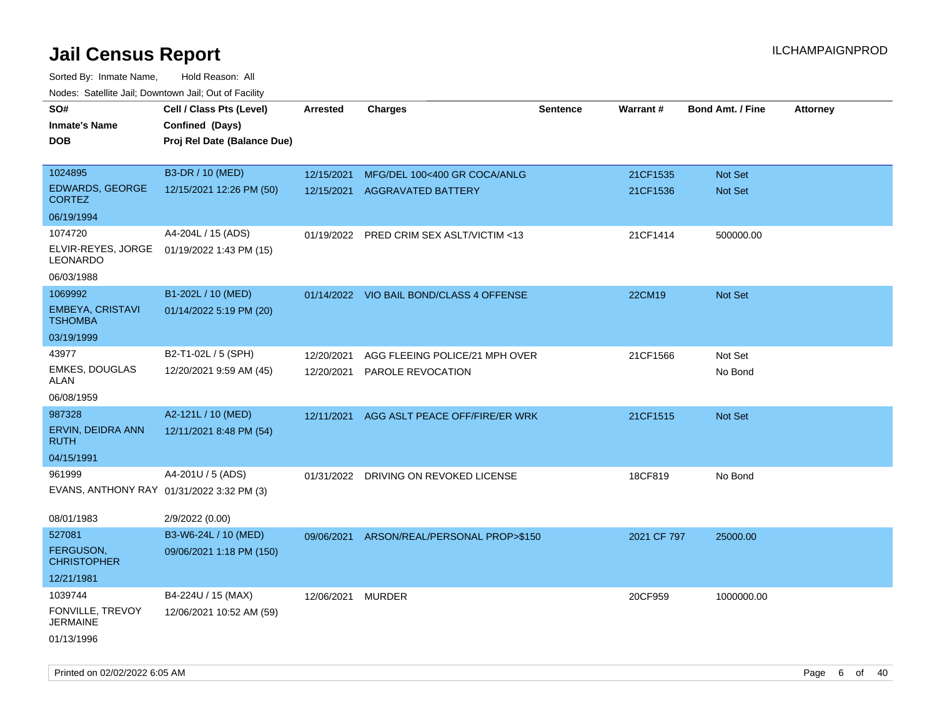| roaco. Catolino dall, Downtown dall, Out of Fability |                             |                 |                                          |                 |             |                         |                 |
|------------------------------------------------------|-----------------------------|-----------------|------------------------------------------|-----------------|-------------|-------------------------|-----------------|
| SO#                                                  | Cell / Class Pts (Level)    | <b>Arrested</b> | <b>Charges</b>                           | <b>Sentence</b> | Warrant#    | <b>Bond Amt. / Fine</b> | <b>Attorney</b> |
| <b>Inmate's Name</b>                                 | Confined (Days)             |                 |                                          |                 |             |                         |                 |
| <b>DOB</b>                                           | Proj Rel Date (Balance Due) |                 |                                          |                 |             |                         |                 |
|                                                      |                             |                 |                                          |                 |             |                         |                 |
| 1024895                                              | B3-DR / 10 (MED)            | 12/15/2021      | MFG/DEL 100<400 GR COCA/ANLG             |                 | 21CF1535    | Not Set                 |                 |
| EDWARDS, GEORGE<br><b>CORTEZ</b>                     | 12/15/2021 12:26 PM (50)    | 12/15/2021      | <b>AGGRAVATED BATTERY</b>                |                 | 21CF1536    | Not Set                 |                 |
| 06/19/1994                                           |                             |                 |                                          |                 |             |                         |                 |
| 1074720                                              | A4-204L / 15 (ADS)          | 01/19/2022      | PRED CRIM SEX ASLT/VICTIM <13            |                 | 21CF1414    | 500000.00               |                 |
| ELVIR-REYES, JORGE<br>LEONARDO                       | 01/19/2022 1:43 PM (15)     |                 |                                          |                 |             |                         |                 |
| 06/03/1988                                           |                             |                 |                                          |                 |             |                         |                 |
| 1069992                                              | B1-202L / 10 (MED)          |                 | 01/14/2022 VIO BAIL BOND/CLASS 4 OFFENSE |                 | 22CM19      | Not Set                 |                 |
| EMBEYA, CRISTAVI<br><b>TSHOMBA</b>                   | 01/14/2022 5:19 PM (20)     |                 |                                          |                 |             |                         |                 |
| 03/19/1999                                           |                             |                 |                                          |                 |             |                         |                 |
| 43977                                                | B2-T1-02L / 5 (SPH)         | 12/20/2021      | AGG FLEEING POLICE/21 MPH OVER           |                 | 21CF1566    | Not Set                 |                 |
| <b>EMKES, DOUGLAS</b><br>ALAN                        | 12/20/2021 9:59 AM (45)     | 12/20/2021      | PAROLE REVOCATION                        |                 |             | No Bond                 |                 |
| 06/08/1959                                           |                             |                 |                                          |                 |             |                         |                 |
| 987328                                               | A2-121L / 10 (MED)          | 12/11/2021      | AGG ASLT PEACE OFF/FIRE/ER WRK           |                 | 21CF1515    | <b>Not Set</b>          |                 |
| ERVIN, DEIDRA ANN<br><b>RUTH</b>                     | 12/11/2021 8:48 PM (54)     |                 |                                          |                 |             |                         |                 |
| 04/15/1991                                           |                             |                 |                                          |                 |             |                         |                 |
| 961999                                               | A4-201U / 5 (ADS)           | 01/31/2022      | DRIVING ON REVOKED LICENSE               |                 | 18CF819     | No Bond                 |                 |
| EVANS, ANTHONY RAY 01/31/2022 3:32 PM (3)            |                             |                 |                                          |                 |             |                         |                 |
| 08/01/1983                                           | 2/9/2022 (0.00)             |                 |                                          |                 |             |                         |                 |
| 527081                                               | B3-W6-24L / 10 (MED)        | 09/06/2021      | ARSON/REAL/PERSONAL PROP>\$150           |                 | 2021 CF 797 | 25000.00                |                 |
| <b>FERGUSON,</b><br><b>CHRISTOPHER</b>               | 09/06/2021 1:18 PM (150)    |                 |                                          |                 |             |                         |                 |
| 12/21/1981                                           |                             |                 |                                          |                 |             |                         |                 |
| 1039744                                              | B4-224U / 15 (MAX)          | 12/06/2021      | <b>MURDER</b>                            |                 | 20CF959     | 1000000.00              |                 |
| FONVILLE, TREVOY<br><b>JERMAINE</b>                  | 12/06/2021 10:52 AM (59)    |                 |                                          |                 |             |                         |                 |
| 01/13/1996                                           |                             |                 |                                          |                 |             |                         |                 |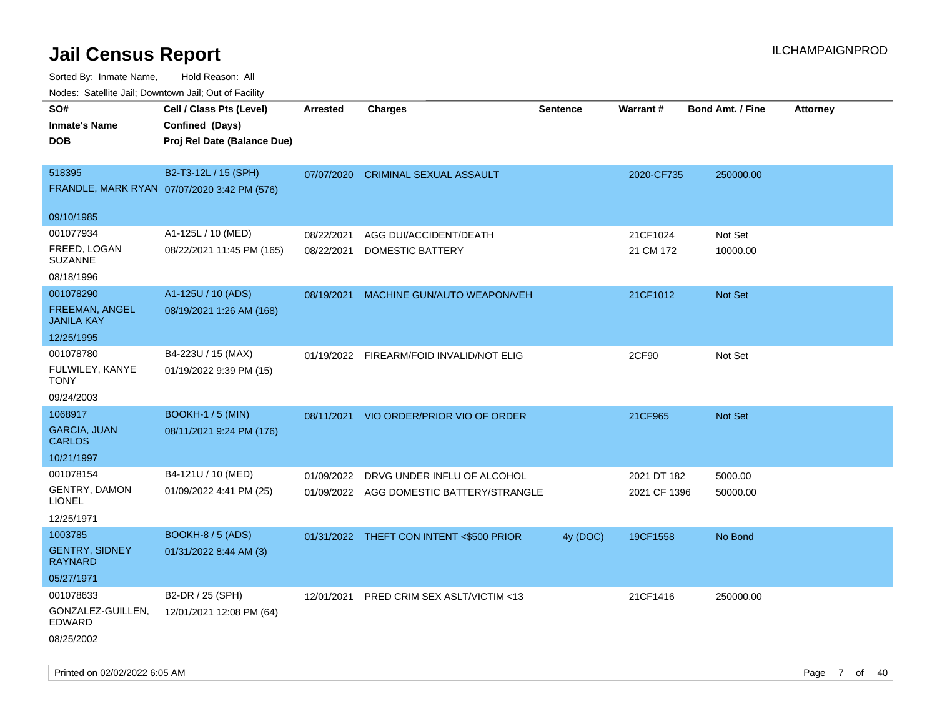| Nodes. Satellite Jali, Downtown Jali, Out of Facility |                                             |                 |                                          |                 |              |                         |                 |
|-------------------------------------------------------|---------------------------------------------|-----------------|------------------------------------------|-----------------|--------------|-------------------------|-----------------|
| SO#                                                   | Cell / Class Pts (Level)                    | <b>Arrested</b> | <b>Charges</b>                           | <b>Sentence</b> | Warrant#     | <b>Bond Amt. / Fine</b> | <b>Attorney</b> |
| <b>Inmate's Name</b>                                  | Confined (Days)                             |                 |                                          |                 |              |                         |                 |
| <b>DOB</b>                                            | Proj Rel Date (Balance Due)                 |                 |                                          |                 |              |                         |                 |
|                                                       |                                             |                 |                                          |                 |              |                         |                 |
| 518395                                                | B2-T3-12L / 15 (SPH)                        | 07/07/2020      | <b>CRIMINAL SEXUAL ASSAULT</b>           |                 | 2020-CF735   | 250000.00               |                 |
|                                                       | FRANDLE, MARK RYAN 07/07/2020 3:42 PM (576) |                 |                                          |                 |              |                         |                 |
| 09/10/1985                                            |                                             |                 |                                          |                 |              |                         |                 |
| 001077934                                             | A1-125L / 10 (MED)                          | 08/22/2021      | AGG DUI/ACCIDENT/DEATH                   |                 | 21CF1024     | Not Set                 |                 |
| FREED, LOGAN<br>SUZANNE                               | 08/22/2021 11:45 PM (165)                   | 08/22/2021      | DOMESTIC BATTERY                         |                 | 21 CM 172    | 10000.00                |                 |
| 08/18/1996                                            |                                             |                 |                                          |                 |              |                         |                 |
| 001078290                                             | A1-125U / 10 (ADS)                          | 08/19/2021      | MACHINE GUN/AUTO WEAPON/VEH              |                 | 21CF1012     | <b>Not Set</b>          |                 |
| <b>FREEMAN, ANGEL</b><br>JANILA KAY                   | 08/19/2021 1:26 AM (168)                    |                 |                                          |                 |              |                         |                 |
| 12/25/1995                                            |                                             |                 |                                          |                 |              |                         |                 |
| 001078780                                             | B4-223U / 15 (MAX)                          |                 | 01/19/2022 FIREARM/FOID INVALID/NOT ELIG |                 | 2CF90        | Not Set                 |                 |
| FULWILEY, KANYE<br>TONY                               | 01/19/2022 9:39 PM (15)                     |                 |                                          |                 |              |                         |                 |
| 09/24/2003                                            |                                             |                 |                                          |                 |              |                         |                 |
| 1068917                                               | <b>BOOKH-1 / 5 (MIN)</b>                    | 08/11/2021      | VIO ORDER/PRIOR VIO OF ORDER             |                 | 21CF965      | <b>Not Set</b>          |                 |
| GARCIA, JUAN<br>CARLOS                                | 08/11/2021 9:24 PM (176)                    |                 |                                          |                 |              |                         |                 |
| 10/21/1997                                            |                                             |                 |                                          |                 |              |                         |                 |
| 001078154                                             | B4-121U / 10 (MED)                          | 01/09/2022      | DRVG UNDER INFLU OF ALCOHOL              |                 | 2021 DT 182  | 5000.00                 |                 |
| <b>GENTRY, DAMON</b><br>LIONEL                        | 01/09/2022 4:41 PM (25)                     |                 | 01/09/2022 AGG DOMESTIC BATTERY/STRANGLE |                 | 2021 CF 1396 | 50000.00                |                 |
| 12/25/1971                                            |                                             |                 |                                          |                 |              |                         |                 |
| 1003785                                               | BOOKH-8 / 5 (ADS)                           |                 | 01/31/2022 THEFT CON INTENT <\$500 PRIOR | 4y (DOC)        | 19CF1558     | No Bond                 |                 |
| <b>GENTRY, SIDNEY</b><br>RAYNARD                      | 01/31/2022 8:44 AM (3)                      |                 |                                          |                 |              |                         |                 |
| 05/27/1971                                            |                                             |                 |                                          |                 |              |                         |                 |
| 001078633                                             | B2-DR / 25 (SPH)                            | 12/01/2021      | PRED CRIM SEX ASLT/VICTIM <13            |                 | 21CF1416     | 250000.00               |                 |
| GONZALEZ-GUILLEN,<br>EDWARD                           | 12/01/2021 12:08 PM (64)                    |                 |                                          |                 |              |                         |                 |
| 08/25/2002                                            |                                             |                 |                                          |                 |              |                         |                 |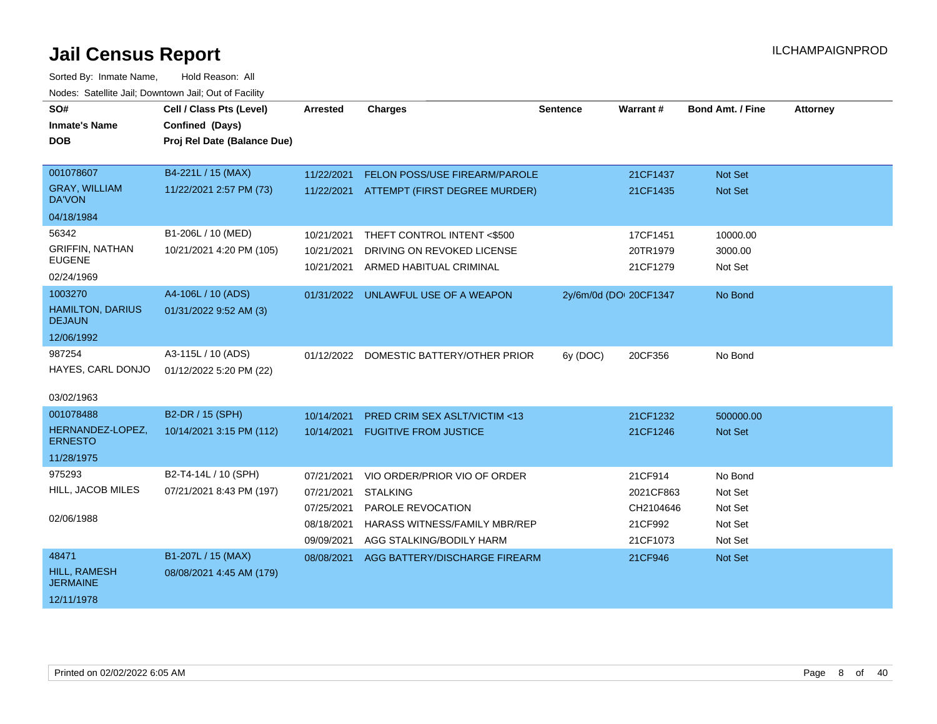| SO#                                      | Cell / Class Pts (Level)    | <b>Arrested</b> | <b>Charges</b>                           | <b>Sentence</b>        | Warrant#  | <b>Bond Amt. / Fine</b> | <b>Attorney</b> |
|------------------------------------------|-----------------------------|-----------------|------------------------------------------|------------------------|-----------|-------------------------|-----------------|
| <b>Inmate's Name</b>                     | Confined (Days)             |                 |                                          |                        |           |                         |                 |
| <b>DOB</b>                               | Proj Rel Date (Balance Due) |                 |                                          |                        |           |                         |                 |
|                                          |                             |                 |                                          |                        |           |                         |                 |
| 001078607                                | B4-221L / 15 (MAX)          | 11/22/2021      | FELON POSS/USE FIREARM/PAROLE            |                        | 21CF1437  | <b>Not Set</b>          |                 |
| <b>GRAY, WILLIAM</b><br><b>DA'VON</b>    | 11/22/2021 2:57 PM (73)     |                 | 11/22/2021 ATTEMPT (FIRST DEGREE MURDER) |                        | 21CF1435  | Not Set                 |                 |
| 04/18/1984                               |                             |                 |                                          |                        |           |                         |                 |
| 56342                                    | B1-206L / 10 (MED)          | 10/21/2021      | THEFT CONTROL INTENT <\$500              |                        | 17CF1451  | 10000.00                |                 |
| <b>GRIFFIN, NATHAN</b>                   | 10/21/2021 4:20 PM (105)    | 10/21/2021      | DRIVING ON REVOKED LICENSE               |                        | 20TR1979  | 3000.00                 |                 |
| <b>EUGENE</b>                            |                             | 10/21/2021      | ARMED HABITUAL CRIMINAL                  |                        | 21CF1279  | Not Set                 |                 |
| 02/24/1969                               |                             |                 |                                          |                        |           |                         |                 |
| 1003270                                  | A4-106L / 10 (ADS)          |                 | 01/31/2022 UNLAWFUL USE OF A WEAPON      | 2y/6m/0d (DOI 20CF1347 |           | No Bond                 |                 |
| <b>HAMILTON, DARIUS</b><br><b>DEJAUN</b> | 01/31/2022 9:52 AM (3)      |                 |                                          |                        |           |                         |                 |
| 12/06/1992                               |                             |                 |                                          |                        |           |                         |                 |
| 987254                                   | A3-115L / 10 (ADS)          |                 | 01/12/2022 DOMESTIC BATTERY/OTHER PRIOR  | 6y (DOC)               | 20CF356   | No Bond                 |                 |
| HAYES, CARL DONJO                        | 01/12/2022 5:20 PM (22)     |                 |                                          |                        |           |                         |                 |
|                                          |                             |                 |                                          |                        |           |                         |                 |
| 03/02/1963                               |                             |                 |                                          |                        |           |                         |                 |
| 001078488                                | B2-DR / 15 (SPH)            | 10/14/2021      | <b>PRED CRIM SEX ASLT/VICTIM &lt;13</b>  |                        | 21CF1232  | 500000.00               |                 |
| HERNANDEZ-LOPEZ,<br><b>ERNESTO</b>       | 10/14/2021 3:15 PM (112)    | 10/14/2021      | <b>FUGITIVE FROM JUSTICE</b>             |                        | 21CF1246  | <b>Not Set</b>          |                 |
| 11/28/1975                               |                             |                 |                                          |                        |           |                         |                 |
| 975293                                   | B2-T4-14L / 10 (SPH)        | 07/21/2021      | VIO ORDER/PRIOR VIO OF ORDER             |                        | 21CF914   | No Bond                 |                 |
| HILL, JACOB MILES                        | 07/21/2021 8:43 PM (197)    | 07/21/2021      | <b>STALKING</b>                          |                        | 2021CF863 | Not Set                 |                 |
|                                          |                             | 07/25/2021      | PAROLE REVOCATION                        |                        | CH2104646 | Not Set                 |                 |
| 02/06/1988                               |                             | 08/18/2021      | HARASS WITNESS/FAMILY MBR/REP            |                        | 21CF992   | Not Set                 |                 |
|                                          |                             | 09/09/2021      | AGG STALKING/BODILY HARM                 |                        | 21CF1073  | Not Set                 |                 |
| 48471                                    | B1-207L / 15 (MAX)          | 08/08/2021      | AGG BATTERY/DISCHARGE FIREARM            |                        | 21CF946   | Not Set                 |                 |
| <b>HILL, RAMESH</b><br><b>JERMAINE</b>   | 08/08/2021 4:45 AM (179)    |                 |                                          |                        |           |                         |                 |
| 12/11/1978                               |                             |                 |                                          |                        |           |                         |                 |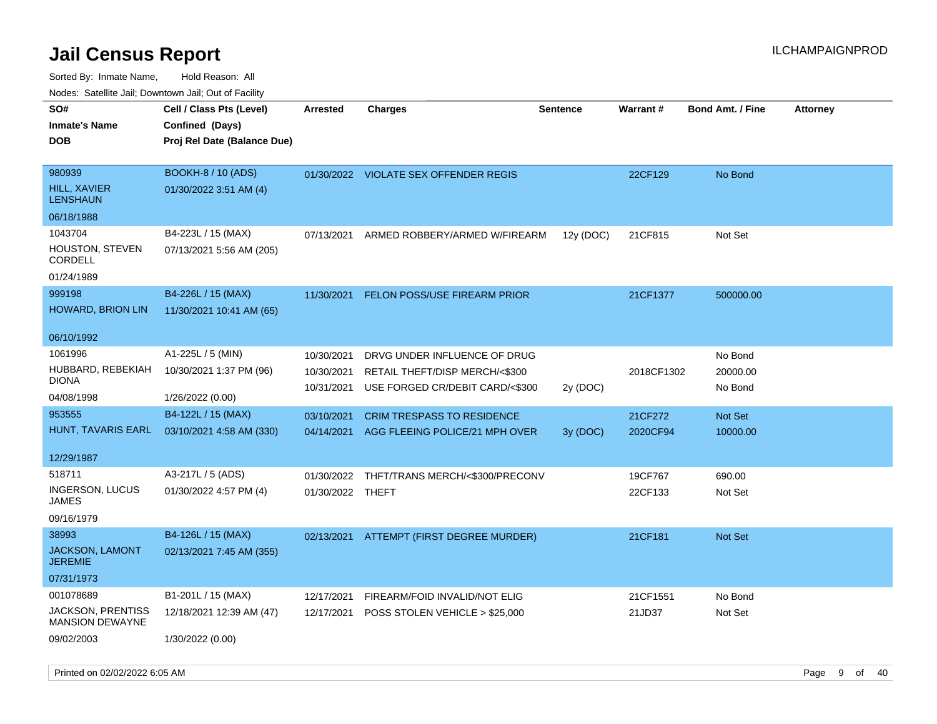| rougs. Calcing Jan, Downtown Jan, Out of Facility  |                             |                  |                                       |                 |            |                         |                 |
|----------------------------------------------------|-----------------------------|------------------|---------------------------------------|-----------------|------------|-------------------------|-----------------|
| SO#                                                | Cell / Class Pts (Level)    | <b>Arrested</b>  | <b>Charges</b>                        | <b>Sentence</b> | Warrant#   | <b>Bond Amt. / Fine</b> | <b>Attorney</b> |
| <b>Inmate's Name</b>                               | Confined (Days)             |                  |                                       |                 |            |                         |                 |
| <b>DOB</b>                                         | Proj Rel Date (Balance Due) |                  |                                       |                 |            |                         |                 |
|                                                    |                             |                  |                                       |                 |            |                         |                 |
| 980939                                             | BOOKH-8 / 10 (ADS)          |                  | 01/30/2022 VIOLATE SEX OFFENDER REGIS |                 | 22CF129    | No Bond                 |                 |
| <b>HILL, XAVIER</b><br><b>LENSHAUN</b>             | 01/30/2022 3:51 AM (4)      |                  |                                       |                 |            |                         |                 |
| 06/18/1988                                         |                             |                  |                                       |                 |            |                         |                 |
| 1043704                                            | B4-223L / 15 (MAX)          | 07/13/2021       | ARMED ROBBERY/ARMED W/FIREARM         | 12y (DOC)       | 21CF815    | Not Set                 |                 |
| HOUSTON, STEVEN<br>CORDELL                         | 07/13/2021 5:56 AM (205)    |                  |                                       |                 |            |                         |                 |
| 01/24/1989                                         |                             |                  |                                       |                 |            |                         |                 |
| 999198                                             | B4-226L / 15 (MAX)          | 11/30/2021       | <b>FELON POSS/USE FIREARM PRIOR</b>   |                 | 21CF1377   | 500000.00               |                 |
| HOWARD, BRION LIN                                  | 11/30/2021 10:41 AM (65)    |                  |                                       |                 |            |                         |                 |
|                                                    |                             |                  |                                       |                 |            |                         |                 |
| 06/10/1992                                         |                             |                  |                                       |                 |            |                         |                 |
| 1061996                                            | A1-225L / 5 (MIN)           | 10/30/2021       | DRVG UNDER INFLUENCE OF DRUG          |                 |            | No Bond                 |                 |
| HUBBARD, REBEKIAH                                  | 10/30/2021 1:37 PM (96)     | 10/30/2021       | RETAIL THEFT/DISP MERCH/<\$300        |                 | 2018CF1302 | 20000.00                |                 |
| <b>DIONA</b>                                       |                             | 10/31/2021       | USE FORGED CR/DEBIT CARD/<\$300       | 2y (DOC)        |            | No Bond                 |                 |
| 04/08/1998                                         | 1/26/2022 (0.00)            |                  |                                       |                 |            |                         |                 |
| 953555                                             | B4-122L / 15 (MAX)          | 03/10/2021       | <b>CRIM TRESPASS TO RESIDENCE</b>     |                 | 21CF272    | Not Set                 |                 |
| HUNT, TAVARIS EARL                                 | 03/10/2021 4:58 AM (330)    | 04/14/2021       | AGG FLEEING POLICE/21 MPH OVER        | 3y (DOC)        | 2020CF94   | 10000.00                |                 |
| 12/29/1987                                         |                             |                  |                                       |                 |            |                         |                 |
| 518711                                             | A3-217L / 5 (ADS)           | 01/30/2022       | THFT/TRANS MERCH/<\$300/PRECONV       |                 | 19CF767    | 690.00                  |                 |
| INGERSON, LUCUS<br><b>JAMES</b>                    | 01/30/2022 4:57 PM (4)      | 01/30/2022 THEFT |                                       |                 | 22CF133    | Not Set                 |                 |
| 09/16/1979                                         |                             |                  |                                       |                 |            |                         |                 |
| 38993                                              | B4-126L / 15 (MAX)          | 02/13/2021       | ATTEMPT (FIRST DEGREE MURDER)         |                 | 21CF181    | <b>Not Set</b>          |                 |
| <b>JACKSON, LAMONT</b><br><b>JEREMIE</b>           | 02/13/2021 7:45 AM (355)    |                  |                                       |                 |            |                         |                 |
| 07/31/1973                                         |                             |                  |                                       |                 |            |                         |                 |
| 001078689                                          | B1-201L / 15 (MAX)          | 12/17/2021       | FIREARM/FOID INVALID/NOT ELIG         |                 | 21CF1551   | No Bond                 |                 |
| <b>JACKSON, PRENTISS</b><br><b>MANSION DEWAYNE</b> | 12/18/2021 12:39 AM (47)    | 12/17/2021       | POSS STOLEN VEHICLE > \$25,000        |                 | 21JD37     | Not Set                 |                 |
| 09/02/2003                                         | 1/30/2022 (0.00)            |                  |                                       |                 |            |                         |                 |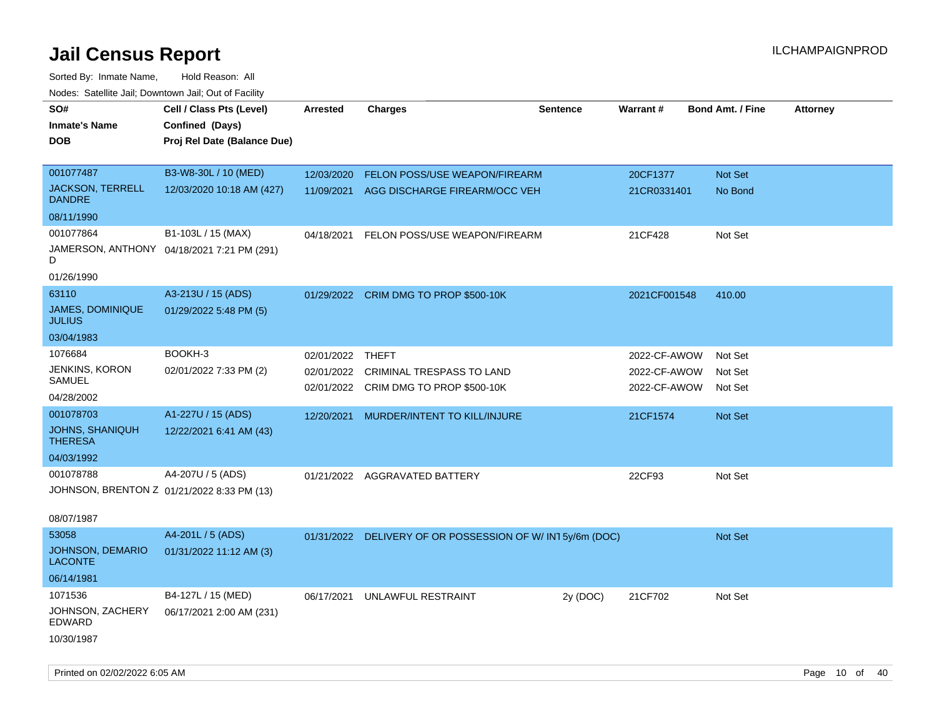| ivuuto. Galeinle Jan, Downlown Jan, Oul of Facility |                                            |                 |                                                          |                 |              |                         |                 |
|-----------------------------------------------------|--------------------------------------------|-----------------|----------------------------------------------------------|-----------------|--------------|-------------------------|-----------------|
| SO#                                                 | Cell / Class Pts (Level)                   | <b>Arrested</b> | Charges                                                  | <b>Sentence</b> | Warrant#     | <b>Bond Amt. / Fine</b> | <b>Attorney</b> |
| <b>Inmate's Name</b>                                | Confined (Days)                            |                 |                                                          |                 |              |                         |                 |
| <b>DOB</b>                                          | Proj Rel Date (Balance Due)                |                 |                                                          |                 |              |                         |                 |
|                                                     |                                            |                 |                                                          |                 |              |                         |                 |
| 001077487                                           | B3-W8-30L / 10 (MED)                       | 12/03/2020      | FELON POSS/USE WEAPON/FIREARM                            |                 | 20CF1377     | Not Set                 |                 |
| <b>JACKSON, TERRELL</b><br><b>DANDRE</b>            | 12/03/2020 10:18 AM (427)                  | 11/09/2021      | AGG DISCHARGE FIREARM/OCC VEH                            |                 | 21CR0331401  | No Bond                 |                 |
| 08/11/1990                                          |                                            |                 |                                                          |                 |              |                         |                 |
| 001077864                                           | B1-103L / 15 (MAX)                         | 04/18/2021      | FELON POSS/USE WEAPON/FIREARM                            |                 | 21CF428      | Not Set                 |                 |
| D                                                   | JAMERSON, ANTHONY 04/18/2021 7:21 PM (291) |                 |                                                          |                 |              |                         |                 |
| 01/26/1990                                          |                                            |                 |                                                          |                 |              |                         |                 |
| 63110                                               | A3-213U / 15 (ADS)                         | 01/29/2022      | CRIM DMG TO PROP \$500-10K                               |                 | 2021CF001548 | 410.00                  |                 |
| JAMES, DOMINIQUE<br><b>JULIUS</b>                   | 01/29/2022 5:48 PM (5)                     |                 |                                                          |                 |              |                         |                 |
| 03/04/1983                                          |                                            |                 |                                                          |                 |              |                         |                 |
| 1076684                                             | BOOKH-3                                    | 02/01/2022      | THEFT                                                    |                 | 2022-CF-AWOW | Not Set                 |                 |
| JENKINS, KORON                                      | 02/01/2022 7:33 PM (2)                     | 02/01/2022      | <b>CRIMINAL TRESPASS TO LAND</b>                         |                 | 2022-CF-AWOW | Not Set                 |                 |
| <b>SAMUEL</b>                                       |                                            |                 | 02/01/2022 CRIM DMG TO PROP \$500-10K                    |                 | 2022-CF-AWOW | Not Set                 |                 |
| 04/28/2002                                          |                                            |                 |                                                          |                 |              |                         |                 |
| 001078703                                           | A1-227U / 15 (ADS)                         | 12/20/2021      | MURDER/INTENT TO KILL/INJURE                             |                 | 21CF1574     | Not Set                 |                 |
| <b>JOHNS, SHANIQUH</b><br><b>THERESA</b>            | 12/22/2021 6:41 AM (43)                    |                 |                                                          |                 |              |                         |                 |
| 04/03/1992                                          |                                            |                 |                                                          |                 |              |                         |                 |
| 001078788                                           | A4-207U / 5 (ADS)                          |                 | 01/21/2022 AGGRAVATED BATTERY                            |                 | 22CF93       | Not Set                 |                 |
| JOHNSON, BRENTON Z 01/21/2022 8:33 PM (13)          |                                            |                 |                                                          |                 |              |                         |                 |
| 08/07/1987                                          |                                            |                 |                                                          |                 |              |                         |                 |
| 53058                                               | A4-201L / 5 (ADS)                          |                 | 01/31/2022 DELIVERY OF OR POSSESSION OF W/IN15y/6m (DOC) |                 |              | <b>Not Set</b>          |                 |
| <b>JOHNSON, DEMARIO</b><br><b>LACONTE</b>           | 01/31/2022 11:12 AM (3)                    |                 |                                                          |                 |              |                         |                 |
| 06/14/1981                                          |                                            |                 |                                                          |                 |              |                         |                 |
| 1071536                                             | B4-127L / 15 (MED)                         | 06/17/2021      | UNLAWFUL RESTRAINT                                       | 2y (DOC)        | 21CF702      | Not Set                 |                 |
| JOHNSON, ZACHERY<br>EDWARD                          | 06/17/2021 2:00 AM (231)                   |                 |                                                          |                 |              |                         |                 |
| 10/30/1987                                          |                                            |                 |                                                          |                 |              |                         |                 |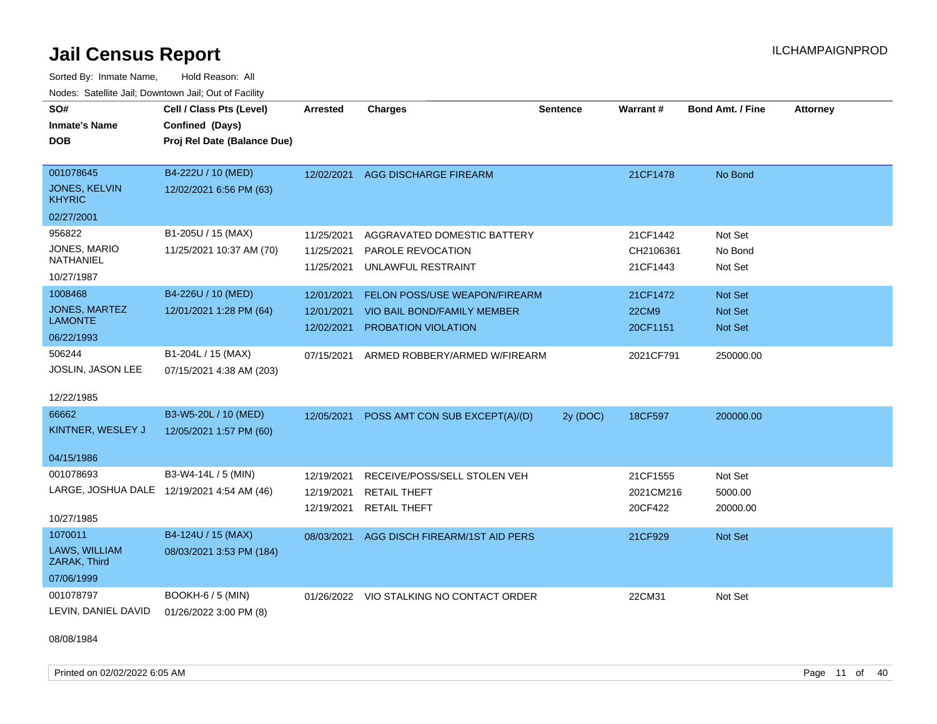Sorted By: Inmate Name, Hold Reason: All Nodes: Satellite Jail; Downtown Jail; Out of Facility

| SO#<br><b>Inmate's Name</b><br><b>DOB</b>                              | Cell / Class Pts (Level)<br>Confined (Days)<br>Proj Rel Date (Balance Due) | <b>Arrested</b>                        | <b>Charges</b>                                                                             | <b>Sentence</b> | Warrant#                             | <b>Bond Amt. / Fine</b>        | <b>Attorney</b> |
|------------------------------------------------------------------------|----------------------------------------------------------------------------|----------------------------------------|--------------------------------------------------------------------------------------------|-----------------|--------------------------------------|--------------------------------|-----------------|
| 001078645<br>JONES, KELVIN<br><b>KHYRIC</b>                            | B4-222U / 10 (MED)<br>12/02/2021 6:56 PM (63)                              | 12/02/2021                             | AGG DISCHARGE FIREARM                                                                      |                 | 21CF1478                             | No Bond                        |                 |
| 02/27/2001<br>956822<br>JONES, MARIO<br><b>NATHANIEL</b><br>10/27/1987 | B1-205U / 15 (MAX)<br>11/25/2021 10:37 AM (70)                             | 11/25/2021<br>11/25/2021<br>11/25/2021 | AGGRAVATED DOMESTIC BATTERY<br>PAROLE REVOCATION<br>UNLAWFUL RESTRAINT                     |                 | 21CF1442<br>CH2106361<br>21CF1443    | Not Set<br>No Bond<br>Not Set  |                 |
| 1008468<br>JONES, MARTEZ<br><b>LAMONTE</b><br>06/22/1993               | B4-226U / 10 (MED)<br>12/01/2021 1:28 PM (64)                              | 12/01/2021<br>12/01/2021<br>12/02/2021 | <b>FELON POSS/USE WEAPON/FIREARM</b><br>VIO BAIL BOND/FAMILY MEMBER<br>PROBATION VIOLATION |                 | 21CF1472<br><b>22CM9</b><br>20CF1151 | Not Set<br>Not Set<br>Not Set  |                 |
| 506244<br>JOSLIN, JASON LEE<br>12/22/1985                              | B1-204L / 15 (MAX)<br>07/15/2021 4:38 AM (203)                             | 07/15/2021                             | ARMED ROBBERY/ARMED W/FIREARM                                                              |                 | 2021CF791                            | 250000.00                      |                 |
| 66662<br>KINTNER, WESLEY J<br>04/15/1986                               | B3-W5-20L / 10 (MED)<br>12/05/2021 1:57 PM (60)                            | 12/05/2021                             | POSS AMT CON SUB EXCEPT(A)/(D)                                                             | 2y (DOC)        | 18CF597                              | 200000.00                      |                 |
| 001078693<br>10/27/1985                                                | B3-W4-14L / 5 (MIN)<br>LARGE, JOSHUA DALE 12/19/2021 4:54 AM (46)          | 12/19/2021<br>12/19/2021<br>12/19/2021 | RECEIVE/POSS/SELL STOLEN VEH<br><b>RETAIL THEFT</b><br><b>RETAIL THEFT</b>                 |                 | 21CF1555<br>2021CM216<br>20CF422     | Not Set<br>5000.00<br>20000.00 |                 |
| 1070011<br>LAWS, WILLIAM<br>ZARAK, Third<br>07/06/1999                 | B4-124U / 15 (MAX)<br>08/03/2021 3:53 PM (184)                             | 08/03/2021                             | AGG DISCH FIREARM/1ST AID PERS                                                             |                 | 21CF929                              | Not Set                        |                 |
| 001078797<br>LEVIN, DANIEL DAVID                                       | BOOKH-6 / 5 (MIN)<br>01/26/2022 3:00 PM (8)                                |                                        | 01/26/2022 VIO STALKING NO CONTACT ORDER                                                   |                 | 22CM31                               | Not Set                        |                 |

08/08/1984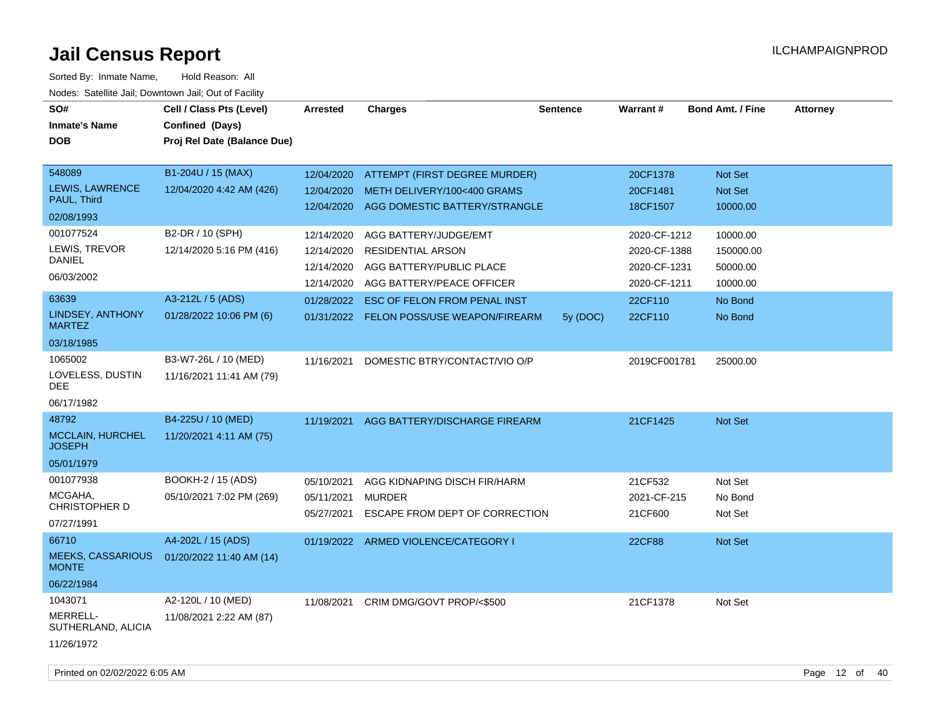| SO#<br><b>Inmate's Name</b><br><b>DOB</b>                       | Cell / Class Pts (Level)<br>Confined (Days)<br>Proj Rel Date (Balance Due) | <b>Arrested</b>                                      | <b>Charges</b>                                                                                             | <b>Sentence</b> | Warrant#                                                     | <b>Bond Amt. / Fine</b>                       | <b>Attorney</b> |
|-----------------------------------------------------------------|----------------------------------------------------------------------------|------------------------------------------------------|------------------------------------------------------------------------------------------------------------|-----------------|--------------------------------------------------------------|-----------------------------------------------|-----------------|
| 548089<br>LEWIS, LAWRENCE<br>PAUL, Third<br>02/08/1993          | B1-204U / 15 (MAX)<br>12/04/2020 4:42 AM (426)                             | 12/04/2020<br>12/04/2020<br>12/04/2020               | ATTEMPT (FIRST DEGREE MURDER)<br>METH DELIVERY/100<400 GRAMS<br>AGG DOMESTIC BATTERY/STRANGLE              |                 | 20CF1378<br>20CF1481<br>18CF1507                             | Not Set<br>Not Set<br>10000.00                |                 |
| 001077524<br>LEWIS, TREVOR<br>DANIEL<br>06/03/2002              | B2-DR / 10 (SPH)<br>12/14/2020 5:16 PM (416)                               | 12/14/2020<br>12/14/2020<br>12/14/2020<br>12/14/2020 | AGG BATTERY/JUDGE/EMT<br><b>RESIDENTIAL ARSON</b><br>AGG BATTERY/PUBLIC PLACE<br>AGG BATTERY/PEACE OFFICER |                 | 2020-CF-1212<br>2020-CF-1388<br>2020-CF-1231<br>2020-CF-1211 | 10000.00<br>150000.00<br>50000.00<br>10000.00 |                 |
| 63639<br>LINDSEY, ANTHONY<br><b>MARTEZ</b><br>03/18/1985        | A3-212L / 5 (ADS)<br>01/28/2022 10:06 PM (6)                               | 01/28/2022                                           | ESC OF FELON FROM PENAL INST<br>01/31/2022 FELON POSS/USE WEAPON/FIREARM                                   | 5y (DOC)        | 22CF110<br>22CF110                                           | No Bond<br>No Bond                            |                 |
| 1065002<br>LOVELESS, DUSTIN<br><b>DEE</b><br>06/17/1982         | B3-W7-26L / 10 (MED)<br>11/16/2021 11:41 AM (79)                           | 11/16/2021                                           | DOMESTIC BTRY/CONTACT/VIO O/P                                                                              |                 | 2019CF001781                                                 | 25000.00                                      |                 |
| 48792<br>MCCLAIN, HURCHEL<br><b>JOSEPH</b><br>05/01/1979        | B4-225U / 10 (MED)<br>11/20/2021 4:11 AM (75)                              | 11/19/2021                                           | AGG BATTERY/DISCHARGE FIREARM                                                                              |                 | 21CF1425                                                     | Not Set                                       |                 |
| 001077938<br>MCGAHA,<br>CHRISTOPHER D<br>07/27/1991             | <b>BOOKH-2 / 15 (ADS)</b><br>05/10/2021 7:02 PM (269)                      | 05/10/2021<br>05/11/2021<br>05/27/2021               | AGG KIDNAPING DISCH FIR/HARM<br><b>MURDER</b><br>ESCAPE FROM DEPT OF CORRECTION                            |                 | 21CF532<br>2021-CF-215<br>21CF600                            | Not Set<br>No Bond<br>Not Set                 |                 |
| 66710<br><b>MEEKS, CASSARIOUS</b><br><b>MONTE</b><br>06/22/1984 | A4-202L / 15 (ADS)<br>01/20/2022 11:40 AM (14)                             |                                                      | 01/19/2022 ARMED VIOLENCE/CATEGORY I                                                                       |                 | <b>22CF88</b>                                                | Not Set                                       |                 |
| 1043071<br>MERRELL-<br>SUTHERLAND, ALICIA<br>11/26/1972         | A2-120L / 10 (MED)<br>11/08/2021 2:22 AM (87)                              | 11/08/2021                                           | CRIM DMG/GOVT PROP/<\$500                                                                                  |                 | 21CF1378                                                     | Not Set                                       |                 |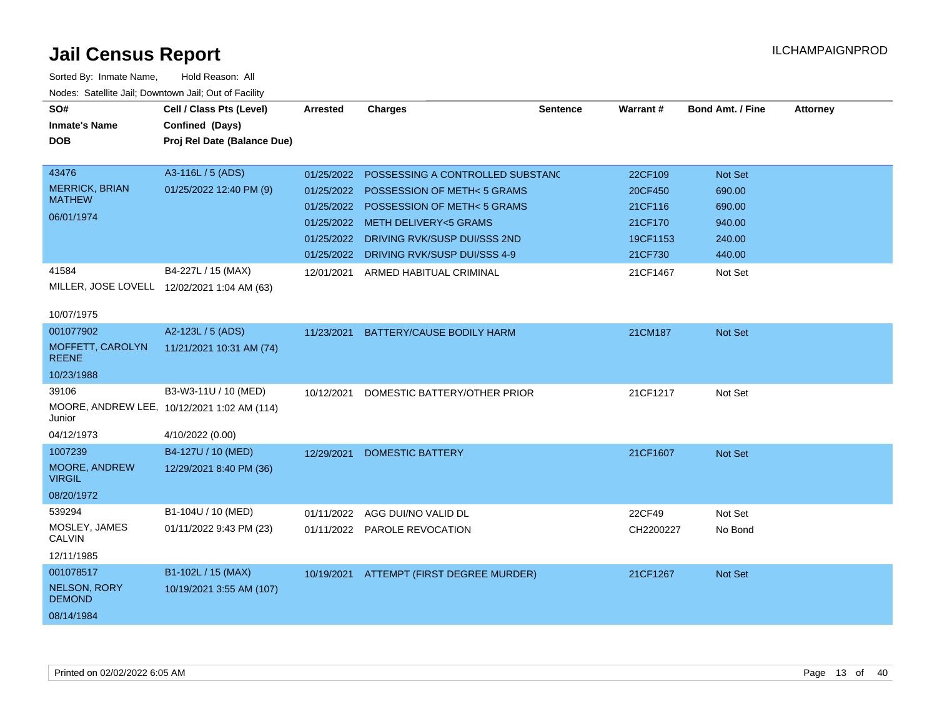| <b>Neget Calculus Vall, Downlown Vall, Out of Fability</b> |                                             |                 |                                          |                 |           |                         |                 |
|------------------------------------------------------------|---------------------------------------------|-----------------|------------------------------------------|-----------------|-----------|-------------------------|-----------------|
| SO#                                                        | Cell / Class Pts (Level)                    | <b>Arrested</b> | <b>Charges</b>                           | <b>Sentence</b> | Warrant#  | <b>Bond Amt. / Fine</b> | <b>Attorney</b> |
| <b>Inmate's Name</b>                                       | Confined (Days)                             |                 |                                          |                 |           |                         |                 |
| <b>DOB</b>                                                 | Proj Rel Date (Balance Due)                 |                 |                                          |                 |           |                         |                 |
|                                                            |                                             |                 |                                          |                 |           |                         |                 |
| 43476                                                      | A3-116L / 5 (ADS)                           | 01/25/2022      | POSSESSING A CONTROLLED SUBSTAND         |                 | 22CF109   | Not Set                 |                 |
| <b>MERRICK, BRIAN</b><br><b>MATHEW</b>                     | 01/25/2022 12:40 PM (9)                     | 01/25/2022      | <b>POSSESSION OF METH&lt;5 GRAMS</b>     |                 | 20CF450   | 690.00                  |                 |
|                                                            |                                             | 01/25/2022      | POSSESSION OF METH<5 GRAMS               |                 | 21CF116   | 690.00                  |                 |
| 06/01/1974                                                 |                                             |                 | 01/25/2022 METH DELIVERY<5 GRAMS         |                 | 21CF170   | 940.00                  |                 |
|                                                            |                                             |                 | 01/25/2022 DRIVING RVK/SUSP DUI/SSS 2ND  |                 | 19CF1153  | 240.00                  |                 |
|                                                            |                                             |                 | 01/25/2022 DRIVING RVK/SUSP DUI/SSS 4-9  |                 | 21CF730   | 440.00                  |                 |
| 41584                                                      | B4-227L / 15 (MAX)                          | 12/01/2021      | ARMED HABITUAL CRIMINAL                  |                 | 21CF1467  | Not Set                 |                 |
|                                                            | MILLER, JOSE LOVELL 12/02/2021 1:04 AM (63) |                 |                                          |                 |           |                         |                 |
|                                                            |                                             |                 |                                          |                 |           |                         |                 |
| 10/07/1975                                                 |                                             |                 |                                          |                 |           |                         |                 |
| 001077902                                                  | A2-123L / 5 (ADS)                           | 11/23/2021      | <b>BATTERY/CAUSE BODILY HARM</b>         |                 | 21CM187   | Not Set                 |                 |
| MOFFETT, CAROLYN<br><b>REENE</b>                           | 11/21/2021 10:31 AM (74)                    |                 |                                          |                 |           |                         |                 |
| 10/23/1988                                                 |                                             |                 |                                          |                 |           |                         |                 |
| 39106                                                      | B3-W3-11U / 10 (MED)                        | 10/12/2021      | DOMESTIC BATTERY/OTHER PRIOR             |                 | 21CF1217  | Not Set                 |                 |
| Junior                                                     | MOORE, ANDREW LEE, 10/12/2021 1:02 AM (114) |                 |                                          |                 |           |                         |                 |
| 04/12/1973                                                 | 4/10/2022 (0.00)                            |                 |                                          |                 |           |                         |                 |
| 1007239                                                    | B4-127U / 10 (MED)                          | 12/29/2021      | <b>DOMESTIC BATTERY</b>                  |                 | 21CF1607  | Not Set                 |                 |
| MOORE, ANDREW<br><b>VIRGIL</b>                             | 12/29/2021 8:40 PM (36)                     |                 |                                          |                 |           |                         |                 |
| 08/20/1972                                                 |                                             |                 |                                          |                 |           |                         |                 |
| 539294                                                     | B1-104U / 10 (MED)                          | 01/11/2022      | AGG DUI/NO VALID DL                      |                 | 22CF49    | Not Set                 |                 |
| MOSLEY, JAMES<br><b>CALVIN</b>                             | 01/11/2022 9:43 PM (23)                     |                 | 01/11/2022 PAROLE REVOCATION             |                 | CH2200227 | No Bond                 |                 |
| 12/11/1985                                                 |                                             |                 |                                          |                 |           |                         |                 |
| 001078517                                                  | B1-102L / 15 (MAX)                          |                 | 10/19/2021 ATTEMPT (FIRST DEGREE MURDER) |                 | 21CF1267  | Not Set                 |                 |
| <b>NELSON, RORY</b><br><b>DEMOND</b>                       | 10/19/2021 3:55 AM (107)                    |                 |                                          |                 |           |                         |                 |
| 08/14/1984                                                 |                                             |                 |                                          |                 |           |                         |                 |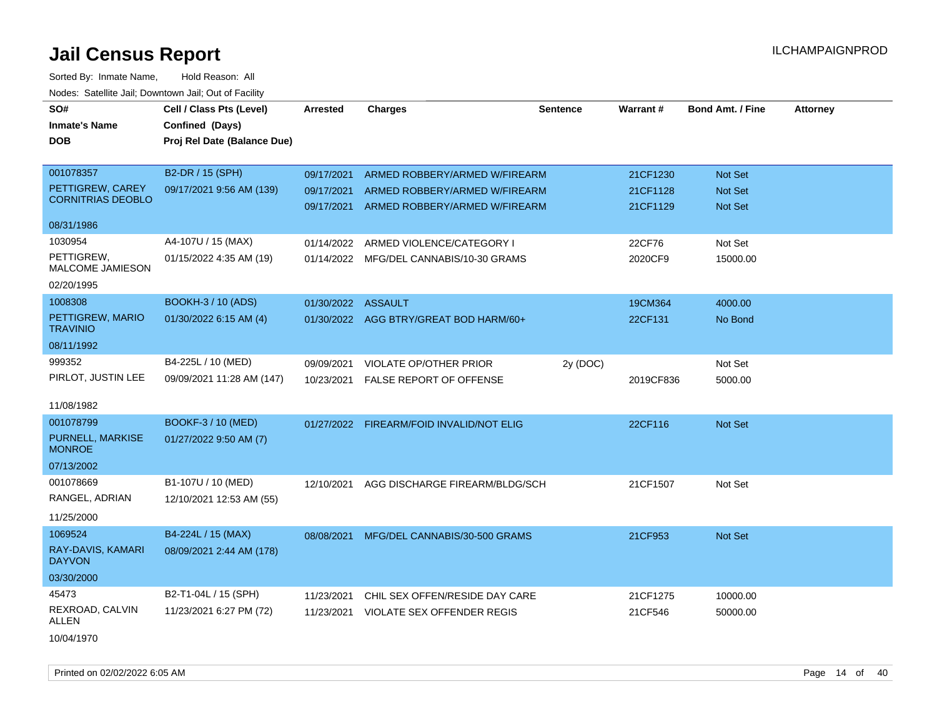| SO#                                          | Cell / Class Pts (Level)    | <b>Arrested</b>    | <b>Charges</b>                           | <b>Sentence</b> | <b>Warrant#</b> | <b>Bond Amt. / Fine</b> | <b>Attorney</b> |
|----------------------------------------------|-----------------------------|--------------------|------------------------------------------|-----------------|-----------------|-------------------------|-----------------|
| <b>Inmate's Name</b>                         | Confined (Days)             |                    |                                          |                 |                 |                         |                 |
| <b>DOB</b>                                   | Proj Rel Date (Balance Due) |                    |                                          |                 |                 |                         |                 |
|                                              |                             |                    |                                          |                 |                 |                         |                 |
| 001078357                                    | B2-DR / 15 (SPH)            | 09/17/2021         | ARMED ROBBERY/ARMED W/FIREARM            |                 | 21CF1230        | Not Set                 |                 |
| PETTIGREW, CAREY<br><b>CORNITRIAS DEOBLO</b> | 09/17/2021 9:56 AM (139)    | 09/17/2021         | ARMED ROBBERY/ARMED W/FIREARM            |                 | 21CF1128        | Not Set                 |                 |
|                                              |                             | 09/17/2021         | ARMED ROBBERY/ARMED W/FIREARM            |                 | 21CF1129        | <b>Not Set</b>          |                 |
| 08/31/1986                                   |                             |                    |                                          |                 |                 |                         |                 |
| 1030954                                      | A4-107U / 15 (MAX)          | 01/14/2022         | ARMED VIOLENCE/CATEGORY I                |                 | 22CF76          | Not Set                 |                 |
| PETTIGREW,<br>MALCOME JAMIESON               | 01/15/2022 4:35 AM (19)     |                    | 01/14/2022 MFG/DEL CANNABIS/10-30 GRAMS  |                 | 2020CF9         | 15000.00                |                 |
| 02/20/1995                                   |                             |                    |                                          |                 |                 |                         |                 |
| 1008308                                      | BOOKH-3 / 10 (ADS)          | 01/30/2022 ASSAULT |                                          |                 | 19CM364         | 4000.00                 |                 |
| PETTIGREW, MARIO<br><b>TRAVINIO</b>          | 01/30/2022 6:15 AM (4)      |                    | 01/30/2022 AGG BTRY/GREAT BOD HARM/60+   |                 | 22CF131         | No Bond                 |                 |
| 08/11/1992                                   |                             |                    |                                          |                 |                 |                         |                 |
| 999352                                       | B4-225L / 10 (MED)          | 09/09/2021         | <b>VIOLATE OP/OTHER PRIOR</b>            | 2y (DOC)        |                 | Not Set                 |                 |
| PIRLOT, JUSTIN LEE                           | 09/09/2021 11:28 AM (147)   |                    | 10/23/2021 FALSE REPORT OF OFFENSE       |                 | 2019CF836       | 5000.00                 |                 |
| 11/08/1982                                   |                             |                    |                                          |                 |                 |                         |                 |
| 001078799                                    | <b>BOOKF-3 / 10 (MED)</b>   | 01/27/2022         | FIREARM/FOID INVALID/NOT ELIG            |                 | 22CF116         | Not Set                 |                 |
| PURNELL, MARKISE<br><b>MONROE</b>            | 01/27/2022 9:50 AM (7)      |                    |                                          |                 |                 |                         |                 |
| 07/13/2002                                   |                             |                    |                                          |                 |                 |                         |                 |
| 001078669                                    | B1-107U / 10 (MED)          | 12/10/2021         | AGG DISCHARGE FIREARM/BLDG/SCH           |                 | 21CF1507        | Not Set                 |                 |
| RANGEL, ADRIAN                               | 12/10/2021 12:53 AM (55)    |                    |                                          |                 |                 |                         |                 |
| 11/25/2000                                   |                             |                    |                                          |                 |                 |                         |                 |
| 1069524                                      | B4-224L / 15 (MAX)          |                    | 08/08/2021 MFG/DEL CANNABIS/30-500 GRAMS |                 | 21CF953         | Not Set                 |                 |
| RAY-DAVIS, KAMARI<br><b>DAYVON</b>           | 08/09/2021 2:44 AM (178)    |                    |                                          |                 |                 |                         |                 |
| 03/30/2000                                   |                             |                    |                                          |                 |                 |                         |                 |
| 45473                                        | B2-T1-04L / 15 (SPH)        | 11/23/2021         | CHIL SEX OFFEN/RESIDE DAY CARE           |                 | 21CF1275        | 10000.00                |                 |
| REXROAD, CALVIN<br><b>ALLEN</b>              | 11/23/2021 6:27 PM (72)     | 11/23/2021         | VIOLATE SEX OFFENDER REGIS               |                 | 21CF546         | 50000.00                |                 |
| 10/04/1970                                   |                             |                    |                                          |                 |                 |                         |                 |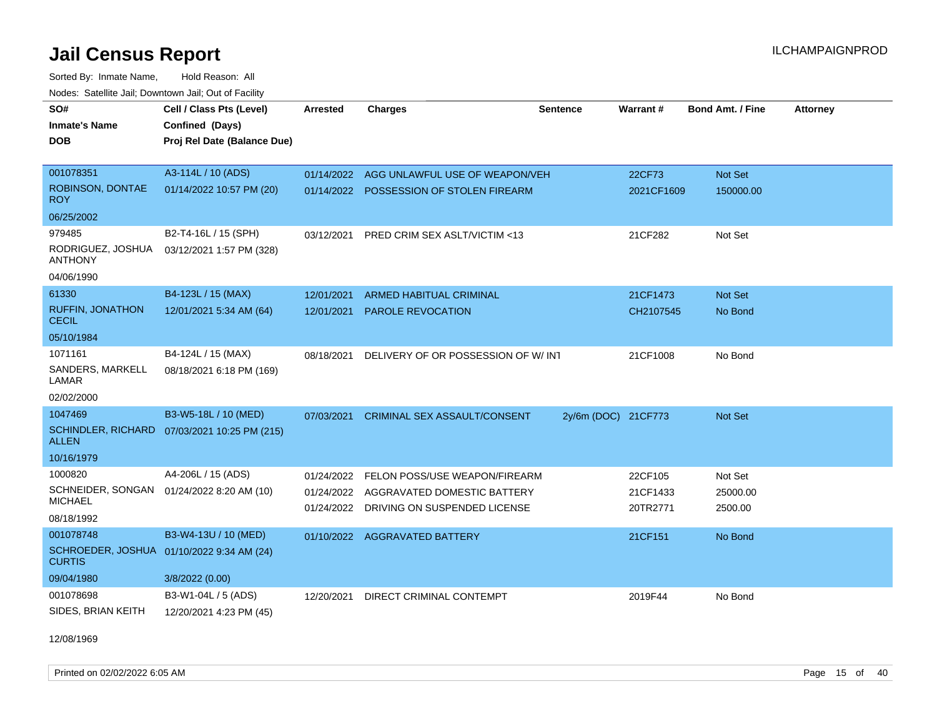Sorted By: Inmate Name, Hold Reason: All Nodes: Satellite Jail; Downtown Jail; Out of Facility

| SO#                                     | Cell / Class Pts (Level)                     | <b>Arrested</b> | <b>Charges</b>                         | <b>Sentence</b>     | Warrant#   | <b>Bond Amt. / Fine</b> | <b>Attorney</b> |
|-----------------------------------------|----------------------------------------------|-----------------|----------------------------------------|---------------------|------------|-------------------------|-----------------|
| <b>Inmate's Name</b>                    | Confined (Days)                              |                 |                                        |                     |            |                         |                 |
| <b>DOB</b>                              | Proj Rel Date (Balance Due)                  |                 |                                        |                     |            |                         |                 |
|                                         |                                              |                 |                                        |                     |            |                         |                 |
| 001078351                               | A3-114L / 10 (ADS)                           | 01/14/2022      | AGG UNLAWFUL USE OF WEAPON/VEH         |                     | 22CF73     | Not Set                 |                 |
| ROBINSON, DONTAE<br><b>ROY</b>          | 01/14/2022 10:57 PM (20)                     | 01/14/2022      | POSSESSION OF STOLEN FIREARM           |                     | 2021CF1609 | 150000.00               |                 |
| 06/25/2002                              |                                              |                 |                                        |                     |            |                         |                 |
| 979485                                  | B2-T4-16L / 15 (SPH)                         | 03/12/2021      | PRED CRIM SEX ASLT/VICTIM <13          |                     | 21CF282    | Not Set                 |                 |
| RODRIGUEZ, JOSHUA<br><b>ANTHONY</b>     | 03/12/2021 1:57 PM (328)                     |                 |                                        |                     |            |                         |                 |
| 04/06/1990                              |                                              |                 |                                        |                     |            |                         |                 |
| 61330                                   | B4-123L / 15 (MAX)                           | 12/01/2021      | <b>ARMED HABITUAL CRIMINAL</b>         |                     | 21CF1473   | Not Set                 |                 |
| <b>RUFFIN, JONATHON</b><br><b>CECIL</b> | 12/01/2021 5:34 AM (64)                      | 12/01/2021      | <b>PAROLE REVOCATION</b>               |                     | CH2107545  | No Bond                 |                 |
| 05/10/1984                              |                                              |                 |                                        |                     |            |                         |                 |
| 1071161                                 | B4-124L / 15 (MAX)                           | 08/18/2021      | DELIVERY OF OR POSSESSION OF W/INT     |                     | 21CF1008   | No Bond                 |                 |
| SANDERS, MARKELL<br>LAMAR               | 08/18/2021 6:18 PM (169)                     |                 |                                        |                     |            |                         |                 |
| 02/02/2000                              |                                              |                 |                                        |                     |            |                         |                 |
| 1047469                                 | B3-W5-18L / 10 (MED)                         | 07/03/2021      | <b>CRIMINAL SEX ASSAULT/CONSENT</b>    | 2y/6m (DOC) 21CF773 |            | Not Set                 |                 |
| <b>ALLEN</b>                            | SCHINDLER, RICHARD 07/03/2021 10:25 PM (215) |                 |                                        |                     |            |                         |                 |
| 10/16/1979                              |                                              |                 |                                        |                     |            |                         |                 |
| 1000820                                 | A4-206L / 15 (ADS)                           | 01/24/2022      | FELON POSS/USE WEAPON/FIREARM          |                     | 22CF105    | Not Set                 |                 |
| SCHNEIDER, SONGAN                       | 01/24/2022 8:20 AM (10)                      |                 | 01/24/2022 AGGRAVATED DOMESTIC BATTERY |                     | 21CF1433   | 25000.00                |                 |
| <b>MICHAEL</b>                          |                                              | 01/24/2022      | DRIVING ON SUSPENDED LICENSE           |                     | 20TR2771   | 2500.00                 |                 |
| 08/18/1992                              |                                              |                 |                                        |                     |            |                         |                 |
| 001078748                               | B3-W4-13U / 10 (MED)                         |                 | 01/10/2022 AGGRAVATED BATTERY          |                     | 21CF151    | No Bond                 |                 |
| SCHROEDER, JOSHUA<br><b>CURTIS</b>      | 01/10/2022 9:34 AM (24)                      |                 |                                        |                     |            |                         |                 |
| 09/04/1980                              | 3/8/2022 (0.00)                              |                 |                                        |                     |            |                         |                 |
| 001078698                               | B3-W1-04L / 5 (ADS)                          | 12/20/2021      | DIRECT CRIMINAL CONTEMPT               |                     | 2019F44    | No Bond                 |                 |
| SIDES, BRIAN KEITH                      | 12/20/2021 4:23 PM (45)                      |                 |                                        |                     |            |                         |                 |

12/08/1969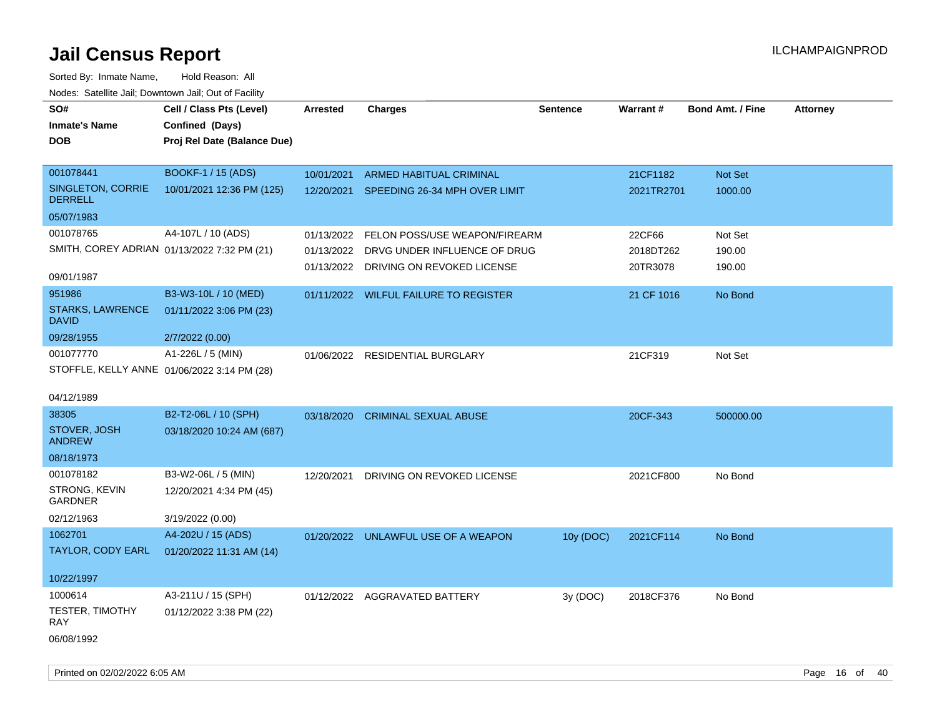| SO#                                     | Cell / Class Pts (Level)                    | <b>Arrested</b> | <b>Charges</b>                           | <b>Sentence</b> | Warrant#   | <b>Bond Amt. / Fine</b> | <b>Attorney</b> |
|-----------------------------------------|---------------------------------------------|-----------------|------------------------------------------|-----------------|------------|-------------------------|-----------------|
| <b>Inmate's Name</b>                    | Confined (Days)                             |                 |                                          |                 |            |                         |                 |
| <b>DOB</b>                              | Proj Rel Date (Balance Due)                 |                 |                                          |                 |            |                         |                 |
|                                         |                                             |                 |                                          |                 |            |                         |                 |
| 001078441                               | <b>BOOKF-1 / 15 (ADS)</b>                   | 10/01/2021      | <b>ARMED HABITUAL CRIMINAL</b>           |                 | 21CF1182   | Not Set                 |                 |
| SINGLETON, CORRIE<br><b>DERRELL</b>     | 10/01/2021 12:36 PM (125)                   |                 | 12/20/2021 SPEEDING 26-34 MPH OVER LIMIT |                 | 2021TR2701 | 1000.00                 |                 |
| 05/07/1983                              |                                             |                 |                                          |                 |            |                         |                 |
| 001078765                               | A4-107L / 10 (ADS)                          | 01/13/2022      | FELON POSS/USE WEAPON/FIREARM            |                 | 22CF66     | Not Set                 |                 |
|                                         | SMITH, COREY ADRIAN 01/13/2022 7:32 PM (21) |                 | 01/13/2022 DRVG UNDER INFLUENCE OF DRUG  |                 | 2018DT262  | 190.00                  |                 |
| 09/01/1987                              |                                             |                 | 01/13/2022 DRIVING ON REVOKED LICENSE    |                 | 20TR3078   | 190.00                  |                 |
| 951986                                  | B3-W3-10L / 10 (MED)                        |                 | 01/11/2022 WILFUL FAILURE TO REGISTER    |                 | 21 CF 1016 | No Bond                 |                 |
| <b>STARKS, LAWRENCE</b><br><b>DAVID</b> | 01/11/2022 3:06 PM (23)                     |                 |                                          |                 |            |                         |                 |
| 09/28/1955                              | 2/7/2022 (0.00)                             |                 |                                          |                 |            |                         |                 |
| 001077770                               | A1-226L / 5 (MIN)                           |                 | 01/06/2022 RESIDENTIAL BURGLARY          |                 | 21CF319    | Not Set                 |                 |
|                                         | STOFFLE, KELLY ANNE 01/06/2022 3:14 PM (28) |                 |                                          |                 |            |                         |                 |
|                                         |                                             |                 |                                          |                 |            |                         |                 |
| 04/12/1989                              |                                             |                 |                                          |                 |            |                         |                 |
| 38305                                   | B2-T2-06L / 10 (SPH)                        |                 | 03/18/2020 CRIMINAL SEXUAL ABUSE         |                 | 20CF-343   | 500000.00               |                 |
| STOVER, JOSH<br><b>ANDREW</b>           | 03/18/2020 10:24 AM (687)                   |                 |                                          |                 |            |                         |                 |
| 08/18/1973                              |                                             |                 |                                          |                 |            |                         |                 |
| 001078182                               | B3-W2-06L / 5 (MIN)                         | 12/20/2021      | DRIVING ON REVOKED LICENSE               |                 | 2021CF800  | No Bond                 |                 |
| STRONG, KEVIN<br><b>GARDNER</b>         | 12/20/2021 4:34 PM (45)                     |                 |                                          |                 |            |                         |                 |
| 02/12/1963                              | 3/19/2022 (0.00)                            |                 |                                          |                 |            |                         |                 |
| 1062701                                 | A4-202U / 15 (ADS)                          |                 | 01/20/2022 UNLAWFUL USE OF A WEAPON      | 10y (DOC)       | 2021CF114  | No Bond                 |                 |
| TAYLOR, CODY EARL                       | 01/20/2022 11:31 AM (14)                    |                 |                                          |                 |            |                         |                 |
| 10/22/1997                              |                                             |                 |                                          |                 |            |                         |                 |
| 1000614                                 | A3-211U / 15 (SPH)                          |                 | 01/12/2022 AGGRAVATED BATTERY            | 3y (DOC)        | 2018CF376  | No Bond                 |                 |
| TESTER, TIMOTHY<br><b>RAY</b>           | 01/12/2022 3:38 PM (22)                     |                 |                                          |                 |            |                         |                 |
| 06/08/1992                              |                                             |                 |                                          |                 |            |                         |                 |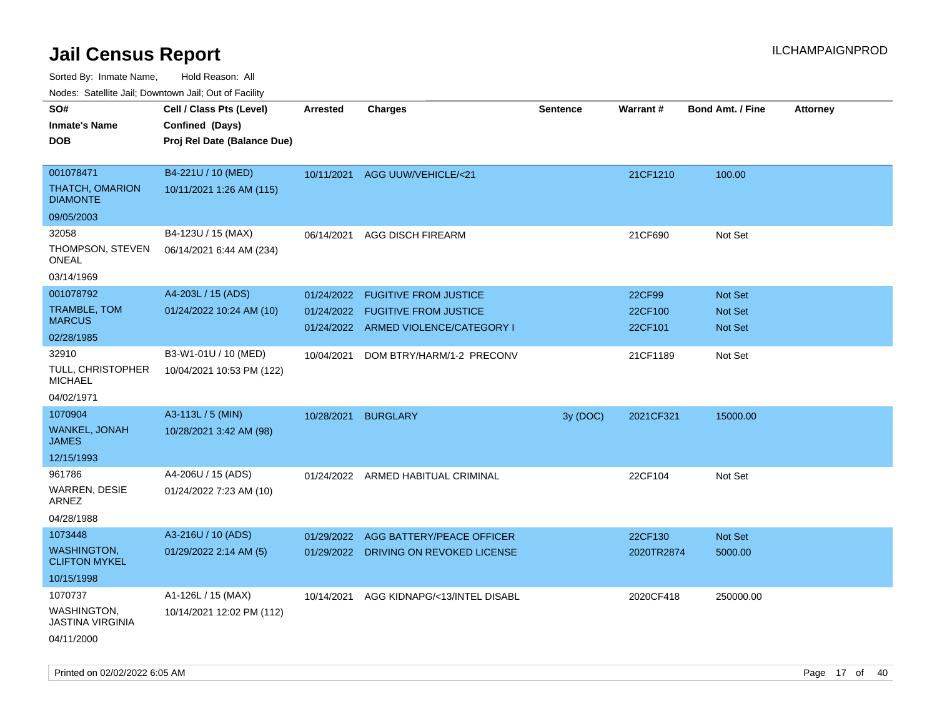Sorted By: Inmate Name, Hold Reason: All

Nodes: Satellite Jail; Downtown Jail; Out of Facility

| ivoues. Salellite Jali, Downtown Jali, Out of Facility |                             |            |                                       |                 |            |                         |                 |
|--------------------------------------------------------|-----------------------------|------------|---------------------------------------|-----------------|------------|-------------------------|-----------------|
| SO#                                                    | Cell / Class Pts (Level)    | Arrested   | <b>Charges</b>                        | <b>Sentence</b> | Warrant#   | <b>Bond Amt. / Fine</b> | <b>Attorney</b> |
| <b>Inmate's Name</b>                                   | Confined (Days)             |            |                                       |                 |            |                         |                 |
| <b>DOB</b>                                             | Proj Rel Date (Balance Due) |            |                                       |                 |            |                         |                 |
|                                                        |                             |            |                                       |                 |            |                         |                 |
| 001078471                                              | B4-221U / 10 (MED)          |            | 10/11/2021 AGG UUW/VEHICLE/<21        |                 | 21CF1210   | 100.00                  |                 |
| <b>THATCH, OMARION</b><br><b>DIAMONTE</b>              | 10/11/2021 1:26 AM (115)    |            |                                       |                 |            |                         |                 |
| 09/05/2003                                             |                             |            |                                       |                 |            |                         |                 |
| 32058                                                  | B4-123U / 15 (MAX)          | 06/14/2021 | <b>AGG DISCH FIREARM</b>              |                 | 21CF690    | Not Set                 |                 |
| THOMPSON, STEVEN<br>ONEAL                              | 06/14/2021 6:44 AM (234)    |            |                                       |                 |            |                         |                 |
| 03/14/1969                                             |                             |            |                                       |                 |            |                         |                 |
| 001078792                                              | A4-203L / 15 (ADS)          | 01/24/2022 | <b>FUGITIVE FROM JUSTICE</b>          |                 | 22CF99     | Not Set                 |                 |
| TRAMBLE, TOM                                           | 01/24/2022 10:24 AM (10)    | 01/24/2022 | <b>FUGITIVE FROM JUSTICE</b>          |                 | 22CF100    | <b>Not Set</b>          |                 |
| <b>MARCUS</b>                                          |                             |            | 01/24/2022 ARMED VIOLENCE/CATEGORY I  |                 | 22CF101    | <b>Not Set</b>          |                 |
| 02/28/1985                                             |                             |            |                                       |                 |            |                         |                 |
| 32910                                                  | B3-W1-01U / 10 (MED)        | 10/04/2021 | DOM BTRY/HARM/1-2 PRECONV             |                 | 21CF1189   | Not Set                 |                 |
| <b>TULL, CHRISTOPHER</b><br><b>MICHAEL</b>             | 10/04/2021 10:53 PM (122)   |            |                                       |                 |            |                         |                 |
| 04/02/1971                                             |                             |            |                                       |                 |            |                         |                 |
| 1070904                                                | A3-113L / 5 (MIN)           | 10/28/2021 | <b>BURGLARY</b>                       | 3y (DOC)        | 2021CF321  | 15000.00                |                 |
| WANKEL, JONAH<br><b>JAMES</b>                          | 10/28/2021 3:42 AM (98)     |            |                                       |                 |            |                         |                 |
| 12/15/1993                                             |                             |            |                                       |                 |            |                         |                 |
| 961786                                                 | A4-206U / 15 (ADS)          |            | 01/24/2022 ARMED HABITUAL CRIMINAL    |                 | 22CF104    | Not Set                 |                 |
| WARREN, DESIE<br>ARNEZ                                 | 01/24/2022 7:23 AM (10)     |            |                                       |                 |            |                         |                 |
| 04/28/1988                                             |                             |            |                                       |                 |            |                         |                 |
| 1073448                                                | A3-216U / 10 (ADS)          | 01/29/2022 | AGG BATTERY/PEACE OFFICER             |                 | 22CF130    | Not Set                 |                 |
| WASHINGTON,<br><b>CLIFTON MYKEL</b>                    | 01/29/2022 2:14 AM (5)      |            | 01/29/2022 DRIVING ON REVOKED LICENSE |                 | 2020TR2874 | 5000.00                 |                 |
| 10/15/1998                                             |                             |            |                                       |                 |            |                         |                 |
| 1070737                                                | A1-126L / 15 (MAX)          | 10/14/2021 | AGG KIDNAPG/<13/INTEL DISABL          |                 | 2020CF418  | 250000.00               |                 |
| WASHINGTON,<br><b>JASTINA VIRGINIA</b>                 | 10/14/2021 12:02 PM (112)   |            |                                       |                 |            |                         |                 |
| 04/11/2000                                             |                             |            |                                       |                 |            |                         |                 |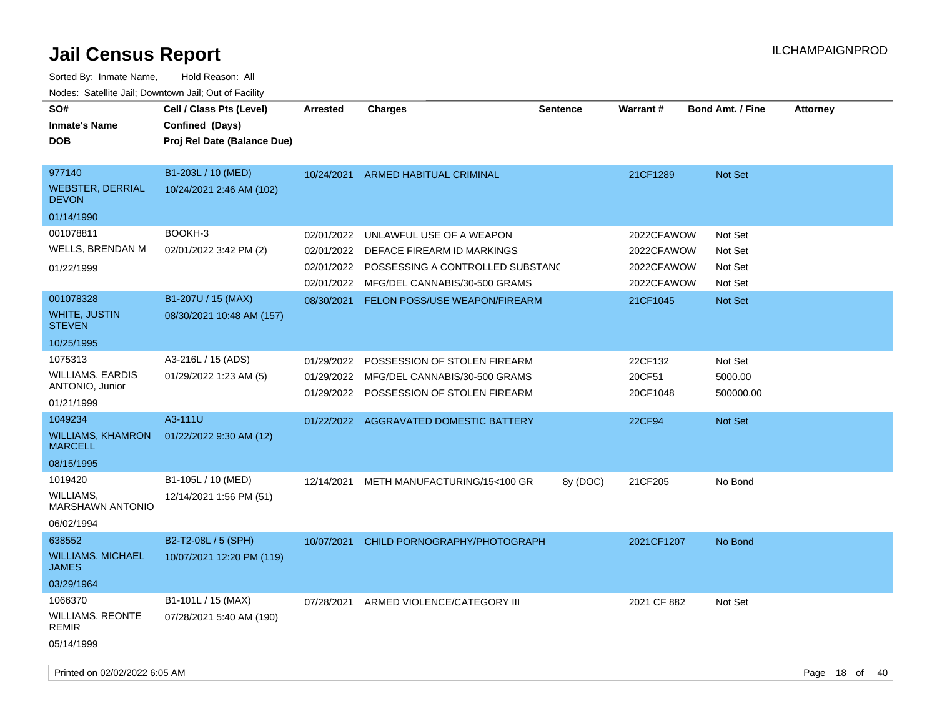| SO#<br><b>Inmate's Name</b><br><b>DOB</b>  | Cell / Class Pts (Level)<br>Confined (Days)<br>Proj Rel Date (Balance Due) | <b>Arrested</b>          | <b>Charges</b>                                                | <b>Sentence</b> | <b>Warrant#</b>    | <b>Bond Amt. / Fine</b> | <b>Attorney</b> |  |
|--------------------------------------------|----------------------------------------------------------------------------|--------------------------|---------------------------------------------------------------|-----------------|--------------------|-------------------------|-----------------|--|
| 977140<br>WEBSTER, DERRIAL<br><b>DEVON</b> | B1-203L / 10 (MED)<br>10/24/2021 2:46 AM (102)                             | 10/24/2021               | ARMED HABITUAL CRIMINAL                                       |                 | 21CF1289           | <b>Not Set</b>          |                 |  |
| 01/14/1990                                 |                                                                            |                          |                                                               |                 |                    |                         |                 |  |
| 001078811                                  | BOOKH-3                                                                    | 02/01/2022               | UNLAWFUL USE OF A WEAPON                                      |                 | 2022CFAWOW         | Not Set                 |                 |  |
| <b>WELLS, BRENDAN M</b>                    | 02/01/2022 3:42 PM (2)                                                     | 02/01/2022               | DEFACE FIREARM ID MARKINGS                                    |                 | 2022CFAWOW         | Not Set                 |                 |  |
| 01/22/1999                                 |                                                                            | 02/01/2022               | POSSESSING A CONTROLLED SUBSTAND                              |                 | 2022CFAWOW         | Not Set                 |                 |  |
|                                            |                                                                            | 02/01/2022               | MFG/DEL CANNABIS/30-500 GRAMS                                 |                 | 2022CFAWOW         | Not Set                 |                 |  |
| 001078328                                  | B1-207U / 15 (MAX)                                                         | 08/30/2021               | FELON POSS/USE WEAPON/FIREARM                                 |                 | 21CF1045           | <b>Not Set</b>          |                 |  |
| WHITE, JUSTIN<br><b>STEVEN</b>             | 08/30/2021 10:48 AM (157)                                                  |                          |                                                               |                 |                    |                         |                 |  |
| 10/25/1995                                 |                                                                            |                          |                                                               |                 |                    |                         |                 |  |
| 1075313                                    | A3-216L / 15 (ADS)                                                         | 01/29/2022               | POSSESSION OF STOLEN FIREARM                                  |                 | 22CF132            | Not Set                 |                 |  |
| <b>WILLIAMS, EARDIS</b><br>ANTONIO, Junior | 01/29/2022 1:23 AM (5)                                                     | 01/29/2022<br>01/29/2022 | MFG/DEL CANNABIS/30-500 GRAMS<br>POSSESSION OF STOLEN FIREARM |                 | 20CF51<br>20CF1048 | 5000.00<br>500000.00    |                 |  |
| 01/21/1999                                 |                                                                            |                          |                                                               |                 |                    |                         |                 |  |
| 1049234                                    | A3-111U                                                                    |                          | 01/22/2022 AGGRAVATED DOMESTIC BATTERY                        |                 | 22CF94             | <b>Not Set</b>          |                 |  |
| <b>WILLIAMS, KHAMRON</b><br><b>MARCELL</b> | 01/22/2022 9:30 AM (12)                                                    |                          |                                                               |                 |                    |                         |                 |  |
| 08/15/1995                                 |                                                                            |                          |                                                               |                 |                    |                         |                 |  |
| 1019420                                    | B1-105L / 10 (MED)                                                         | 12/14/2021               | METH MANUFACTURING/15<100 GR                                  | 8y (DOC)        | 21CF205            | No Bond                 |                 |  |
| WILLIAMS,<br><b>MARSHAWN ANTONIO</b>       | 12/14/2021 1:56 PM (51)                                                    |                          |                                                               |                 |                    |                         |                 |  |
| 06/02/1994                                 |                                                                            |                          |                                                               |                 |                    |                         |                 |  |
| 638552                                     | B2-T2-08L / 5 (SPH)                                                        | 10/07/2021               | CHILD PORNOGRAPHY/PHOTOGRAPH                                  |                 | 2021CF1207         | No Bond                 |                 |  |
| <b>WILLIAMS, MICHAEL</b><br><b>JAMES</b>   | 10/07/2021 12:20 PM (119)                                                  |                          |                                                               |                 |                    |                         |                 |  |
| 03/29/1964                                 |                                                                            |                          |                                                               |                 |                    |                         |                 |  |
| 1066370                                    | B1-101L / 15 (MAX)                                                         | 07/28/2021               | ARMED VIOLENCE/CATEGORY III                                   |                 | 2021 CF 882        | Not Set                 |                 |  |
| <b>WILLIAMS, REONTE</b><br><b>REMIR</b>    | 07/28/2021 5:40 AM (190)                                                   |                          |                                                               |                 |                    |                         |                 |  |
| 05/14/1999                                 |                                                                            |                          |                                                               |                 |                    |                         |                 |  |
| Printed on 02/02/2022 6:05 AM              |                                                                            |                          |                                                               |                 |                    |                         | Page 18 of 40   |  |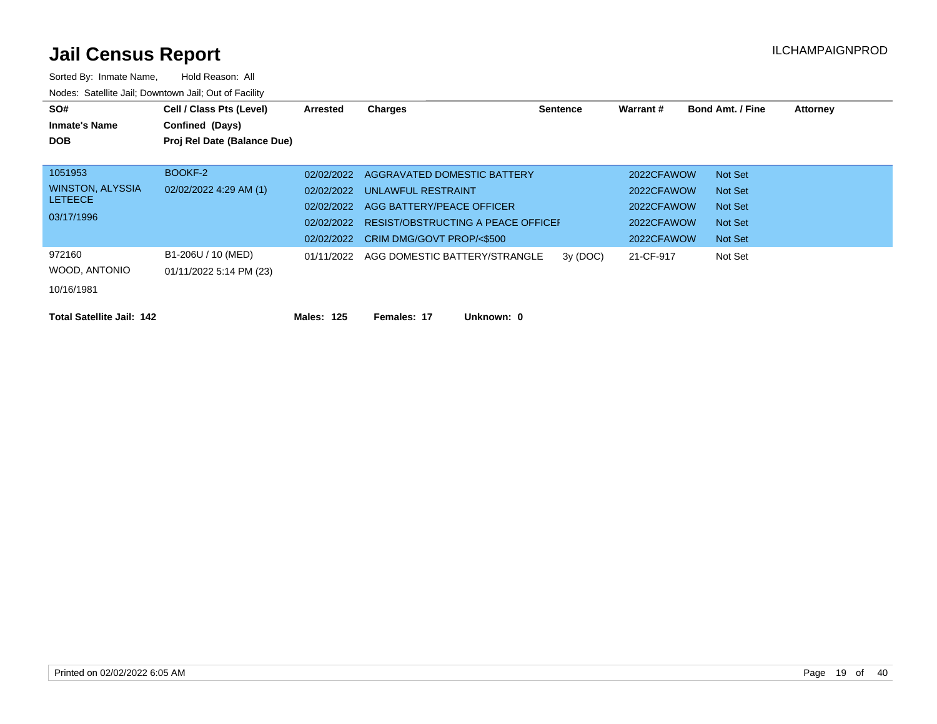| SO#                              | Cell / Class Pts (Level)    | <b>Arrested</b> | Charges                                  | <b>Sentence</b> | Warrant#   | <b>Bond Amt. / Fine</b> | <b>Attorney</b> |
|----------------------------------|-----------------------------|-----------------|------------------------------------------|-----------------|------------|-------------------------|-----------------|
| <b>Inmate's Name</b>             | Confined (Days)             |                 |                                          |                 |            |                         |                 |
| <b>DOB</b>                       | Proj Rel Date (Balance Due) |                 |                                          |                 |            |                         |                 |
|                                  |                             |                 |                                          |                 |            |                         |                 |
| 1051953                          | BOOKF-2                     | 02/02/2022      | AGGRAVATED DOMESTIC BATTERY              |                 | 2022CFAWOW | Not Set                 |                 |
| WINSTON, ALYSSIA                 | 02/02/2022 4:29 AM (1)      |                 | 02/02/2022 UNLAWFUL RESTRAINT            |                 | 2022CFAWOW | <b>Not Set</b>          |                 |
| <b>LETEECE</b>                   |                             | 02/02/2022      | AGG BATTERY/PEACE OFFICER                |                 | 2022CFAWOW | Not Set                 |                 |
| 03/17/1996                       |                             | 02/02/2022      | RESIST/OBSTRUCTING A PEACE OFFICEI       |                 | 2022CFAWOW | <b>Not Set</b>          |                 |
|                                  |                             | 02/02/2022      | CRIM DMG/GOVT PROP/<\$500                |                 | 2022CFAWOW | Not Set                 |                 |
| 972160                           | B1-206U / 10 (MED)          |                 | 01/11/2022 AGG DOMESTIC BATTERY/STRANGLE | 3y(DOC)         | 21-CF-917  | Not Set                 |                 |
| WOOD, ANTONIO                    | 01/11/2022 5:14 PM (23)     |                 |                                          |                 |            |                         |                 |
| 10/16/1981                       |                             |                 |                                          |                 |            |                         |                 |
|                                  |                             |                 |                                          |                 |            |                         |                 |
| <b>Total Satellite Jail: 142</b> |                             | Males: 125      | Females: 17<br>Unknown: 0                |                 |            |                         |                 |
|                                  |                             |                 |                                          |                 |            |                         |                 |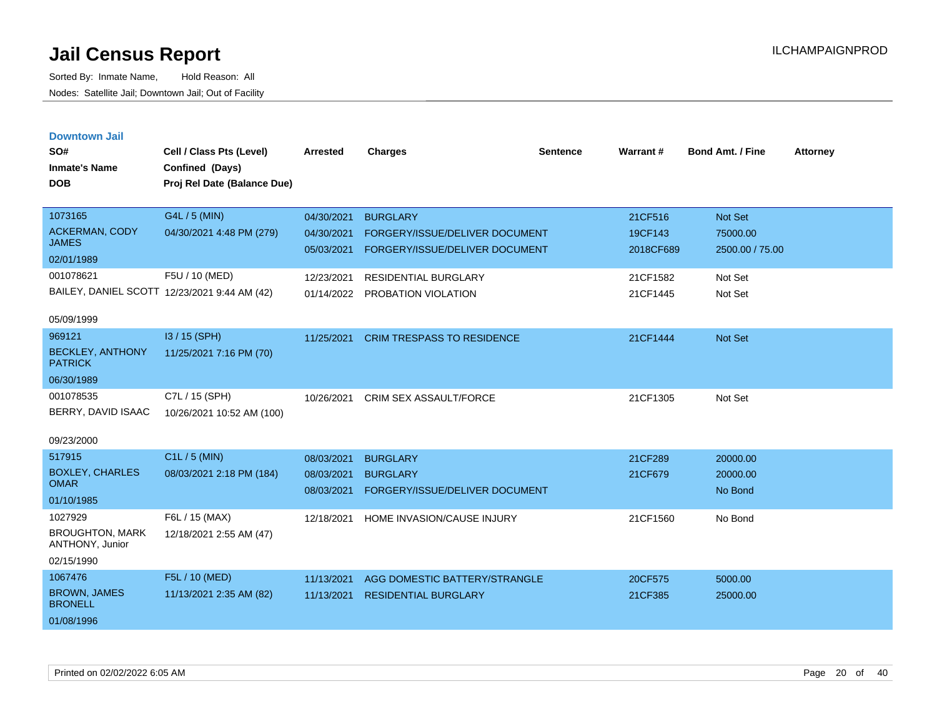| <b>Downtown Jail</b><br>SO#<br><b>Inmate's Name</b><br><b>DOB</b> | Cell / Class Pts (Level)<br>Confined (Days)<br>Proj Rel Date (Balance Due) | <b>Arrested</b>          | <b>Charges</b>                    | <b>Sentence</b> | Warrant#  | <b>Bond Amt. / Fine</b> | <b>Attorney</b> |
|-------------------------------------------------------------------|----------------------------------------------------------------------------|--------------------------|-----------------------------------|-----------------|-----------|-------------------------|-----------------|
| 1073165                                                           | G4L / 5 (MIN)                                                              | 04/30/2021               | <b>BURGLARY</b>                   |                 | 21CF516   | <b>Not Set</b>          |                 |
| <b>ACKERMAN, CODY</b><br><b>JAMES</b>                             | 04/30/2021 4:48 PM (279)                                                   | 04/30/2021<br>05/03/2021 | FORGERY/ISSUE/DELIVER DOCUMENT    |                 | 19CF143   | 75000.00                |                 |
| 02/01/1989                                                        |                                                                            |                          | FORGERY/ISSUE/DELIVER DOCUMENT    |                 | 2018CF689 | 2500.00 / 75.00         |                 |
| 001078621                                                         | F5U / 10 (MED)                                                             | 12/23/2021               | <b>RESIDENTIAL BURGLARY</b>       |                 | 21CF1582  | Not Set                 |                 |
| BAILEY, DANIEL SCOTT 12/23/2021 9:44 AM (42)                      |                                                                            | 01/14/2022               | PROBATION VIOLATION               |                 | 21CF1445  | Not Set                 |                 |
| 05/09/1999                                                        |                                                                            |                          |                                   |                 |           |                         |                 |
| 969121                                                            | $13/15$ (SPH)                                                              | 11/25/2021               | <b>CRIM TRESPASS TO RESIDENCE</b> |                 | 21CF1444  | <b>Not Set</b>          |                 |
| <b>BECKLEY, ANTHONY</b><br><b>PATRICK</b>                         | 11/25/2021 7:16 PM (70)                                                    |                          |                                   |                 |           |                         |                 |
| 06/30/1989                                                        |                                                                            |                          |                                   |                 |           |                         |                 |
| 001078535                                                         | C7L / 15 (SPH)                                                             | 10/26/2021               | <b>CRIM SEX ASSAULT/FORCE</b>     |                 | 21CF1305  | Not Set                 |                 |
| BERRY, DAVID ISAAC                                                | 10/26/2021 10:52 AM (100)                                                  |                          |                                   |                 |           |                         |                 |
| 09/23/2000                                                        |                                                                            |                          |                                   |                 |           |                         |                 |
| 517915                                                            | $C1L / 5$ (MIN)                                                            | 08/03/2021               | <b>BURGLARY</b>                   |                 | 21CF289   | 20000.00                |                 |
| <b>BOXLEY, CHARLES</b><br><b>OMAR</b>                             | 08/03/2021 2:18 PM (184)                                                   | 08/03/2021               | <b>BURGLARY</b>                   |                 | 21CF679   | 20000.00                |                 |
| 01/10/1985                                                        |                                                                            | 08/03/2021               | FORGERY/ISSUE/DELIVER DOCUMENT    |                 |           | No Bond                 |                 |
| 1027929                                                           | F6L / 15 (MAX)                                                             | 12/18/2021               | HOME INVASION/CAUSE INJURY        |                 | 21CF1560  | No Bond                 |                 |
| <b>BROUGHTON, MARK</b><br>ANTHONY, Junior                         | 12/18/2021 2:55 AM (47)                                                    |                          |                                   |                 |           |                         |                 |
| 02/15/1990                                                        |                                                                            |                          |                                   |                 |           |                         |                 |
| 1067476                                                           | F5L / 10 (MED)                                                             | 11/13/2021               | AGG DOMESTIC BATTERY/STRANGLE     |                 | 20CF575   | 5000.00                 |                 |
| <b>BROWN, JAMES</b><br><b>BRONELL</b>                             | 11/13/2021 2:35 AM (82)                                                    | 11/13/2021               | <b>RESIDENTIAL BURGLARY</b>       |                 | 21CF385   | 25000.00                |                 |
| 01/08/1996                                                        |                                                                            |                          |                                   |                 |           |                         |                 |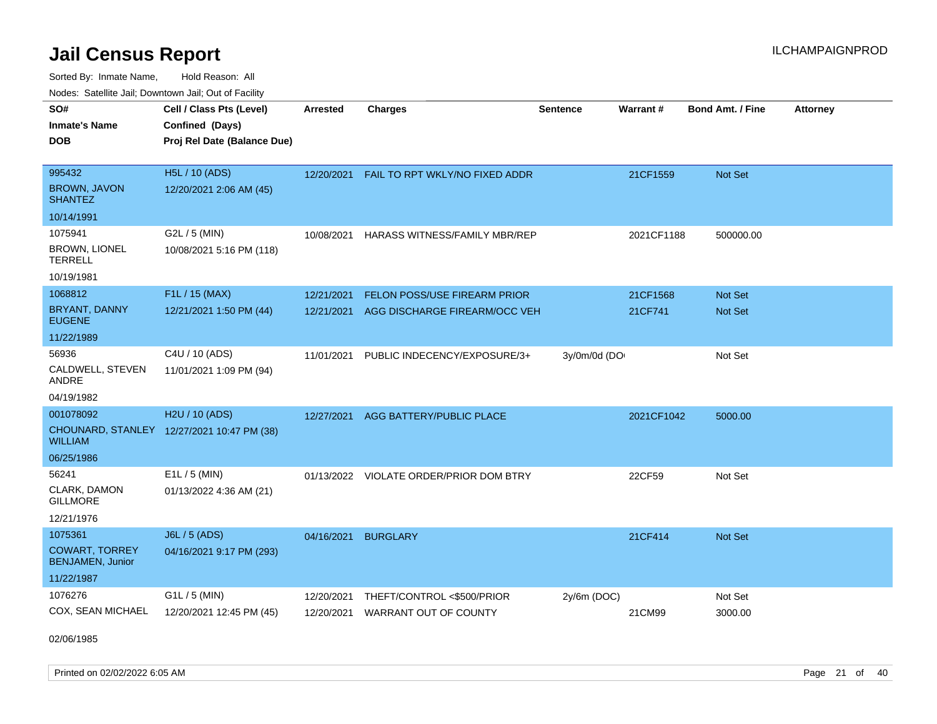Sorted By: Inmate Name, Hold Reason: All Nodes: Satellite Jail; Downtown Jail; Out of Facility

| SO#<br><b>Inmate's Name</b><br><b>DOB</b>        | Cell / Class Pts (Level)<br>Confined (Days)<br>Proj Rel Date (Balance Due) | <b>Arrested</b> | <b>Charges</b>                          | <b>Sentence</b> | Warrant#   | <b>Bond Amt. / Fine</b> | <b>Attorney</b> |
|--------------------------------------------------|----------------------------------------------------------------------------|-----------------|-----------------------------------------|-----------------|------------|-------------------------|-----------------|
| 995432                                           | <b>H5L / 10 (ADS)</b>                                                      | 12/20/2021      | FAIL TO RPT WKLY/NO FIXED ADDR          |                 | 21CF1559   | Not Set                 |                 |
| <b>BROWN, JAVON</b><br>SHANTEZ                   | 12/20/2021 2:06 AM (45)                                                    |                 |                                         |                 |            |                         |                 |
| 10/14/1991                                       |                                                                            |                 |                                         |                 |            |                         |                 |
| 1075941                                          | G2L / 5 (MIN)                                                              | 10/08/2021      | HARASS WITNESS/FAMILY MBR/REP           |                 | 2021CF1188 | 500000.00               |                 |
| <b>BROWN, LIONEL</b><br><b>TERRELL</b>           | 10/08/2021 5:16 PM (118)                                                   |                 |                                         |                 |            |                         |                 |
| 10/19/1981                                       |                                                                            |                 |                                         |                 |            |                         |                 |
| 1068812                                          | F1L / 15 (MAX)                                                             | 12/21/2021      | FELON POSS/USE FIREARM PRIOR            |                 | 21CF1568   | <b>Not Set</b>          |                 |
| <b>BRYANT, DANNY</b><br><b>EUGENE</b>            | 12/21/2021 1:50 PM (44)                                                    | 12/21/2021      | AGG DISCHARGE FIREARM/OCC VEH           |                 | 21CF741    | <b>Not Set</b>          |                 |
| 11/22/1989                                       |                                                                            |                 |                                         |                 |            |                         |                 |
| 56936                                            | C4U / 10 (ADS)                                                             | 11/01/2021      | PUBLIC INDECENCY/EXPOSURE/3+            | 3y/0m/0d (DO    |            | Not Set                 |                 |
| CALDWELL, STEVEN<br>ANDRE                        | 11/01/2021 1:09 PM (94)                                                    |                 |                                         |                 |            |                         |                 |
| 04/19/1982                                       |                                                                            |                 |                                         |                 |            |                         |                 |
| 001078092                                        | H <sub>2</sub> U / 10 (ADS)                                                | 12/27/2021      | AGG BATTERY/PUBLIC PLACE                |                 | 2021CF1042 | 5000.00                 |                 |
| WILLIAM                                          | CHOUNARD, STANLEY 12/27/2021 10:47 PM (38)                                 |                 |                                         |                 |            |                         |                 |
| 06/25/1986                                       |                                                                            |                 |                                         |                 |            |                         |                 |
| 56241                                            | $E1L / 5$ (MIN)                                                            |                 | 01/13/2022 VIOLATE ORDER/PRIOR DOM BTRY |                 | 22CF59     | Not Set                 |                 |
| CLARK, DAMON<br><b>GILLMORE</b>                  | 01/13/2022 4:36 AM (21)                                                    |                 |                                         |                 |            |                         |                 |
| 12/21/1976                                       |                                                                            |                 |                                         |                 |            |                         |                 |
| 1075361                                          | J6L / 5 (ADS)                                                              | 04/16/2021      | <b>BURGLARY</b>                         |                 | 21CF414    | <b>Not Set</b>          |                 |
| <b>COWART, TORREY</b><br><b>BENJAMEN, Junior</b> | 04/16/2021 9:17 PM (293)                                                   |                 |                                         |                 |            |                         |                 |
| 11/22/1987                                       |                                                                            |                 |                                         |                 |            |                         |                 |
| 1076276                                          | G1L / 5 (MIN)                                                              | 12/20/2021      | THEFT/CONTROL <\$500/PRIOR              | 2y/6m (DOC)     |            | Not Set                 |                 |
| COX, SEAN MICHAEL                                | 12/20/2021 12:45 PM (45)                                                   | 12/20/2021      | WARRANT OUT OF COUNTY                   |                 | 21CM99     | 3000.00                 |                 |

02/06/1985

Printed on 02/02/2022 6:05 AM Page 21 of 40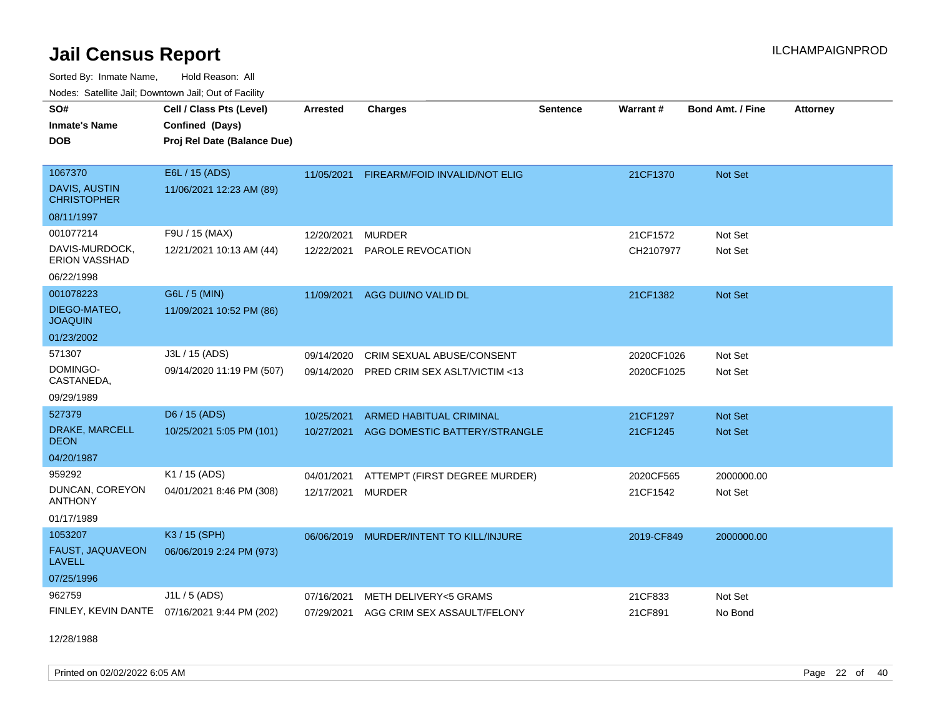Sorted By: Inmate Name, Hold Reason: All Nodes: Satellite Jail; Downtown Jail; Out of Facility

| Noucs. Calcinic Jail, Downtown Jail, Out of Facility |                                              |                 |                                      |                 |                 |                         |                 |
|------------------------------------------------------|----------------------------------------------|-----------------|--------------------------------------|-----------------|-----------------|-------------------------|-----------------|
| SO#                                                  | Cell / Class Pts (Level)                     | <b>Arrested</b> | <b>Charges</b>                       | <b>Sentence</b> | <b>Warrant#</b> | <b>Bond Amt. / Fine</b> | <b>Attorney</b> |
| <b>Inmate's Name</b>                                 | Confined (Days)                              |                 |                                      |                 |                 |                         |                 |
| <b>DOB</b>                                           | Proj Rel Date (Balance Due)                  |                 |                                      |                 |                 |                         |                 |
|                                                      |                                              |                 |                                      |                 |                 |                         |                 |
| 1067370                                              | E6L / 15 (ADS)                               | 11/05/2021      | <b>FIREARM/FOID INVALID/NOT ELIG</b> |                 | 21CF1370        | Not Set                 |                 |
| DAVIS, AUSTIN<br><b>CHRISTOPHER</b>                  | 11/06/2021 12:23 AM (89)                     |                 |                                      |                 |                 |                         |                 |
| 08/11/1997                                           |                                              |                 |                                      |                 |                 |                         |                 |
| 001077214                                            | F9U / 15 (MAX)                               | 12/20/2021      | <b>MURDER</b>                        |                 | 21CF1572        | Not Set                 |                 |
| DAVIS-MURDOCK,<br><b>ERION VASSHAD</b>               | 12/21/2021 10:13 AM (44)                     | 12/22/2021      | PAROLE REVOCATION                    |                 | CH2107977       | Not Set                 |                 |
| 06/22/1998                                           |                                              |                 |                                      |                 |                 |                         |                 |
| 001078223                                            | G6L / 5 (MIN)                                | 11/09/2021      | AGG DUI/NO VALID DL                  |                 | 21CF1382        | Not Set                 |                 |
| DIEGO-MATEO,<br><b>JOAQUIN</b>                       | 11/09/2021 10:52 PM (86)                     |                 |                                      |                 |                 |                         |                 |
| 01/23/2002                                           |                                              |                 |                                      |                 |                 |                         |                 |
| 571307                                               | J3L / 15 (ADS)                               | 09/14/2020      | CRIM SEXUAL ABUSE/CONSENT            |                 | 2020CF1026      | Not Set                 |                 |
| DOMINGO-<br>CASTANEDA,                               | 09/14/2020 11:19 PM (507)                    | 09/14/2020      | PRED CRIM SEX ASLT/VICTIM <13        |                 | 2020CF1025      | Not Set                 |                 |
| 09/29/1989                                           |                                              |                 |                                      |                 |                 |                         |                 |
| 527379                                               | D6 / 15 (ADS)                                | 10/25/2021      | <b>ARMED HABITUAL CRIMINAL</b>       |                 | 21CF1297        | <b>Not Set</b>          |                 |
| DRAKE, MARCELL<br>DEON                               | 10/25/2021 5:05 PM (101)                     | 10/27/2021      | AGG DOMESTIC BATTERY/STRANGLE        |                 | 21CF1245        | <b>Not Set</b>          |                 |
| 04/20/1987                                           |                                              |                 |                                      |                 |                 |                         |                 |
| 959292                                               | K1 / 15 (ADS)                                | 04/01/2021      | ATTEMPT (FIRST DEGREE MURDER)        |                 | 2020CF565       | 2000000.00              |                 |
| DUNCAN, COREYON<br><b>ANTHONY</b>                    | 04/01/2021 8:46 PM (308)                     | 12/17/2021      | <b>MURDER</b>                        |                 | 21CF1542        | Not Set                 |                 |
| 01/17/1989                                           |                                              |                 |                                      |                 |                 |                         |                 |
| 1053207                                              | K3 / 15 (SPH)                                | 06/06/2019      | MURDER/INTENT TO KILL/INJURE         |                 | 2019-CF849      | 2000000.00              |                 |
| FAUST, JAQUAVEON<br>LAVELL                           | 06/06/2019 2:24 PM (973)                     |                 |                                      |                 |                 |                         |                 |
| 07/25/1996                                           |                                              |                 |                                      |                 |                 |                         |                 |
| 962759                                               | J1L / 5 (ADS)                                | 07/16/2021      | METH DELIVERY<5 GRAMS                |                 | 21CF833         | Not Set                 |                 |
|                                                      | FINLEY, KEVIN DANTE 07/16/2021 9:44 PM (202) | 07/29/2021      | AGG CRIM SEX ASSAULT/FELONY          |                 | 21CF891         | No Bond                 |                 |

12/28/1988

Printed on 02/02/2022 6:05 AM Page 22 of 40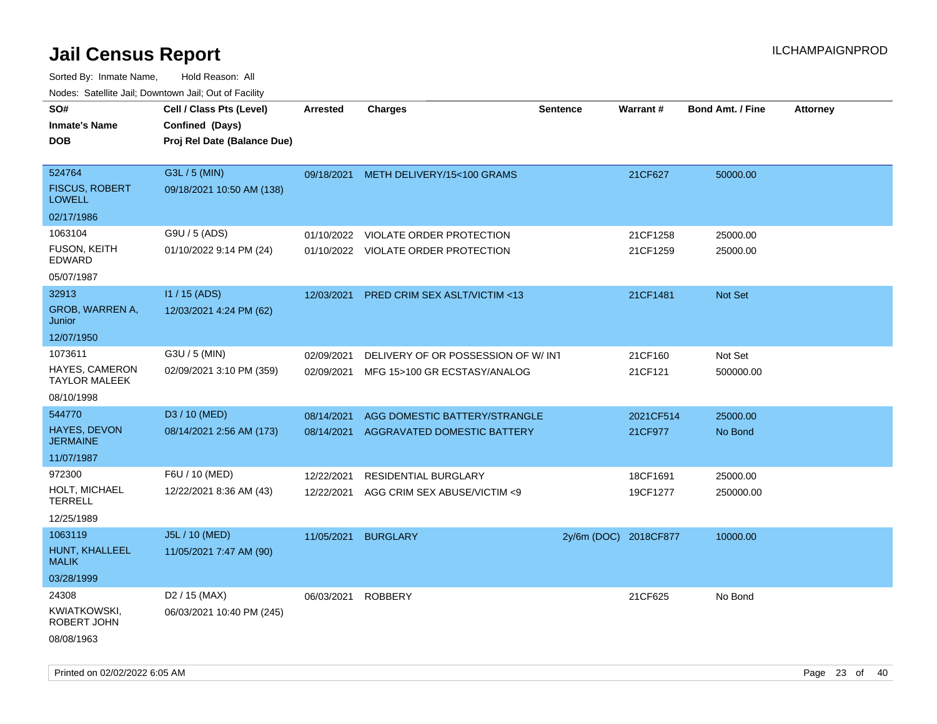| rouco. Calcinic Jan, Downtown Jan, Out of Facility |                                                                            |                 |                                         |                       |           |                         |                 |
|----------------------------------------------------|----------------------------------------------------------------------------|-----------------|-----------------------------------------|-----------------------|-----------|-------------------------|-----------------|
| SO#<br>Inmate's Name<br><b>DOB</b>                 | Cell / Class Pts (Level)<br>Confined (Days)<br>Proj Rel Date (Balance Due) | <b>Arrested</b> | <b>Charges</b>                          | <b>Sentence</b>       | Warrant#  | <b>Bond Amt. / Fine</b> | <b>Attorney</b> |
| 524764<br><b>FISCUS, ROBERT</b><br><b>LOWELL</b>   | G3L / 5 (MIN)<br>09/18/2021 10:50 AM (138)                                 |                 | 09/18/2021 METH DELIVERY/15<100 GRAMS   |                       | 21CF627   | 50000.00                |                 |
| 02/17/1986                                         |                                                                            |                 |                                         |                       |           |                         |                 |
| 1063104                                            | G9U / 5 (ADS)                                                              | 01/10/2022      | VIOLATE ORDER PROTECTION                |                       | 21CF1258  | 25000.00                |                 |
| FUSON, KEITH<br>EDWARD                             | 01/10/2022 9:14 PM (24)                                                    |                 | 01/10/2022 VIOLATE ORDER PROTECTION     |                       | 21CF1259  | 25000.00                |                 |
| 05/07/1987                                         |                                                                            |                 |                                         |                       |           |                         |                 |
| 32913                                              | I1 / 15 (ADS)                                                              | 12/03/2021      | <b>PRED CRIM SEX ASLT/VICTIM &lt;13</b> |                       | 21CF1481  | <b>Not Set</b>          |                 |
| <b>GROB, WARREN A,</b><br>Junior                   | 12/03/2021 4:24 PM (62)                                                    |                 |                                         |                       |           |                         |                 |
| 12/07/1950                                         |                                                                            |                 |                                         |                       |           |                         |                 |
| 1073611                                            | G3U / 5 (MIN)                                                              | 02/09/2021      | DELIVERY OF OR POSSESSION OF W/INT      |                       | 21CF160   | Not Set                 |                 |
| HAYES, CAMERON<br>TAYLOR MALEEK                    | 02/09/2021 3:10 PM (359)                                                   | 02/09/2021      | MFG 15>100 GR ECSTASY/ANALOG            |                       | 21CF121   | 500000.00               |                 |
| 08/10/1998                                         |                                                                            |                 |                                         |                       |           |                         |                 |
| 544770                                             | D3 / 10 (MED)                                                              | 08/14/2021      | AGG DOMESTIC BATTERY/STRANGLE           |                       | 2021CF514 | 25000.00                |                 |
| <b>HAYES, DEVON</b><br>JERMAINE                    | 08/14/2021 2:56 AM (173)                                                   | 08/14/2021      | AGGRAVATED DOMESTIC BATTERY             |                       | 21CF977   | No Bond                 |                 |
| 11/07/1987                                         |                                                                            |                 |                                         |                       |           |                         |                 |
| 972300                                             | F6U / 10 (MED)                                                             | 12/22/2021      | RESIDENTIAL BURGLARY                    |                       | 18CF1691  | 25000.00                |                 |
| HOLT, MICHAEL<br>TERRELL                           | 12/22/2021 8:36 AM (43)                                                    | 12/22/2021      | AGG CRIM SEX ABUSE/VICTIM <9            |                       | 19CF1277  | 250000.00               |                 |
| 12/25/1989                                         |                                                                            |                 |                                         |                       |           |                         |                 |
| 1063119                                            | J5L / 10 (MED)                                                             | 11/05/2021      | <b>BURGLARY</b>                         | 2y/6m (DOC) 2018CF877 |           | 10000.00                |                 |
| HUNT, KHALLEEL<br>MALIK                            | 11/05/2021 7:47 AM (90)                                                    |                 |                                         |                       |           |                         |                 |
| 03/28/1999                                         |                                                                            |                 |                                         |                       |           |                         |                 |
| 24308                                              | D <sub>2</sub> / 15 (MAX)                                                  | 06/03/2021      | <b>ROBBERY</b>                          |                       | 21CF625   | No Bond                 |                 |
| KWIATKOWSKI,<br>ROBERT JOHN                        | 06/03/2021 10:40 PM (245)                                                  |                 |                                         |                       |           |                         |                 |
| 08/08/1963                                         |                                                                            |                 |                                         |                       |           |                         |                 |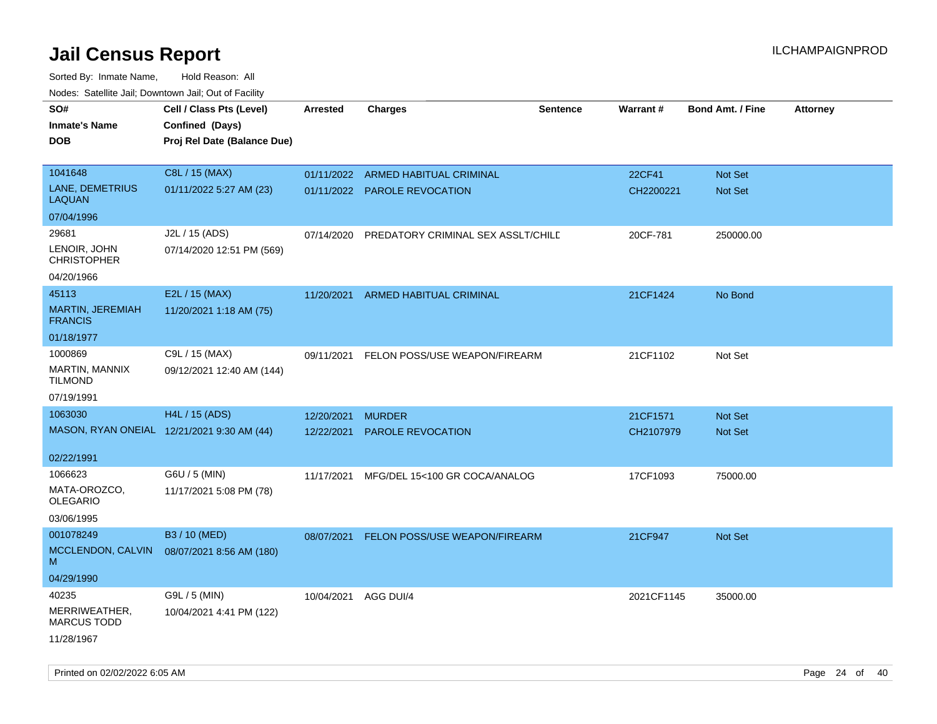| roaco. Catolino dall, Downtown dall, Out of Fability |                                            |                 |                                    |                 |                 |                         |                 |
|------------------------------------------------------|--------------------------------------------|-----------------|------------------------------------|-----------------|-----------------|-------------------------|-----------------|
| SO#                                                  | Cell / Class Pts (Level)                   | <b>Arrested</b> | Charges                            | <b>Sentence</b> | <b>Warrant#</b> | <b>Bond Amt. / Fine</b> | <b>Attorney</b> |
| <b>Inmate's Name</b>                                 | Confined (Days)                            |                 |                                    |                 |                 |                         |                 |
| <b>DOB</b>                                           | Proj Rel Date (Balance Due)                |                 |                                    |                 |                 |                         |                 |
|                                                      |                                            |                 |                                    |                 |                 |                         |                 |
| 1041648                                              | C8L / 15 (MAX)                             |                 | 01/11/2022 ARMED HABITUAL CRIMINAL |                 | 22CF41          | Not Set                 |                 |
| LANE, DEMETRIUS<br><b>LAQUAN</b>                     | 01/11/2022 5:27 AM (23)                    |                 | 01/11/2022 PAROLE REVOCATION       |                 | CH2200221       | Not Set                 |                 |
| 07/04/1996                                           |                                            |                 |                                    |                 |                 |                         |                 |
| 29681                                                | J2L / 15 (ADS)                             | 07/14/2020      | PREDATORY CRIMINAL SEX ASSLT/CHILE |                 | 20CF-781        | 250000.00               |                 |
| LENOIR, JOHN<br><b>CHRISTOPHER</b>                   | 07/14/2020 12:51 PM (569)                  |                 |                                    |                 |                 |                         |                 |
| 04/20/1966                                           |                                            |                 |                                    |                 |                 |                         |                 |
| 45113                                                | E2L / 15 (MAX)                             | 11/20/2021      | ARMED HABITUAL CRIMINAL            |                 | 21CF1424        | No Bond                 |                 |
| MARTIN, JEREMIAH<br><b>FRANCIS</b>                   | 11/20/2021 1:18 AM (75)                    |                 |                                    |                 |                 |                         |                 |
| 01/18/1977                                           |                                            |                 |                                    |                 |                 |                         |                 |
| 1000869                                              | C9L / 15 (MAX)                             | 09/11/2021      | FELON POSS/USE WEAPON/FIREARM      |                 | 21CF1102        | Not Set                 |                 |
| <b>MARTIN, MANNIX</b><br>TILMOND                     | 09/12/2021 12:40 AM (144)                  |                 |                                    |                 |                 |                         |                 |
| 07/19/1991                                           |                                            |                 |                                    |                 |                 |                         |                 |
| 1063030                                              | H4L / 15 (ADS)                             | 12/20/2021      | <b>MURDER</b>                      |                 | 21CF1571        | <b>Not Set</b>          |                 |
|                                                      | MASON, RYAN ONEIAL 12/21/2021 9:30 AM (44) | 12/22/2021      | <b>PAROLE REVOCATION</b>           |                 | CH2107979       | Not Set                 |                 |
|                                                      |                                            |                 |                                    |                 |                 |                         |                 |
| 02/22/1991                                           |                                            |                 |                                    |                 |                 |                         |                 |
| 1066623                                              | G6U / 5 (MIN)                              | 11/17/2021      | MFG/DEL 15<100 GR COCA/ANALOG      |                 | 17CF1093        | 75000.00                |                 |
| MATA-OROZCO.<br>OLEGARIO                             | 11/17/2021 5:08 PM (78)                    |                 |                                    |                 |                 |                         |                 |
| 03/06/1995                                           |                                            |                 |                                    |                 |                 |                         |                 |
| 001078249                                            | B3 / 10 (MED)                              | 08/07/2021      | FELON POSS/USE WEAPON/FIREARM      |                 | 21CF947         | <b>Not Set</b>          |                 |
| MCCLENDON, CALVIN<br>M                               | 08/07/2021 8:56 AM (180)                   |                 |                                    |                 |                 |                         |                 |
| 04/29/1990                                           |                                            |                 |                                    |                 |                 |                         |                 |
| 40235                                                | G9L / 5 (MIN)                              | 10/04/2021      | AGG DUI/4                          |                 | 2021CF1145      | 35000.00                |                 |
| MERRIWEATHER,<br><b>MARCUS TODD</b>                  | 10/04/2021 4:41 PM (122)                   |                 |                                    |                 |                 |                         |                 |
| 11/28/1967                                           |                                            |                 |                                    |                 |                 |                         |                 |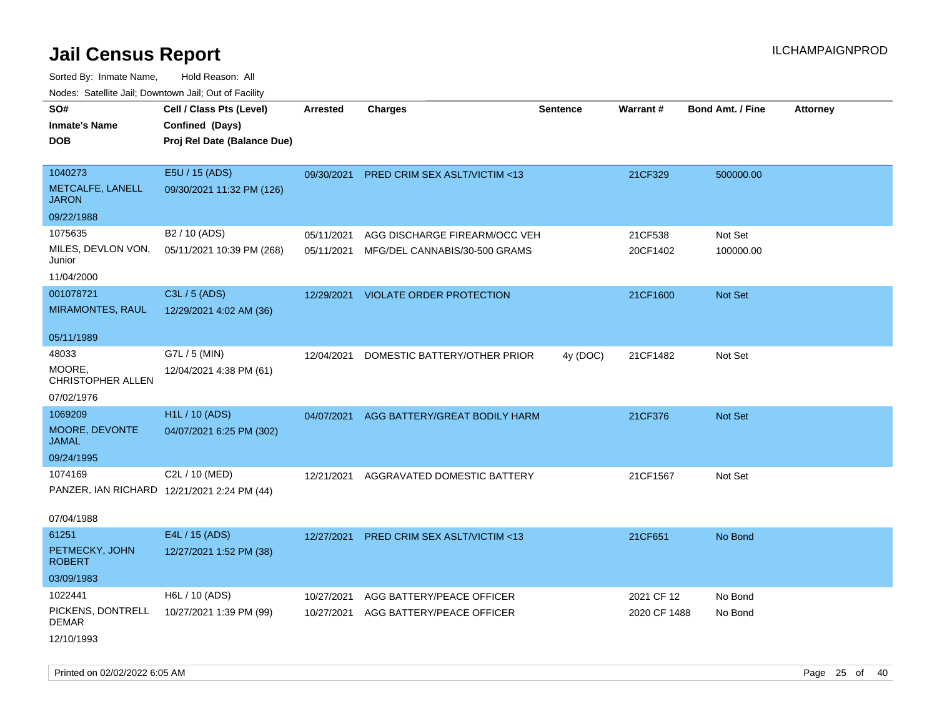Sorted By: Inmate Name, Hold Reason: All Nodes: Satellite Jail; Downtown Jail; Out of Facility

| rouco. Calcinic Jan, Downtown Jan, Out of Facility |                                                                            |                 |                                     |                 |              |                         |                 |
|----------------------------------------------------|----------------------------------------------------------------------------|-----------------|-------------------------------------|-----------------|--------------|-------------------------|-----------------|
| SO#<br>Inmate's Name<br><b>DOB</b>                 | Cell / Class Pts (Level)<br>Confined (Days)<br>Proj Rel Date (Balance Due) | <b>Arrested</b> | <b>Charges</b>                      | <b>Sentence</b> | Warrant#     | <b>Bond Amt. / Fine</b> | <b>Attorney</b> |
| 1040273<br>METCALFE, LANELL<br>JARON               | E5U / 15 (ADS)<br>09/30/2021 11:32 PM (126)                                | 09/30/2021      | PRED CRIM SEX ASLT/VICTIM <13       |                 | 21CF329      | 500000.00               |                 |
| 09/22/1988                                         |                                                                            |                 |                                     |                 |              |                         |                 |
| 1075635                                            | B <sub>2</sub> / 10 (ADS)                                                  | 05/11/2021      | AGG DISCHARGE FIREARM/OCC VEH       |                 | 21CF538      | Not Set                 |                 |
| MILES, DEVLON VON,<br>Junior                       | 05/11/2021 10:39 PM (268)                                                  | 05/11/2021      | MFG/DEL CANNABIS/30-500 GRAMS       |                 | 20CF1402     | 100000.00               |                 |
| 11/04/2000                                         |                                                                            |                 |                                     |                 |              |                         |                 |
| 001078721                                          | C3L / 5 (ADS)                                                              |                 | 12/29/2021 VIOLATE ORDER PROTECTION |                 | 21CF1600     | <b>Not Set</b>          |                 |
| <b>MIRAMONTES, RAUL</b>                            | 12/29/2021 4:02 AM (36)                                                    |                 |                                     |                 |              |                         |                 |
| 05/11/1989                                         |                                                                            |                 |                                     |                 |              |                         |                 |
| 48033                                              | G7L / 5 (MIN)                                                              | 12/04/2021      | DOMESTIC BATTERY/OTHER PRIOR        | 4y (DOC)        | 21CF1482     | Not Set                 |                 |
| MOORE.<br><b>CHRISTOPHER ALLEN</b>                 | 12/04/2021 4:38 PM (61)                                                    |                 |                                     |                 |              |                         |                 |
| 07/02/1976                                         |                                                                            |                 |                                     |                 |              |                         |                 |
| 1069209                                            | H <sub>1</sub> L / 10 (ADS)                                                | 04/07/2021      | AGG BATTERY/GREAT BODILY HARM       |                 | 21CF376      | <b>Not Set</b>          |                 |
| MOORE, DEVONTE<br>JAMAL                            | 04/07/2021 6:25 PM (302)                                                   |                 |                                     |                 |              |                         |                 |
| 09/24/1995                                         |                                                                            |                 |                                     |                 |              |                         |                 |
| 1074169                                            | C2L / 10 (MED)                                                             | 12/21/2021      | AGGRAVATED DOMESTIC BATTERY         |                 | 21CF1567     | Not Set                 |                 |
|                                                    | PANZER, IAN RICHARD 12/21/2021 2:24 PM (44)                                |                 |                                     |                 |              |                         |                 |
| 07/04/1988                                         |                                                                            |                 |                                     |                 |              |                         |                 |
| 61251                                              | E4L / 15 (ADS)                                                             | 12/27/2021      | PRED CRIM SEX ASLT/VICTIM <13       |                 | 21CF651      | No Bond                 |                 |
| PETMECKY, JOHN<br>ROBERT                           | 12/27/2021 1:52 PM (38)                                                    |                 |                                     |                 |              |                         |                 |
| 03/09/1983                                         |                                                                            |                 |                                     |                 |              |                         |                 |
| 1022441                                            | H6L / 10 (ADS)                                                             | 10/27/2021      | AGG BATTERY/PEACE OFFICER           |                 | 2021 CF 12   | No Bond                 |                 |
| PICKENS, DONTRELL<br>DEMAR                         | 10/27/2021 1:39 PM (99)                                                    | 10/27/2021      | AGG BATTERY/PEACE OFFICER           |                 | 2020 CF 1488 | No Bond                 |                 |
| 12/10/1993                                         |                                                                            |                 |                                     |                 |              |                         |                 |

Printed on 02/02/2022 6:05 AM Page 25 of 40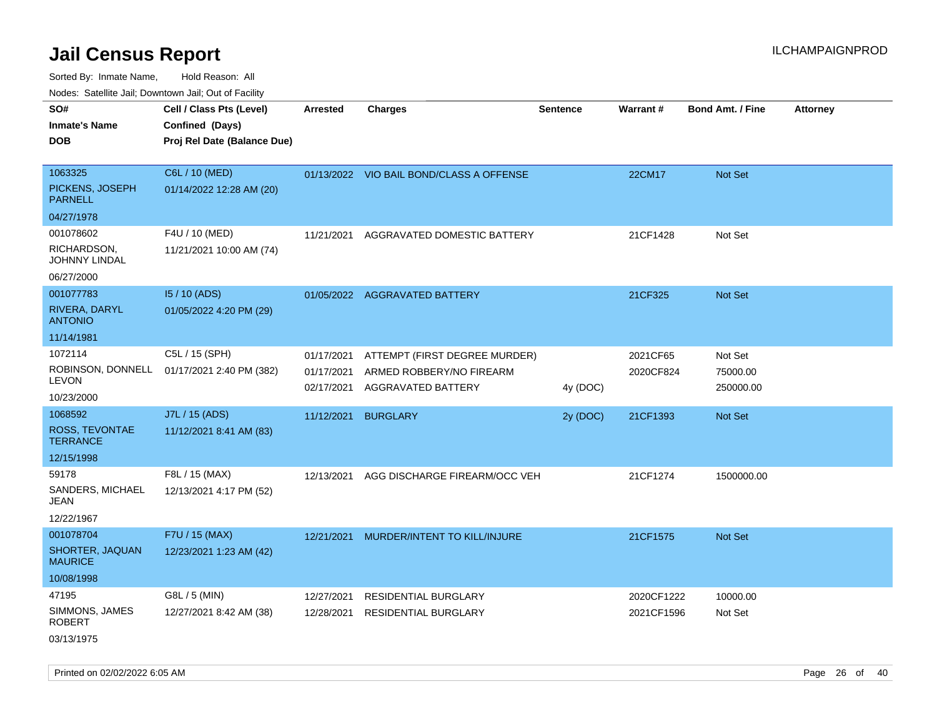Sorted By: Inmate Name, Hold Reason: All Nodes: Satellite Jail; Downtown Jail; Out of Facility

| rouco. Calcinic Jan, Downtown Jan, Out of Facility                    |                                                                            |                                        |                                                                                 |                 |                          |                                  |                 |
|-----------------------------------------------------------------------|----------------------------------------------------------------------------|----------------------------------------|---------------------------------------------------------------------------------|-----------------|--------------------------|----------------------------------|-----------------|
| SO#<br>Inmate's Name<br><b>DOB</b>                                    | Cell / Class Pts (Level)<br>Confined (Days)<br>Proj Rel Date (Balance Due) | <b>Arrested</b>                        | <b>Charges</b>                                                                  | <b>Sentence</b> | Warrant#                 | <b>Bond Amt. / Fine</b>          | <b>Attorney</b> |
| 1063325<br>PICKENS, JOSEPH<br><b>PARNELL</b>                          | C6L / 10 (MED)<br>01/14/2022 12:28 AM (20)                                 |                                        | 01/13/2022 VIO BAIL BOND/CLASS A OFFENSE                                        |                 | 22CM17                   | Not Set                          |                 |
| 04/27/1978<br>001078602<br>RICHARDSON,<br>JOHNNY LINDAL<br>06/27/2000 | F4U / 10 (MED)<br>11/21/2021 10:00 AM (74)                                 | 11/21/2021                             | AGGRAVATED DOMESTIC BATTERY                                                     |                 | 21CF1428                 | Not Set                          |                 |
| 001077783<br>RIVERA, DARYL<br><b>ANTONIO</b><br>11/14/1981            | 15 / 10 (ADS)<br>01/05/2022 4:20 PM (29)                                   |                                        | 01/05/2022 AGGRAVATED BATTERY                                                   |                 | 21CF325                  | Not Set                          |                 |
| 1072114<br>ROBINSON, DONNELL<br>LEVON<br>10/23/2000                   | C5L / 15 (SPH)<br>01/17/2021 2:40 PM (382)                                 | 01/17/2021<br>01/17/2021<br>02/17/2021 | ATTEMPT (FIRST DEGREE MURDER)<br>ARMED ROBBERY/NO FIREARM<br>AGGRAVATED BATTERY | 4y (DOC)        | 2021CF65<br>2020CF824    | Not Set<br>75000.00<br>250000.00 |                 |
| 1068592<br>ROSS, TEVONTAE<br>TERRANCE<br>12/15/1998                   | J7L / 15 (ADS)<br>11/12/2021 8:41 AM (83)                                  | 11/12/2021                             | <b>BURGLARY</b>                                                                 | 2y (DOC)        | 21CF1393                 | <b>Not Set</b>                   |                 |
| 59178<br>SANDERS, MICHAEL<br>JEAN<br>12/22/1967                       | F8L / 15 (MAX)<br>12/13/2021 4:17 PM (52)                                  | 12/13/2021                             | AGG DISCHARGE FIREARM/OCC VEH                                                   |                 | 21CF1274                 | 1500000.00                       |                 |
| 001078704<br>SHORTER, JAQUAN<br>MAURICE<br>10/08/1998                 | F7U / 15 (MAX)<br>12/23/2021 1:23 AM (42)                                  | 12/21/2021                             | MURDER/INTENT TO KILL/INJURE                                                    |                 | 21CF1575                 | Not Set                          |                 |
| 47195<br>SIMMONS, JAMES<br>ROBERT<br>03/13/1975                       | G8L / 5 (MIN)<br>12/27/2021 8:42 AM (38)                                   | 12/27/2021<br>12/28/2021               | <b>RESIDENTIAL BURGLARY</b><br><b>RESIDENTIAL BURGLARY</b>                      |                 | 2020CF1222<br>2021CF1596 | 10000.00<br>Not Set              |                 |

Printed on 02/02/2022 6:05 AM Page 26 of 40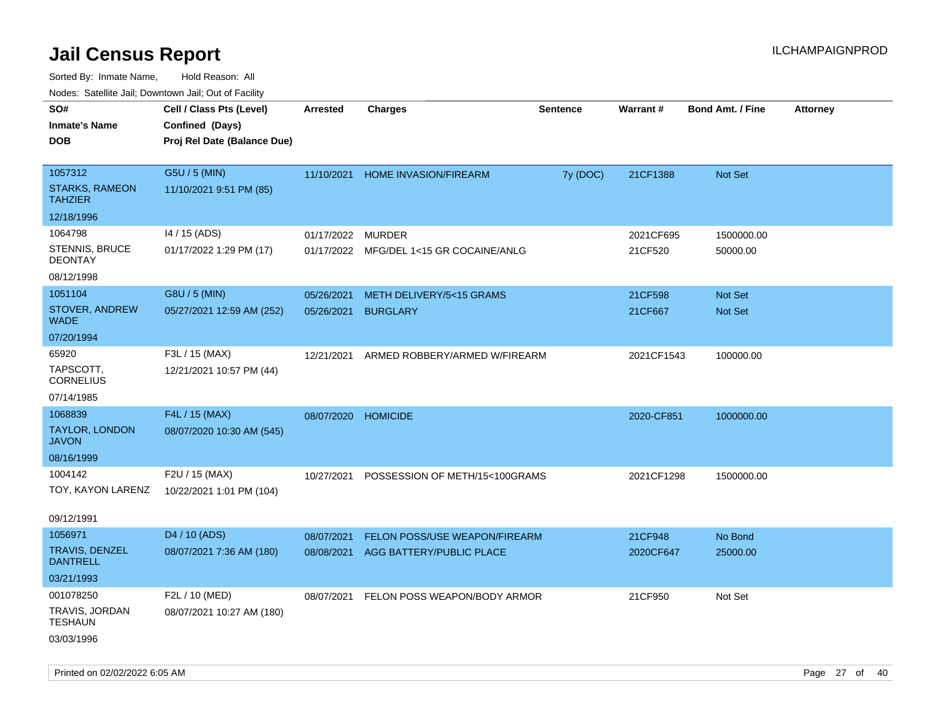| ivuutos. Saltiilit Jall, Duwilluwii Jall, Oul of Facility |                             |                     |                                         |                 |            |                         |                 |
|-----------------------------------------------------------|-----------------------------|---------------------|-----------------------------------------|-----------------|------------|-------------------------|-----------------|
| SO#                                                       | Cell / Class Pts (Level)    | <b>Arrested</b>     | <b>Charges</b>                          | <b>Sentence</b> | Warrant#   | <b>Bond Amt. / Fine</b> | <b>Attorney</b> |
| <b>Inmate's Name</b>                                      | Confined (Days)             |                     |                                         |                 |            |                         |                 |
| <b>DOB</b>                                                | Proj Rel Date (Balance Due) |                     |                                         |                 |            |                         |                 |
|                                                           |                             |                     |                                         |                 |            |                         |                 |
| 1057312                                                   | G5U / 5 (MIN)               |                     | 11/10/2021 HOME INVASION/FIREARM        | 7y (DOC)        | 21CF1388   | Not Set                 |                 |
| <b>STARKS, RAMEON</b><br><b>TAHZIER</b>                   | 11/10/2021 9:51 PM (85)     |                     |                                         |                 |            |                         |                 |
| 12/18/1996                                                |                             |                     |                                         |                 |            |                         |                 |
| 1064798                                                   | 14 / 15 (ADS)               | 01/17/2022          | <b>MURDER</b>                           |                 | 2021CF695  | 1500000.00              |                 |
| STENNIS, BRUCE<br><b>DEONTAY</b>                          | 01/17/2022 1:29 PM (17)     |                     | 01/17/2022 MFG/DEL 1<15 GR COCAINE/ANLG |                 | 21CF520    | 50000.00                |                 |
| 08/12/1998                                                |                             |                     |                                         |                 |            |                         |                 |
| 1051104                                                   | G8U / 5 (MIN)               | 05/26/2021          | METH DELIVERY/5<15 GRAMS                |                 | 21CF598    | Not Set                 |                 |
| STOVER, ANDREW<br><b>WADE</b>                             | 05/27/2021 12:59 AM (252)   | 05/26/2021          | <b>BURGLARY</b>                         |                 | 21CF667    | Not Set                 |                 |
| 07/20/1994                                                |                             |                     |                                         |                 |            |                         |                 |
| 65920                                                     | F3L / 15 (MAX)              | 12/21/2021          | ARMED ROBBERY/ARMED W/FIREARM           |                 | 2021CF1543 | 100000.00               |                 |
| TAPSCOTT,<br><b>CORNELIUS</b>                             | 12/21/2021 10:57 PM (44)    |                     |                                         |                 |            |                         |                 |
| 07/14/1985                                                |                             |                     |                                         |                 |            |                         |                 |
| 1068839                                                   | F4L / 15 (MAX)              | 08/07/2020 HOMICIDE |                                         |                 | 2020-CF851 | 1000000.00              |                 |
| <b>TAYLOR, LONDON</b><br><b>JAVON</b>                     | 08/07/2020 10:30 AM (545)   |                     |                                         |                 |            |                         |                 |
| 08/16/1999                                                |                             |                     |                                         |                 |            |                         |                 |
| 1004142                                                   | F2U / 15 (MAX)              | 10/27/2021          | POSSESSION OF METH/15<100GRAMS          |                 | 2021CF1298 | 1500000.00              |                 |
| TOY, KAYON LARENZ                                         | 10/22/2021 1:01 PM (104)    |                     |                                         |                 |            |                         |                 |
|                                                           |                             |                     |                                         |                 |            |                         |                 |
| 09/12/1991                                                |                             |                     |                                         |                 |            |                         |                 |
| 1056971                                                   | D4 / 10 (ADS)               | 08/07/2021          | <b>FELON POSS/USE WEAPON/FIREARM</b>    |                 | 21CF948    | No Bond                 |                 |
| <b>TRAVIS, DENZEL</b><br><b>DANTRELL</b>                  | 08/07/2021 7:36 AM (180)    | 08/08/2021          | AGG BATTERY/PUBLIC PLACE                |                 | 2020CF647  | 25000.00                |                 |
| 03/21/1993                                                |                             |                     |                                         |                 |            |                         |                 |
| 001078250                                                 | F2L / 10 (MED)              | 08/07/2021          | FELON POSS WEAPON/BODY ARMOR            |                 | 21CF950    | Not Set                 |                 |
| TRAVIS, JORDAN<br><b>TESHAUN</b>                          | 08/07/2021 10:27 AM (180)   |                     |                                         |                 |            |                         |                 |
| 03/03/1996                                                |                             |                     |                                         |                 |            |                         |                 |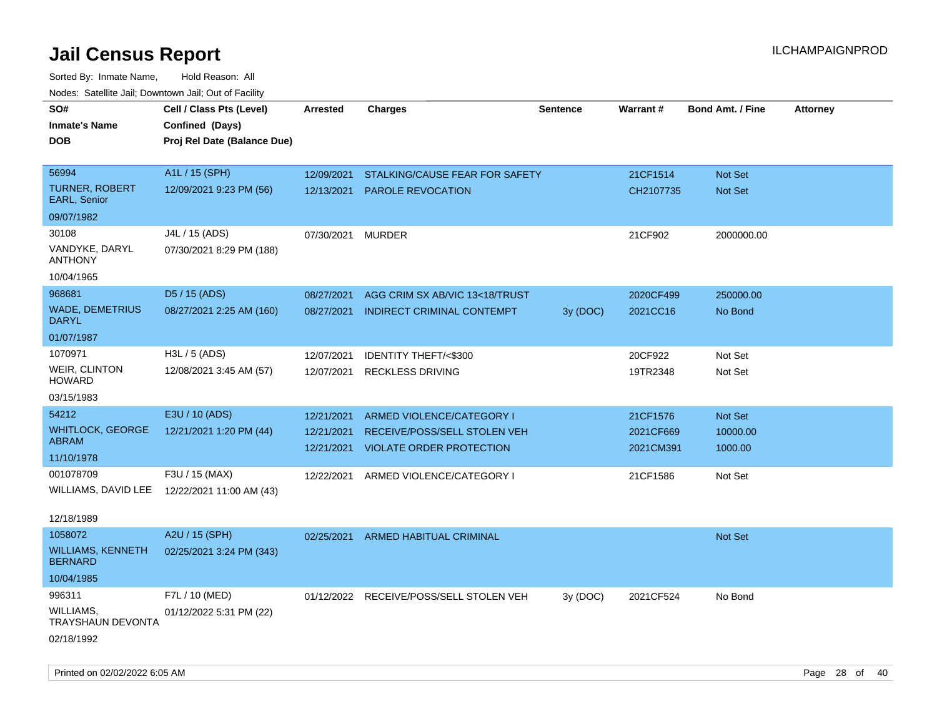| roaco. Catolino dall, Downtown dall, Out of Fability |                                                                            |                 |                                         |                 |           |                         |                 |
|------------------------------------------------------|----------------------------------------------------------------------------|-----------------|-----------------------------------------|-----------------|-----------|-------------------------|-----------------|
| SO#<br><b>Inmate's Name</b><br><b>DOB</b>            | Cell / Class Pts (Level)<br>Confined (Days)<br>Proj Rel Date (Balance Due) | <b>Arrested</b> | <b>Charges</b>                          | <b>Sentence</b> | Warrant#  | <b>Bond Amt. / Fine</b> | <b>Attorney</b> |
|                                                      |                                                                            |                 |                                         |                 |           |                         |                 |
| 56994                                                | A1L / 15 (SPH)                                                             | 12/09/2021      | STALKING/CAUSE FEAR FOR SAFETY          |                 | 21CF1514  | <b>Not Set</b>          |                 |
| <b>TURNER, ROBERT</b><br><b>EARL, Senior</b>         | 12/09/2021 9:23 PM (56)                                                    | 12/13/2021      | PAROLE REVOCATION                       |                 | CH2107735 | <b>Not Set</b>          |                 |
| 09/07/1982                                           |                                                                            |                 |                                         |                 |           |                         |                 |
| 30108                                                | J4L / 15 (ADS)                                                             | 07/30/2021      | <b>MURDER</b>                           |                 | 21CF902   | 2000000.00              |                 |
| VANDYKE, DARYL<br><b>ANTHONY</b>                     | 07/30/2021 8:29 PM (188)                                                   |                 |                                         |                 |           |                         |                 |
| 10/04/1965                                           |                                                                            |                 |                                         |                 |           |                         |                 |
| 968681                                               | D5 / 15 (ADS)                                                              | 08/27/2021      | AGG CRIM SX AB/VIC 13<18/TRUST          |                 | 2020CF499 | 250000.00               |                 |
| <b>WADE, DEMETRIUS</b><br><b>DARYL</b>               | 08/27/2021 2:25 AM (160)                                                   | 08/27/2021      | INDIRECT CRIMINAL CONTEMPT              | 3y (DOC)        | 2021CC16  | No Bond                 |                 |
| 01/07/1987                                           |                                                                            |                 |                                         |                 |           |                         |                 |
| 1070971                                              | $H3L / 5$ (ADS)                                                            | 12/07/2021      | IDENTITY THEFT/<\$300                   |                 | 20CF922   | Not Set                 |                 |
| <b>WEIR, CLINTON</b><br><b>HOWARD</b>                | 12/08/2021 3:45 AM (57)                                                    | 12/07/2021      | <b>RECKLESS DRIVING</b>                 |                 | 19TR2348  | Not Set                 |                 |
| 03/15/1983                                           |                                                                            |                 |                                         |                 |           |                         |                 |
| 54212                                                | E3U / 10 (ADS)                                                             | 12/21/2021      | ARMED VIOLENCE/CATEGORY I               |                 | 21CF1576  | Not Set                 |                 |
| <b>WHITLOCK, GEORGE</b>                              | 12/21/2021 1:20 PM (44)                                                    | 12/21/2021      | RECEIVE/POSS/SELL STOLEN VEH            |                 | 2021CF669 | 10000.00                |                 |
| ABRAM                                                |                                                                            | 12/21/2021      | <b>VIOLATE ORDER PROTECTION</b>         |                 | 2021CM391 | 1000.00                 |                 |
| 11/10/1978<br>001078709                              | F3U / 15 (MAX)                                                             |                 |                                         |                 |           |                         |                 |
| WILLIAMS, DAVID LEE                                  |                                                                            |                 | 12/22/2021 ARMED VIOLENCE/CATEGORY I    |                 | 21CF1586  | Not Set                 |                 |
|                                                      | 12/22/2021 11:00 AM (43)                                                   |                 |                                         |                 |           |                         |                 |
| 12/18/1989                                           |                                                                            |                 |                                         |                 |           |                         |                 |
| 1058072                                              | A2U / 15 (SPH)                                                             | 02/25/2021      | ARMED HABITUAL CRIMINAL                 |                 |           | <b>Not Set</b>          |                 |
| <b>WILLIAMS, KENNETH</b><br><b>BERNARD</b>           | 02/25/2021 3:24 PM (343)                                                   |                 |                                         |                 |           |                         |                 |
| 10/04/1985                                           |                                                                            |                 |                                         |                 |           |                         |                 |
| 996311                                               | F7L / 10 (MED)                                                             |                 | 01/12/2022 RECEIVE/POSS/SELL STOLEN VEH | 3y (DOC)        | 2021CF524 | No Bond                 |                 |
| <b>WILLIAMS,</b><br><b>TRAYSHAUN DEVONTA</b>         | 01/12/2022 5:31 PM (22)                                                    |                 |                                         |                 |           |                         |                 |
| 02/18/1992                                           |                                                                            |                 |                                         |                 |           |                         |                 |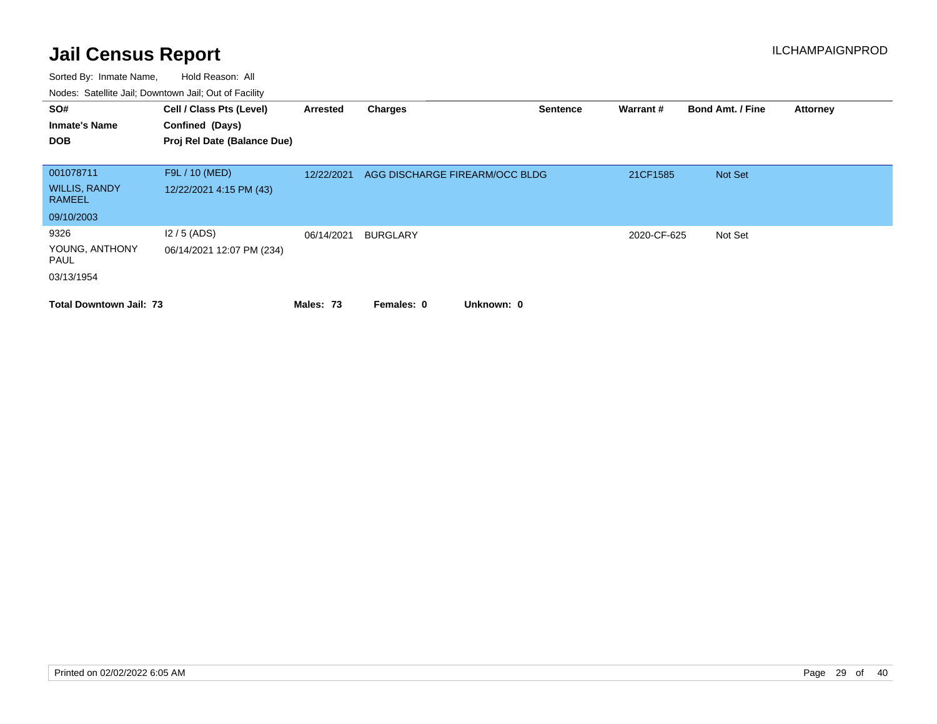| SO#<br><b>Inmate's Name</b><br><b>DOB</b> | Cell / Class Pts (Level)<br>Confined (Days)<br>Proj Rel Date (Balance Due) | Arrested   | <b>Charges</b>                 | <b>Sentence</b> | Warrant#    | <b>Bond Amt. / Fine</b> | <b>Attorney</b> |
|-------------------------------------------|----------------------------------------------------------------------------|------------|--------------------------------|-----------------|-------------|-------------------------|-----------------|
| 001078711                                 | F9L / 10 (MED)                                                             | 12/22/2021 | AGG DISCHARGE FIREARM/OCC BLDG |                 | 21CF1585    | Not Set                 |                 |
| <b>WILLIS, RANDY</b><br><b>RAMEEL</b>     | 12/22/2021 4:15 PM (43)                                                    |            |                                |                 |             |                         |                 |
| 09/10/2003                                |                                                                            |            |                                |                 |             |                         |                 |
| 9326                                      | $12/5$ (ADS)                                                               | 06/14/2021 | <b>BURGLARY</b>                |                 | 2020-CF-625 | Not Set                 |                 |
| YOUNG, ANTHONY<br>PAUL                    | 06/14/2021 12:07 PM (234)                                                  |            |                                |                 |             |                         |                 |
| 03/13/1954                                |                                                                            |            |                                |                 |             |                         |                 |
| <b>Total Downtown Jail: 73</b>            |                                                                            | Males: 73  | Unknown: 0<br>Females: 0       |                 |             |                         |                 |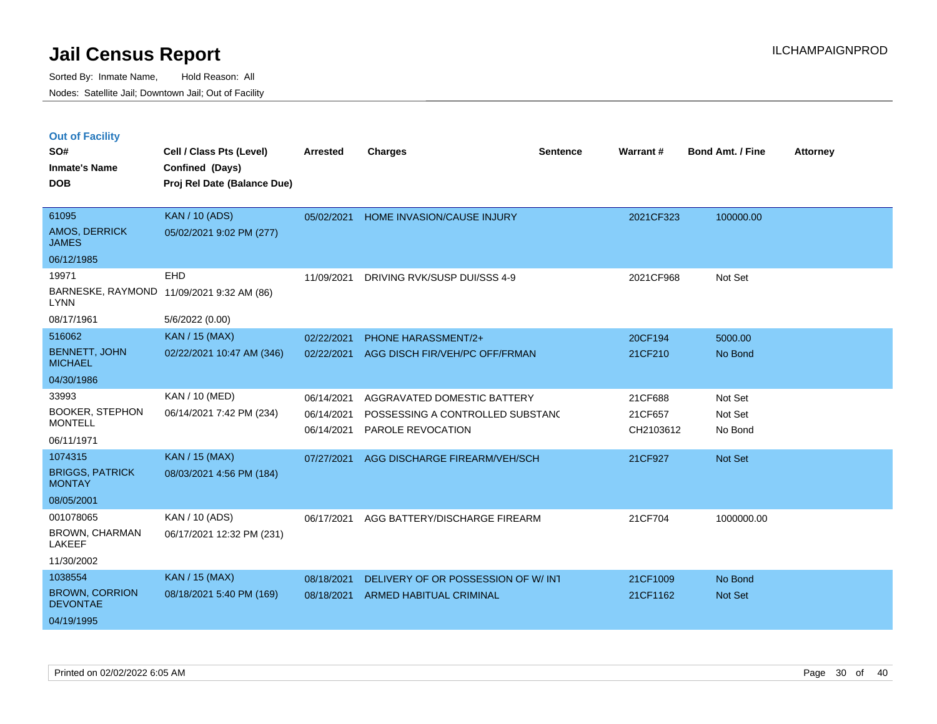|  | <b>Out of Facility</b> |  |
|--|------------------------|--|
|  |                        |  |

| SO#<br><b>Inmate's Name</b>              | Cell / Class Pts (Level)<br>Confined (Days) | <b>Arrested</b> | <b>Charges</b>                     | <b>Sentence</b> | Warrant#  | <b>Bond Amt. / Fine</b> | <b>Attorney</b> |
|------------------------------------------|---------------------------------------------|-----------------|------------------------------------|-----------------|-----------|-------------------------|-----------------|
| <b>DOB</b>                               | Proj Rel Date (Balance Due)                 |                 |                                    |                 |           |                         |                 |
|                                          |                                             |                 |                                    |                 |           |                         |                 |
| 61095                                    | <b>KAN / 10 (ADS)</b>                       | 05/02/2021      | HOME INVASION/CAUSE INJURY         |                 | 2021CF323 | 100000.00               |                 |
| <b>AMOS, DERRICK</b><br><b>JAMES</b>     | 05/02/2021 9:02 PM (277)                    |                 |                                    |                 |           |                         |                 |
| 06/12/1985                               |                                             |                 |                                    |                 |           |                         |                 |
| 19971                                    | <b>EHD</b>                                  | 11/09/2021      | DRIVING RVK/SUSP DUI/SSS 4-9       |                 | 2021CF968 | Not Set                 |                 |
| <b>LYNN</b>                              | BARNESKE, RAYMOND 11/09/2021 9:32 AM (86)   |                 |                                    |                 |           |                         |                 |
| 08/17/1961                               | 5/6/2022 (0.00)                             |                 |                                    |                 |           |                         |                 |
| 516062                                   | <b>KAN / 15 (MAX)</b>                       | 02/22/2021      | <b>PHONE HARASSMENT/2+</b>         |                 | 20CF194   | 5000.00                 |                 |
| <b>BENNETT, JOHN</b><br><b>MICHAEL</b>   | 02/22/2021 10:47 AM (346)                   | 02/22/2021      | AGG DISCH FIR/VEH/PC OFF/FRMAN     |                 | 21CF210   | No Bond                 |                 |
| 04/30/1986                               |                                             |                 |                                    |                 |           |                         |                 |
| 33993                                    | <b>KAN / 10 (MED)</b>                       | 06/14/2021      | AGGRAVATED DOMESTIC BATTERY        |                 | 21CF688   | Not Set                 |                 |
| <b>BOOKER, STEPHON</b>                   | 06/14/2021 7:42 PM (234)                    | 06/14/2021      | POSSESSING A CONTROLLED SUBSTANC   |                 | 21CF657   | Not Set                 |                 |
| <b>MONTELL</b><br>06/11/1971             |                                             | 06/14/2021      | <b>PAROLE REVOCATION</b>           |                 | CH2103612 | No Bond                 |                 |
|                                          |                                             |                 |                                    |                 |           |                         |                 |
| 1074315                                  | <b>KAN / 15 (MAX)</b>                       | 07/27/2021      | AGG DISCHARGE FIREARM/VEH/SCH      |                 | 21CF927   | Not Set                 |                 |
| <b>BRIGGS, PATRICK</b><br><b>MONTAY</b>  | 08/03/2021 4:56 PM (184)                    |                 |                                    |                 |           |                         |                 |
| 08/05/2001                               |                                             |                 |                                    |                 |           |                         |                 |
| 001078065                                | KAN / 10 (ADS)                              | 06/17/2021      | AGG BATTERY/DISCHARGE FIREARM      |                 | 21CF704   | 1000000.00              |                 |
| <b>BROWN, CHARMAN</b><br>LAKEEF          | 06/17/2021 12:32 PM (231)                   |                 |                                    |                 |           |                         |                 |
| 11/30/2002                               |                                             |                 |                                    |                 |           |                         |                 |
| 1038554                                  | <b>KAN / 15 (MAX)</b>                       | 08/18/2021      | DELIVERY OF OR POSSESSION OF W/INT |                 | 21CF1009  | No Bond                 |                 |
| <b>BROWN, CORRION</b><br><b>DEVONTAE</b> | 08/18/2021 5:40 PM (169)                    | 08/18/2021      | <b>ARMED HABITUAL CRIMINAL</b>     |                 | 21CF1162  | <b>Not Set</b>          |                 |
| 04/19/1995                               |                                             |                 |                                    |                 |           |                         |                 |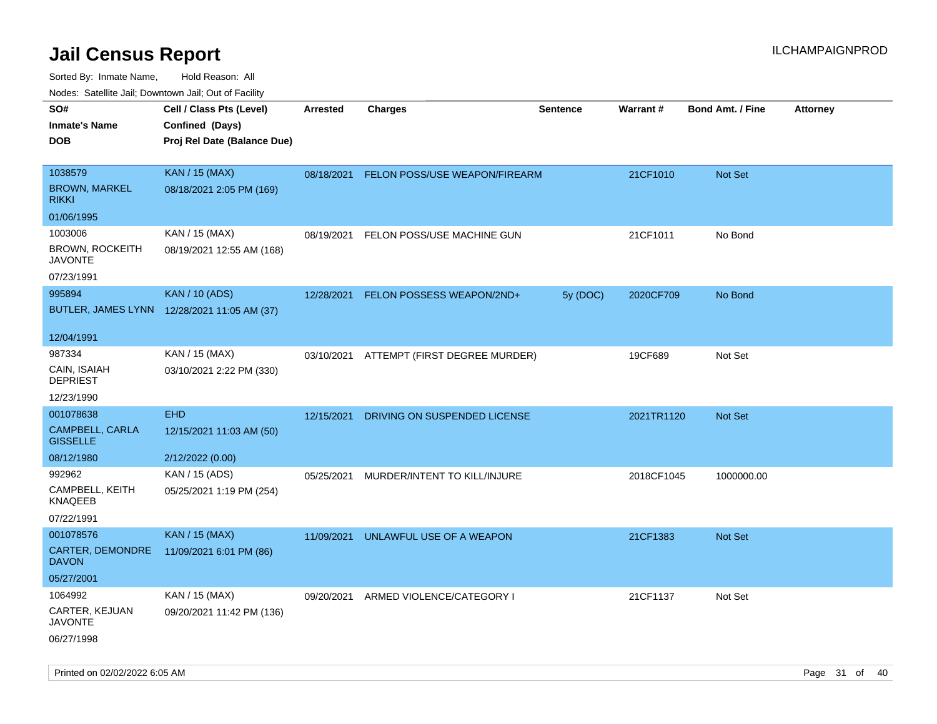| Nudes. Satellite Jali, Downtown Jali, Out of Facility |                                             |            |                               |                 |                 |                         |                 |
|-------------------------------------------------------|---------------------------------------------|------------|-------------------------------|-----------------|-----------------|-------------------------|-----------------|
| SO#                                                   | Cell / Class Pts (Level)                    | Arrested   | <b>Charges</b>                | <b>Sentence</b> | <b>Warrant#</b> | <b>Bond Amt. / Fine</b> | <b>Attorney</b> |
| <b>Inmate's Name</b>                                  | Confined (Days)                             |            |                               |                 |                 |                         |                 |
| DOB                                                   | Proj Rel Date (Balance Due)                 |            |                               |                 |                 |                         |                 |
|                                                       |                                             |            |                               |                 |                 |                         |                 |
| 1038579                                               | <b>KAN / 15 (MAX)</b>                       | 08/18/2021 | FELON POSS/USE WEAPON/FIREARM |                 | 21CF1010        | Not Set                 |                 |
| <b>BROWN, MARKEL</b><br>rikki                         | 08/18/2021 2:05 PM (169)                    |            |                               |                 |                 |                         |                 |
| 01/06/1995                                            |                                             |            |                               |                 |                 |                         |                 |
| 1003006                                               | KAN / 15 (MAX)                              | 08/19/2021 | FELON POSS/USE MACHINE GUN    |                 | 21CF1011        | No Bond                 |                 |
| <b>BROWN, ROCKEITH</b><br>JAVONTE                     | 08/19/2021 12:55 AM (168)                   |            |                               |                 |                 |                         |                 |
| 07/23/1991                                            |                                             |            |                               |                 |                 |                         |                 |
| 995894                                                | <b>KAN / 10 (ADS)</b>                       | 12/28/2021 | FELON POSSESS WEAPON/2ND+     | 5y (DOC)        | 2020CF709       | No Bond                 |                 |
|                                                       | BUTLER, JAMES LYNN 12/28/2021 11:05 AM (37) |            |                               |                 |                 |                         |                 |
|                                                       |                                             |            |                               |                 |                 |                         |                 |
| 12/04/1991                                            |                                             |            |                               |                 |                 |                         |                 |
| 987334                                                | KAN / 15 (MAX)                              | 03/10/2021 | ATTEMPT (FIRST DEGREE MURDER) |                 | 19CF689         | Not Set                 |                 |
| CAIN, ISAIAH<br>DEPRIEST                              | 03/10/2021 2:22 PM (330)                    |            |                               |                 |                 |                         |                 |
| 12/23/1990                                            |                                             |            |                               |                 |                 |                         |                 |
| 001078638                                             | <b>EHD</b>                                  | 12/15/2021 | DRIVING ON SUSPENDED LICENSE  |                 | 2021TR1120      | Not Set                 |                 |
| <b>CAMPBELL, CARLA</b><br><b>GISSELLE</b>             | 12/15/2021 11:03 AM (50)                    |            |                               |                 |                 |                         |                 |
| 08/12/1980                                            | 2/12/2022 (0.00)                            |            |                               |                 |                 |                         |                 |
| 992962                                                | KAN / 15 (ADS)                              | 05/25/2021 | MURDER/INTENT TO KILL/INJURE  |                 | 2018CF1045      | 1000000.00              |                 |
| CAMPBELL, KEITH<br>KNAQEEB                            | 05/25/2021 1:19 PM (254)                    |            |                               |                 |                 |                         |                 |
| 07/22/1991                                            |                                             |            |                               |                 |                 |                         |                 |
| 001078576                                             | KAN / 15 (MAX)                              | 11/09/2021 | UNLAWFUL USE OF A WEAPON      |                 | 21CF1383        | <b>Not Set</b>          |                 |
| CARTER, DEMONDRE<br>DAVON                             | 11/09/2021 6:01 PM (86)                     |            |                               |                 |                 |                         |                 |
| 05/27/2001                                            |                                             |            |                               |                 |                 |                         |                 |
| 1064992                                               | KAN / 15 (MAX)                              | 09/20/2021 | ARMED VIOLENCE/CATEGORY I     |                 | 21CF1137        | Not Set                 |                 |
| CARTER, KEJUAN<br>JAVONTE                             | 09/20/2021 11:42 PM (136)                   |            |                               |                 |                 |                         |                 |
| 06/27/1998                                            |                                             |            |                               |                 |                 |                         |                 |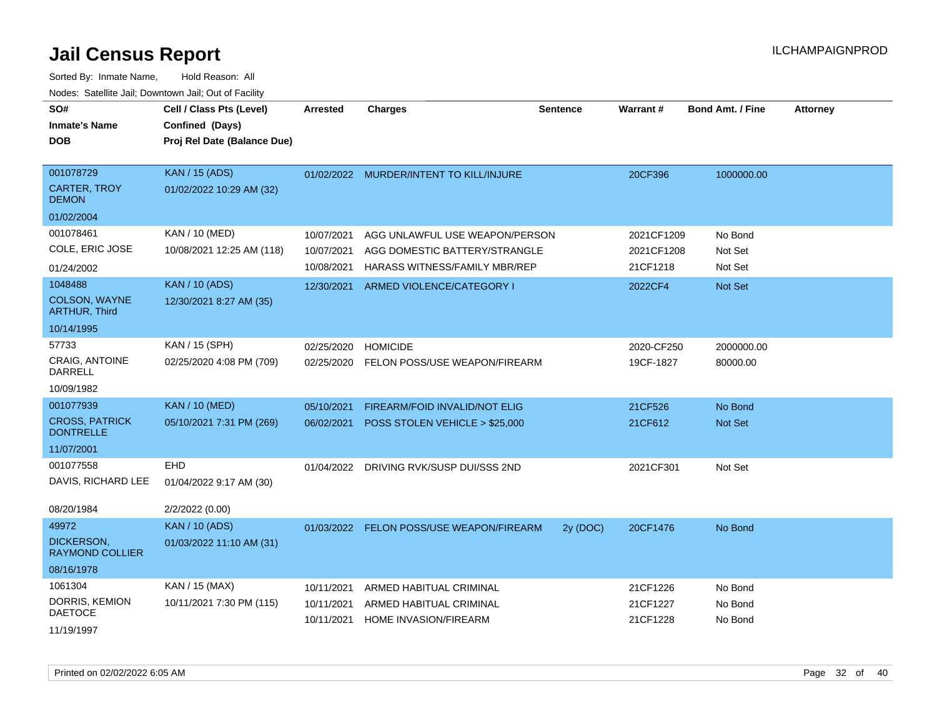| SO#<br><b>Inmate's Name</b><br><b>DOB</b> | Cell / Class Pts (Level)<br>Confined (Days)<br>Proj Rel Date (Balance Due) | <b>Arrested</b> | <b>Charges</b>                           | <b>Sentence</b> | <b>Warrant#</b> | <b>Bond Amt. / Fine</b> | <b>Attorney</b> |
|-------------------------------------------|----------------------------------------------------------------------------|-----------------|------------------------------------------|-----------------|-----------------|-------------------------|-----------------|
| 001078729                                 | <b>KAN / 15 (ADS)</b>                                                      |                 | 01/02/2022 MURDER/INTENT TO KILL/INJURE  |                 | 20CF396         | 1000000.00              |                 |
| <b>CARTER, TROY</b><br><b>DEMON</b>       | 01/02/2022 10:29 AM (32)                                                   |                 |                                          |                 |                 |                         |                 |
| 01/02/2004                                |                                                                            |                 |                                          |                 |                 |                         |                 |
| 001078461                                 | KAN / 10 (MED)                                                             | 10/07/2021      | AGG UNLAWFUL USE WEAPON/PERSON           |                 | 2021CF1209      | No Bond                 |                 |
| COLE, ERIC JOSE                           | 10/08/2021 12:25 AM (118)                                                  | 10/07/2021      | AGG DOMESTIC BATTERY/STRANGLE            |                 | 2021CF1208      | Not Set                 |                 |
| 01/24/2002                                |                                                                            | 10/08/2021      | HARASS WITNESS/FAMILY MBR/REP            |                 | 21CF1218        | Not Set                 |                 |
| 1048488                                   | <b>KAN / 10 (ADS)</b>                                                      | 12/30/2021      | ARMED VIOLENCE/CATEGORY I                |                 | 2022CF4         | Not Set                 |                 |
| COLSON, WAYNE<br><b>ARTHUR, Third</b>     | 12/30/2021 8:27 AM (35)                                                    |                 |                                          |                 |                 |                         |                 |
| 10/14/1995                                |                                                                            |                 |                                          |                 |                 |                         |                 |
| 57733                                     | KAN / 15 (SPH)                                                             | 02/25/2020      | <b>HOMICIDE</b>                          |                 | 2020-CF250      | 2000000.00              |                 |
| <b>CRAIG, ANTOINE</b><br><b>DARRELL</b>   | 02/25/2020 4:08 PM (709)                                                   | 02/25/2020      | FELON POSS/USE WEAPON/FIREARM            |                 | 19CF-1827       | 80000.00                |                 |
| 10/09/1982                                |                                                                            |                 |                                          |                 |                 |                         |                 |
| 001077939                                 | <b>KAN / 10 (MED)</b>                                                      | 05/10/2021      | FIREARM/FOID INVALID/NOT ELIG            |                 | 21CF526         | No Bond                 |                 |
| <b>CROSS, PATRICK</b><br><b>DONTRELLE</b> | 05/10/2021 7:31 PM (269)                                                   | 06/02/2021      | POSS STOLEN VEHICLE > \$25,000           |                 | 21CF612         | Not Set                 |                 |
| 11/07/2001                                |                                                                            |                 |                                          |                 |                 |                         |                 |
| 001077558                                 | <b>EHD</b>                                                                 | 01/04/2022      | DRIVING RVK/SUSP DUI/SSS 2ND             |                 | 2021CF301       | Not Set                 |                 |
| DAVIS, RICHARD LEE                        | 01/04/2022 9:17 AM (30)                                                    |                 |                                          |                 |                 |                         |                 |
| 08/20/1984                                | 2/2/2022 (0.00)                                                            |                 |                                          |                 |                 |                         |                 |
| 49972                                     | <b>KAN / 10 (ADS)</b>                                                      |                 | 01/03/2022 FELON POSS/USE WEAPON/FIREARM | 2y (DOC)        | 20CF1476        | No Bond                 |                 |
| DICKERSON,<br><b>RAYMOND COLLIER</b>      | 01/03/2022 11:10 AM (31)                                                   |                 |                                          |                 |                 |                         |                 |
| 08/16/1978                                |                                                                            |                 |                                          |                 |                 |                         |                 |
| 1061304                                   | KAN / 15 (MAX)                                                             | 10/11/2021      | ARMED HABITUAL CRIMINAL                  |                 | 21CF1226        | No Bond                 |                 |
| DORRIS, KEMION<br><b>DAETOCE</b>          | 10/11/2021 7:30 PM (115)                                                   | 10/11/2021      | ARMED HABITUAL CRIMINAL                  |                 | 21CF1227        | No Bond                 |                 |
| 11/19/1997                                |                                                                            | 10/11/2021      | HOME INVASION/FIREARM                    |                 | 21CF1228        | No Bond                 |                 |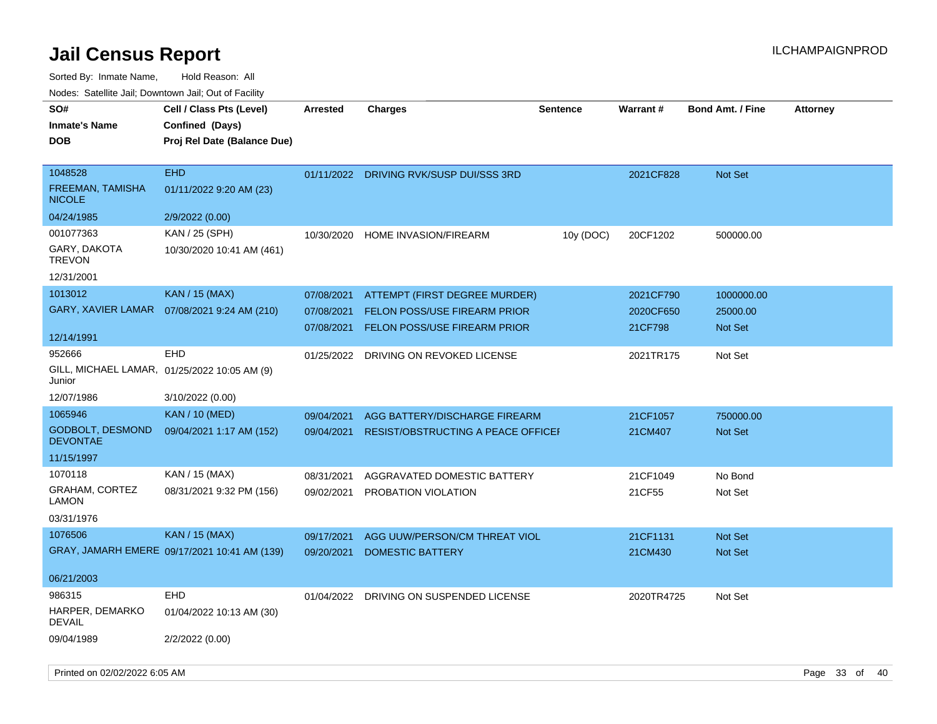Sorted By: Inmate Name, Hold Reason: All

| Nodes: Satellite Jail; Downtown Jail; Out of Facility |                                              |                 |                                           |                 |            |                         |                 |
|-------------------------------------------------------|----------------------------------------------|-----------------|-------------------------------------------|-----------------|------------|-------------------------|-----------------|
| SO#                                                   | Cell / Class Pts (Level)                     | <b>Arrested</b> | <b>Charges</b>                            | <b>Sentence</b> | Warrant#   | <b>Bond Amt. / Fine</b> | <b>Attorney</b> |
| <b>Inmate's Name</b>                                  | Confined (Days)                              |                 |                                           |                 |            |                         |                 |
| <b>DOB</b>                                            | Proj Rel Date (Balance Due)                  |                 |                                           |                 |            |                         |                 |
|                                                       |                                              |                 |                                           |                 |            |                         |                 |
| 1048528                                               | <b>EHD</b>                                   |                 | 01/11/2022 DRIVING RVK/SUSP DUI/SSS 3RD   |                 | 2021CF828  | Not Set                 |                 |
| FREEMAN, TAMISHA<br><b>NICOLE</b>                     | 01/11/2022 9:20 AM (23)                      |                 |                                           |                 |            |                         |                 |
| 04/24/1985                                            | 2/9/2022 (0.00)                              |                 |                                           |                 |            |                         |                 |
| 001077363                                             | KAN / 25 (SPH)                               | 10/30/2020      | HOME INVASION/FIREARM                     | 10y (DOC)       | 20CF1202   | 500000.00               |                 |
| GARY, DAKOTA<br><b>TREVON</b>                         | 10/30/2020 10:41 AM (461)                    |                 |                                           |                 |            |                         |                 |
| 12/31/2001                                            |                                              |                 |                                           |                 |            |                         |                 |
| 1013012                                               | <b>KAN / 15 (MAX)</b>                        | 07/08/2021      | ATTEMPT (FIRST DEGREE MURDER)             |                 | 2021CF790  | 1000000.00              |                 |
| GARY, XAVIER LAMAR                                    | 07/08/2021 9:24 AM (210)                     | 07/08/2021      | <b>FELON POSS/USE FIREARM PRIOR</b>       |                 | 2020CF650  | 25000.00                |                 |
|                                                       |                                              | 07/08/2021      | FELON POSS/USE FIREARM PRIOR              |                 | 21CF798    | Not Set                 |                 |
| 12/14/1991                                            |                                              |                 |                                           |                 |            |                         |                 |
| 952666                                                | <b>EHD</b>                                   | 01/25/2022      | DRIVING ON REVOKED LICENSE                |                 | 2021TR175  | Not Set                 |                 |
| Junior                                                | GILL, MICHAEL LAMAR, 01/25/2022 10:05 AM (9) |                 |                                           |                 |            |                         |                 |
| 12/07/1986                                            | 3/10/2022 (0.00)                             |                 |                                           |                 |            |                         |                 |
| 1065946                                               | <b>KAN / 10 (MED)</b>                        | 09/04/2021      | AGG BATTERY/DISCHARGE FIREARM             |                 | 21CF1057   | 750000.00               |                 |
| <b>GODBOLT, DESMOND</b><br><b>DEVONTAE</b>            | 09/04/2021 1:17 AM (152)                     | 09/04/2021      | <b>RESIST/OBSTRUCTING A PEACE OFFICEF</b> |                 | 21CM407    | Not Set                 |                 |
| 11/15/1997                                            |                                              |                 |                                           |                 |            |                         |                 |
| 1070118                                               | KAN / 15 (MAX)                               | 08/31/2021      | AGGRAVATED DOMESTIC BATTERY               |                 | 21CF1049   | No Bond                 |                 |
| <b>GRAHAM, CORTEZ</b><br><b>LAMON</b>                 | 08/31/2021 9:32 PM (156)                     | 09/02/2021      | PROBATION VIOLATION                       |                 | 21CF55     | Not Set                 |                 |
| 03/31/1976                                            |                                              |                 |                                           |                 |            |                         |                 |
| 1076506                                               | <b>KAN / 15 (MAX)</b>                        | 09/17/2021      | AGG UUW/PERSON/CM THREAT VIOL             |                 | 21CF1131   | Not Set                 |                 |
|                                                       | GRAY, JAMARH EMERE 09/17/2021 10:41 AM (139) | 09/20/2021      | <b>DOMESTIC BATTERY</b>                   |                 | 21CM430    | Not Set                 |                 |
|                                                       |                                              |                 |                                           |                 |            |                         |                 |
| 06/21/2003                                            |                                              |                 |                                           |                 |            |                         |                 |
| 986315                                                | <b>EHD</b>                                   | 01/04/2022      | DRIVING ON SUSPENDED LICENSE              |                 | 2020TR4725 | Not Set                 |                 |
| HARPER, DEMARKO<br><b>DEVAIL</b>                      | 01/04/2022 10:13 AM (30)                     |                 |                                           |                 |            |                         |                 |
| 09/04/1989                                            | 2/2/2022 (0.00)                              |                 |                                           |                 |            |                         |                 |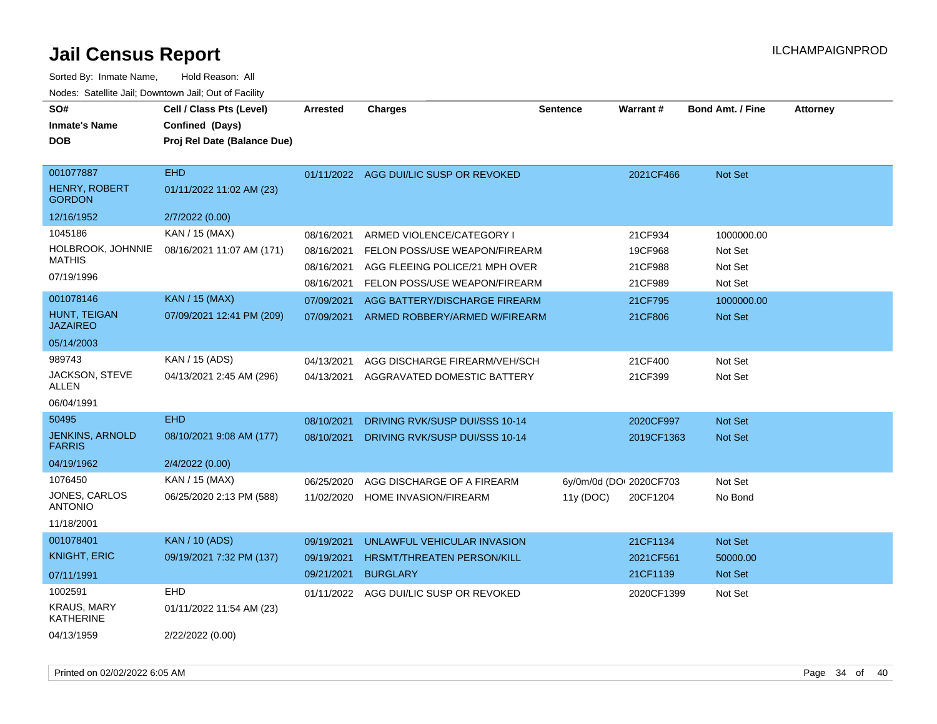| SO#<br><b>Inmate's Name</b><br>DOB                 | Cell / Class Pts (Level)<br>Confined (Days)<br>Proj Rel Date (Balance Due) | <b>Arrested</b> | <b>Charges</b>                    | <b>Sentence</b>         | <b>Warrant#</b> | <b>Bond Amt. / Fine</b> | <b>Attorney</b> |
|----------------------------------------------------|----------------------------------------------------------------------------|-----------------|-----------------------------------|-------------------------|-----------------|-------------------------|-----------------|
| 001077887<br><b>HENRY, ROBERT</b><br><b>GORDON</b> | <b>EHD</b><br>01/11/2022 11:02 AM (23)                                     | 01/11/2022      | AGG DUI/LIC SUSP OR REVOKED       |                         | 2021CF466       | <b>Not Set</b>          |                 |
| 12/16/1952                                         | 2/7/2022 (0.00)                                                            |                 |                                   |                         |                 |                         |                 |
| 1045186                                            | KAN / 15 (MAX)                                                             | 08/16/2021      | ARMED VIOLENCE/CATEGORY I         |                         | 21CF934         | 1000000.00              |                 |
| HOLBROOK, JOHNNIE<br><b>MATHIS</b>                 | 08/16/2021 11:07 AM (171)                                                  | 08/16/2021      | FELON POSS/USE WEAPON/FIREARM     |                         | 19CF968         | Not Set                 |                 |
| 07/19/1996                                         |                                                                            | 08/16/2021      | AGG FLEEING POLICE/21 MPH OVER    |                         | 21CF988         | Not Set                 |                 |
|                                                    |                                                                            | 08/16/2021      | FELON POSS/USE WEAPON/FIREARM     |                         | 21CF989         | Not Set                 |                 |
| 001078146                                          | <b>KAN / 15 (MAX)</b>                                                      | 07/09/2021      | AGG BATTERY/DISCHARGE FIREARM     |                         | 21CF795         | 1000000.00              |                 |
| HUNT, TEIGAN<br>JAZAIREO                           | 07/09/2021 12:41 PM (209)                                                  | 07/09/2021      | ARMED ROBBERY/ARMED W/FIREARM     |                         | 21CF806         | <b>Not Set</b>          |                 |
| 05/14/2003                                         |                                                                            |                 |                                   |                         |                 |                         |                 |
| 989743                                             | KAN / 15 (ADS)                                                             | 04/13/2021      | AGG DISCHARGE FIREARM/VEH/SCH     |                         | 21CF400         | Not Set                 |                 |
| JACKSON, STEVE<br>ALLEN                            | 04/13/2021 2:45 AM (296)                                                   | 04/13/2021      | AGGRAVATED DOMESTIC BATTERY       |                         | 21CF399         | Not Set                 |                 |
| 06/04/1991                                         |                                                                            |                 |                                   |                         |                 |                         |                 |
| 50495                                              | <b>EHD</b>                                                                 | 08/10/2021      | DRIVING RVK/SUSP DUI/SSS 10-14    |                         | 2020CF997       | Not Set                 |                 |
| <b>JENKINS, ARNOLD</b><br><b>FARRIS</b>            | 08/10/2021 9:08 AM (177)                                                   | 08/10/2021      | DRIVING RVK/SUSP DUI/SSS 10-14    |                         | 2019CF1363      | <b>Not Set</b>          |                 |
| 04/19/1962                                         | 2/4/2022 (0.00)                                                            |                 |                                   |                         |                 |                         |                 |
| 1076450                                            | KAN / 15 (MAX)                                                             | 06/25/2020      | AGG DISCHARGE OF A FIREARM        | 6y/0m/0d (DO: 2020CF703 |                 | Not Set                 |                 |
| JONES, CARLOS<br><b>ANTONIO</b>                    | 06/25/2020 2:13 PM (588)                                                   | 11/02/2020      | HOME INVASION/FIREARM             | 11y(DOC)                | 20CF1204        | No Bond                 |                 |
| 11/18/2001                                         |                                                                            |                 |                                   |                         |                 |                         |                 |
| 001078401                                          | <b>KAN / 10 (ADS)</b>                                                      | 09/19/2021      | UNLAWFUL VEHICULAR INVASION       |                         | 21CF1134        | <b>Not Set</b>          |                 |
| <b>KNIGHT, ERIC</b>                                | 09/19/2021 7:32 PM (137)                                                   | 09/19/2021      | <b>HRSMT/THREATEN PERSON/KILL</b> |                         | 2021CF561       | 50000.00                |                 |
| 07/11/1991                                         |                                                                            | 09/21/2021      | <b>BURGLARY</b>                   |                         | 21CF1139        | <b>Not Set</b>          |                 |
| 1002591                                            | <b>EHD</b>                                                                 | 01/11/2022      | AGG DUI/LIC SUSP OR REVOKED       |                         | 2020CF1399      | Not Set                 |                 |
| <b>KRAUS, MARY</b><br>KATHERINE                    | 01/11/2022 11:54 AM (23)                                                   |                 |                                   |                         |                 |                         |                 |
| 04/13/1959                                         | 2/22/2022 (0.00)                                                           |                 |                                   |                         |                 |                         |                 |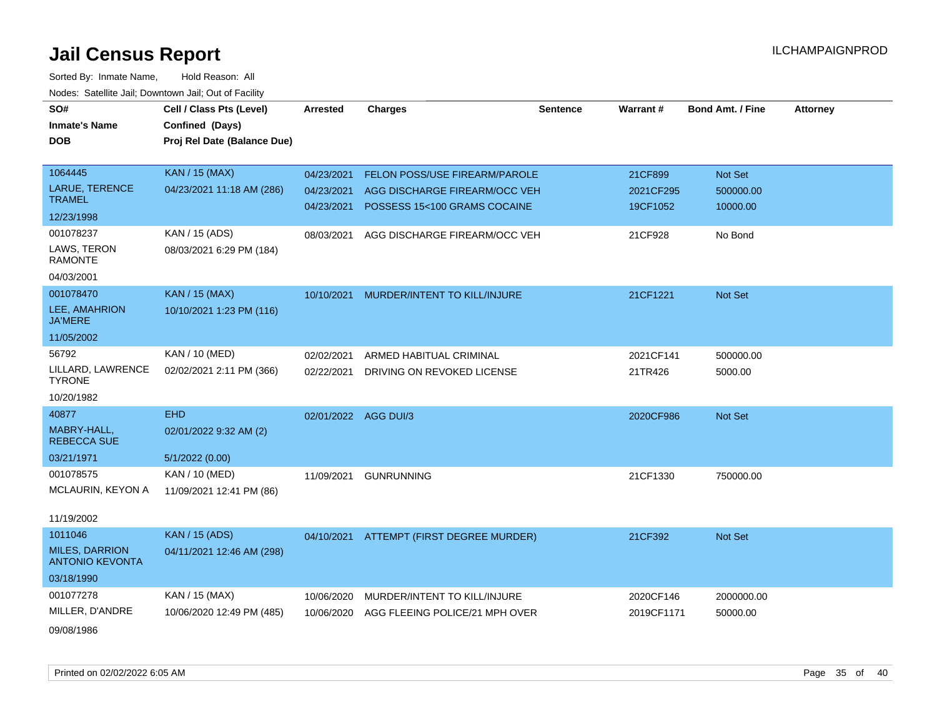| SO#                                             | Cell / Class Pts (Level)    | <b>Arrested</b>      | <b>Charges</b>                           | <b>Sentence</b> | Warrant#   | <b>Bond Amt. / Fine</b> | <b>Attorney</b> |
|-------------------------------------------------|-----------------------------|----------------------|------------------------------------------|-----------------|------------|-------------------------|-----------------|
| <b>Inmate's Name</b>                            | Confined (Days)             |                      |                                          |                 |            |                         |                 |
| <b>DOB</b>                                      | Proj Rel Date (Balance Due) |                      |                                          |                 |            |                         |                 |
|                                                 |                             |                      |                                          |                 |            |                         |                 |
| 1064445                                         | <b>KAN / 15 (MAX)</b>       | 04/23/2021           | FELON POSS/USE FIREARM/PAROLE            |                 | 21CF899    | Not Set                 |                 |
| <b>LARUE, TERENCE</b>                           | 04/23/2021 11:18 AM (286)   | 04/23/2021           | AGG DISCHARGE FIREARM/OCC VEH            |                 | 2021CF295  | 500000.00               |                 |
| <b>TRAMEL</b>                                   |                             | 04/23/2021           | POSSESS 15<100 GRAMS COCAINE             |                 | 19CF1052   | 10000.00                |                 |
| 12/23/1998                                      |                             |                      |                                          |                 |            |                         |                 |
| 001078237                                       | KAN / 15 (ADS)              | 08/03/2021           | AGG DISCHARGE FIREARM/OCC VEH            |                 | 21CF928    | No Bond                 |                 |
| LAWS, TERON<br><b>RAMONTE</b>                   | 08/03/2021 6:29 PM (184)    |                      |                                          |                 |            |                         |                 |
| 04/03/2001                                      |                             |                      |                                          |                 |            |                         |                 |
| 001078470                                       | <b>KAN</b> / 15 (MAX)       | 10/10/2021           | MURDER/INTENT TO KILL/INJURE             |                 | 21CF1221   | Not Set                 |                 |
| LEE, AMAHRION<br><b>JA'MERE</b>                 | 10/10/2021 1:23 PM (116)    |                      |                                          |                 |            |                         |                 |
| 11/05/2002                                      |                             |                      |                                          |                 |            |                         |                 |
| 56792                                           | KAN / 10 (MED)              | 02/02/2021           | ARMED HABITUAL CRIMINAL                  |                 | 2021CF141  | 500000.00               |                 |
| LILLARD, LAWRENCE<br><b>TYRONE</b>              | 02/02/2021 2:11 PM (366)    | 02/22/2021           | DRIVING ON REVOKED LICENSE               |                 | 21TR426    | 5000.00                 |                 |
| 10/20/1982                                      |                             |                      |                                          |                 |            |                         |                 |
| 40877                                           | <b>EHD</b>                  | 02/01/2022 AGG DUI/3 |                                          |                 | 2020CF986  | Not Set                 |                 |
| MABRY-HALL,<br><b>REBECCA SUE</b>               | 02/01/2022 9:32 AM (2)      |                      |                                          |                 |            |                         |                 |
| 03/21/1971                                      | 5/1/2022 (0.00)             |                      |                                          |                 |            |                         |                 |
| 001078575                                       | KAN / 10 (MED)              | 11/09/2021           | <b>GUNRUNNING</b>                        |                 | 21CF1330   | 750000.00               |                 |
| MCLAURIN, KEYON A                               | 11/09/2021 12:41 PM (86)    |                      |                                          |                 |            |                         |                 |
| 11/19/2002                                      |                             |                      |                                          |                 |            |                         |                 |
| 1011046                                         | <b>KAN / 15 (ADS)</b>       |                      | 04/10/2021 ATTEMPT (FIRST DEGREE MURDER) |                 | 21CF392    | Not Set                 |                 |
| <b>MILES, DARRION</b><br><b>ANTONIO KEVONTA</b> | 04/11/2021 12:46 AM (298)   |                      |                                          |                 |            |                         |                 |
| 03/18/1990                                      |                             |                      |                                          |                 |            |                         |                 |
| 001077278                                       | KAN / 15 (MAX)              | 10/06/2020           | MURDER/INTENT TO KILL/INJURE             |                 | 2020CF146  | 2000000.00              |                 |
| MILLER, D'ANDRE                                 | 10/06/2020 12:49 PM (485)   | 10/06/2020           | AGG FLEEING POLICE/21 MPH OVER           |                 | 2019CF1171 | 50000.00                |                 |
| 09/08/1986                                      |                             |                      |                                          |                 |            |                         |                 |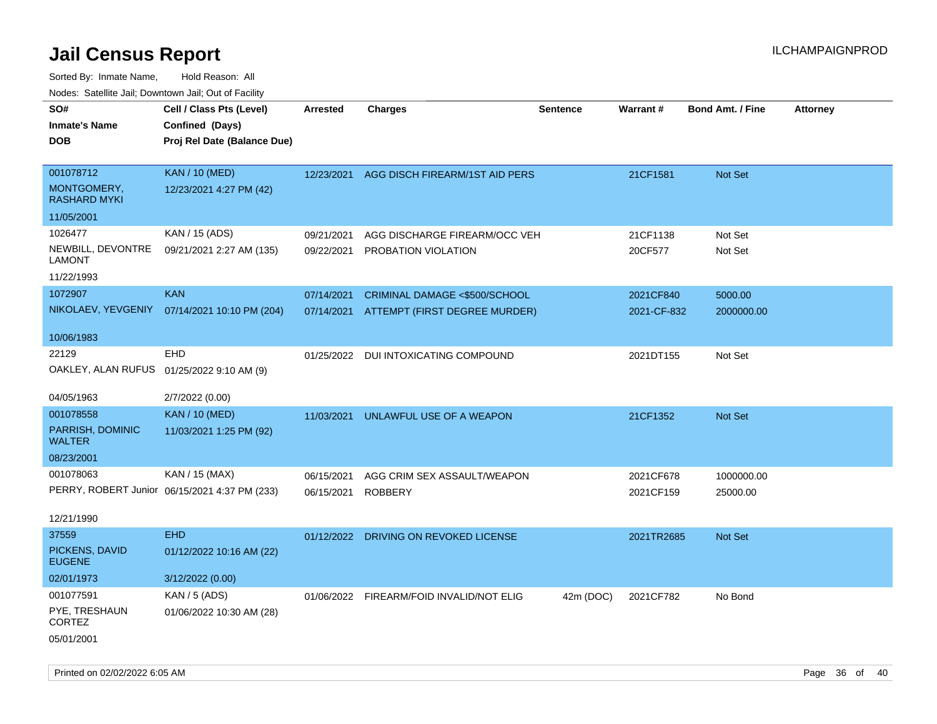| roaco. Catolino cali, Downtown cali, Out of Facility |                                               |                 |                                          |                 |             |                         |                 |
|------------------------------------------------------|-----------------------------------------------|-----------------|------------------------------------------|-----------------|-------------|-------------------------|-----------------|
| SO#                                                  | Cell / Class Pts (Level)                      | <b>Arrested</b> | <b>Charges</b>                           | <b>Sentence</b> | Warrant#    | <b>Bond Amt. / Fine</b> | <b>Attorney</b> |
| Inmate's Name                                        | Confined (Days)                               |                 |                                          |                 |             |                         |                 |
| DOB                                                  | Proj Rel Date (Balance Due)                   |                 |                                          |                 |             |                         |                 |
|                                                      |                                               |                 |                                          |                 |             |                         |                 |
| 001078712                                            | <b>KAN / 10 (MED)</b>                         | 12/23/2021      | AGG DISCH FIREARM/1ST AID PERS           |                 | 21CF1581    | <b>Not Set</b>          |                 |
| MONTGOMERY,<br>RASHARD MYKI                          | 12/23/2021 4:27 PM (42)                       |                 |                                          |                 |             |                         |                 |
| 11/05/2001                                           |                                               |                 |                                          |                 |             |                         |                 |
| 1026477                                              | KAN / 15 (ADS)                                | 09/21/2021      | AGG DISCHARGE FIREARM/OCC VEH            |                 | 21CF1138    | Not Set                 |                 |
| NEWBILL, DEVONTRE<br><b>LAMONT</b>                   | 09/21/2021 2:27 AM (135)                      | 09/22/2021      | PROBATION VIOLATION                      |                 | 20CF577     | Not Set                 |                 |
| 11/22/1993                                           |                                               |                 |                                          |                 |             |                         |                 |
| 1072907                                              | <b>KAN</b>                                    | 07/14/2021      | CRIMINAL DAMAGE <\$500/SCHOOL            |                 | 2021CF840   | 5000.00                 |                 |
| NIKOLAEV, YEVGENIY                                   | 07/14/2021 10:10 PM (204)                     | 07/14/2021      | ATTEMPT (FIRST DEGREE MURDER)            |                 | 2021-CF-832 | 2000000.00              |                 |
|                                                      |                                               |                 |                                          |                 |             |                         |                 |
| 10/06/1983                                           |                                               |                 |                                          |                 |             |                         |                 |
| 22129                                                | <b>EHD</b>                                    |                 | 01/25/2022 DUI INTOXICATING COMPOUND     |                 | 2021DT155   | Not Set                 |                 |
| OAKLEY, ALAN RUFUS 01/25/2022 9:10 AM (9)            |                                               |                 |                                          |                 |             |                         |                 |
|                                                      |                                               |                 |                                          |                 |             |                         |                 |
| 04/05/1963                                           | 2/7/2022 (0.00)                               |                 |                                          |                 |             |                         |                 |
| 001078558                                            | <b>KAN / 10 (MED)</b>                         | 11/03/2021      | UNLAWFUL USE OF A WEAPON                 |                 | 21CF1352    | <b>Not Set</b>          |                 |
| PARRISH, DOMINIC<br><b>WALTER</b>                    | 11/03/2021 1:25 PM (92)                       |                 |                                          |                 |             |                         |                 |
| 08/23/2001                                           |                                               |                 |                                          |                 |             |                         |                 |
| 001078063                                            | KAN / 15 (MAX)                                | 06/15/2021      | AGG CRIM SEX ASSAULT/WEAPON              |                 | 2021CF678   | 1000000.00              |                 |
|                                                      | PERRY, ROBERT Junior 06/15/2021 4:37 PM (233) | 06/15/2021      | <b>ROBBERY</b>                           |                 | 2021CF159   | 25000.00                |                 |
|                                                      |                                               |                 |                                          |                 |             |                         |                 |
| 12/21/1990                                           |                                               |                 |                                          |                 |             |                         |                 |
| 37559                                                | <b>EHD</b>                                    |                 | 01/12/2022 DRIVING ON REVOKED LICENSE    |                 | 2021TR2685  | Not Set                 |                 |
| PICKENS, DAVID<br><b>EUGENE</b>                      | 01/12/2022 10:16 AM (22)                      |                 |                                          |                 |             |                         |                 |
| 02/01/1973                                           | 3/12/2022 (0.00)                              |                 |                                          |                 |             |                         |                 |
| 001077591                                            | <b>KAN / 5 (ADS)</b>                          |                 | 01/06/2022 FIREARM/FOID INVALID/NOT ELIG | 42m (DOC)       | 2021CF782   | No Bond                 |                 |
| PYE, TRESHAUN<br><b>CORTEZ</b>                       | 01/06/2022 10:30 AM (28)                      |                 |                                          |                 |             |                         |                 |
| 05/01/2001                                           |                                               |                 |                                          |                 |             |                         |                 |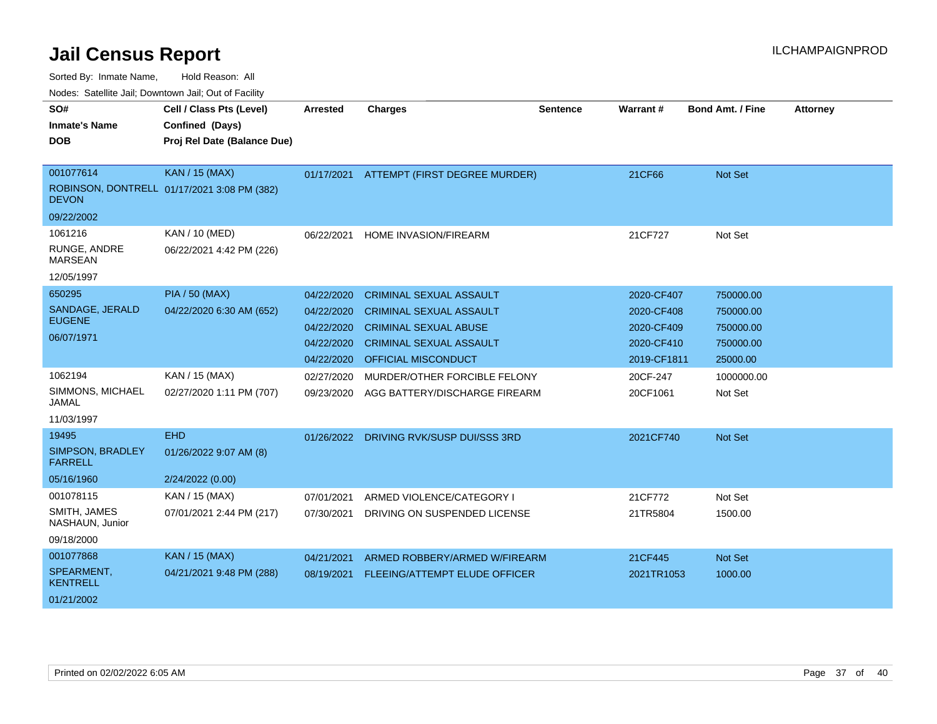Sorted By: Inmate Name, Hold Reason: All

| SO#                                | Cell / Class Pts (Level)                    | <b>Arrested</b> | <b>Charges</b>                 | <b>Sentence</b> | <b>Warrant#</b> | <b>Bond Amt. / Fine</b> | <b>Attorney</b> |
|------------------------------------|---------------------------------------------|-----------------|--------------------------------|-----------------|-----------------|-------------------------|-----------------|
| <b>Inmate's Name</b>               | Confined (Days)                             |                 |                                |                 |                 |                         |                 |
| <b>DOB</b>                         | Proj Rel Date (Balance Due)                 |                 |                                |                 |                 |                         |                 |
|                                    |                                             |                 |                                |                 |                 |                         |                 |
| 001077614                          | <b>KAN / 15 (MAX)</b>                       | 01/17/2021      | ATTEMPT (FIRST DEGREE MURDER)  |                 | 21CF66          | Not Set                 |                 |
| <b>DEVON</b>                       | ROBINSON, DONTRELL 01/17/2021 3:08 PM (382) |                 |                                |                 |                 |                         |                 |
| 09/22/2002                         |                                             |                 |                                |                 |                 |                         |                 |
| 1061216                            | KAN / 10 (MED)                              | 06/22/2021      | <b>HOME INVASION/FIREARM</b>   |                 | 21CF727         | Not Set                 |                 |
| RUNGE, ANDRE<br><b>MARSEAN</b>     | 06/22/2021 4:42 PM (226)                    |                 |                                |                 |                 |                         |                 |
| 12/05/1997                         |                                             |                 |                                |                 |                 |                         |                 |
| 650295                             | <b>PIA / 50 (MAX)</b>                       | 04/22/2020      | <b>CRIMINAL SEXUAL ASSAULT</b> |                 | 2020-CF407      | 750000.00               |                 |
| SANDAGE, JERALD                    | 04/22/2020 6:30 AM (652)                    | 04/22/2020      | <b>CRIMINAL SEXUAL ASSAULT</b> |                 | 2020-CF408      | 750000.00               |                 |
| <b>EUGENE</b>                      |                                             | 04/22/2020      | <b>CRIMINAL SEXUAL ABUSE</b>   |                 | 2020-CF409      | 750000.00               |                 |
| 06/07/1971                         |                                             | 04/22/2020      | <b>CRIMINAL SEXUAL ASSAULT</b> |                 | 2020-CF410      | 750000.00               |                 |
|                                    |                                             | 04/22/2020      | OFFICIAL MISCONDUCT            |                 | 2019-CF1811     | 25000.00                |                 |
| 1062194                            | KAN / 15 (MAX)                              | 02/27/2020      | MURDER/OTHER FORCIBLE FELONY   |                 | 20CF-247        | 1000000.00              |                 |
| SIMMONS, MICHAEL<br><b>JAMAL</b>   | 02/27/2020 1:11 PM (707)                    | 09/23/2020      | AGG BATTERY/DISCHARGE FIREARM  |                 | 20CF1061        | Not Set                 |                 |
| 11/03/1997                         |                                             |                 |                                |                 |                 |                         |                 |
| 19495                              | <b>EHD</b>                                  | 01/26/2022      | DRIVING RVK/SUSP DUI/SSS 3RD   |                 | 2021CF740       | Not Set                 |                 |
| SIMPSON, BRADLEY<br><b>FARRELL</b> | 01/26/2022 9:07 AM (8)                      |                 |                                |                 |                 |                         |                 |
| 05/16/1960                         | 2/24/2022 (0.00)                            |                 |                                |                 |                 |                         |                 |
| 001078115                          | KAN / 15 (MAX)                              | 07/01/2021      | ARMED VIOLENCE/CATEGORY I      |                 | 21CF772         | Not Set                 |                 |
| SMITH, JAMES<br>NASHAUN, Junior    | 07/01/2021 2:44 PM (217)                    | 07/30/2021      | DRIVING ON SUSPENDED LICENSE   |                 | 21TR5804        | 1500.00                 |                 |
| 09/18/2000                         |                                             |                 |                                |                 |                 |                         |                 |
| 001077868                          | <b>KAN / 15 (MAX)</b>                       | 04/21/2021      | ARMED ROBBERY/ARMED W/FIREARM  |                 | 21CF445         | <b>Not Set</b>          |                 |
| SPEARMENT,<br><b>KENTRELL</b>      | 04/21/2021 9:48 PM (288)                    | 08/19/2021      | FLEEING/ATTEMPT ELUDE OFFICER  |                 | 2021TR1053      | 1000.00                 |                 |
| 01/21/2002                         |                                             |                 |                                |                 |                 |                         |                 |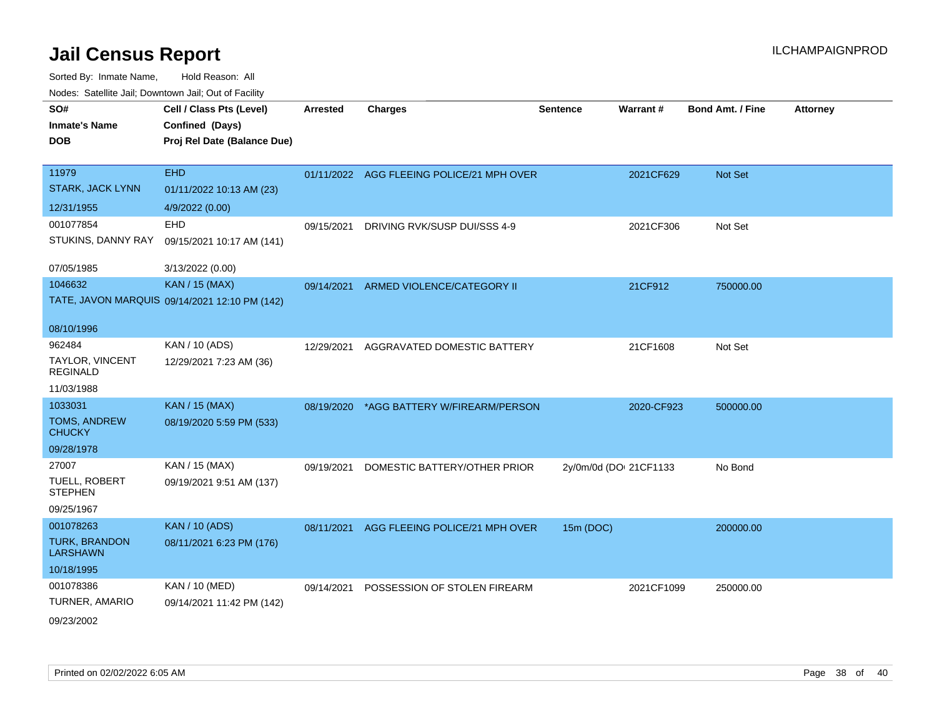**CEL ATTA:** CHARGE **CHARGE AFTER CHARGE AFTER CHARGE ATT** 

Sorted By: Inmate Name, Hold Reason: All Nodes: Satellite Jail; Downtown Jail; Out of Facility

| SO#                  | Cell / Class Pts (Level)    | Arrested | <b>Charges</b> | <b>Sentence</b> |
|----------------------|-----------------------------|----------|----------------|-----------------|
| <b>Inmate's Name</b> | <b>Confined (Days)</b>      |          |                |                 |
| <b>DOB</b>           | Proj Rel Date (Balance Due) |          |                |                 |

| 11979<br><b>STARK, JACK LYNN</b><br>12/31/1955 | <b>EHD</b><br>01/11/2022 10:13 AM (23)<br>4/9/2022 (0.00) |            | 01/11/2022 AGG FLEEING POLICE/21 MPH OVER | 2021CF629              | Not Set   |
|------------------------------------------------|-----------------------------------------------------------|------------|-------------------------------------------|------------------------|-----------|
|                                                |                                                           |            |                                           |                        |           |
| 001077854                                      | EHD                                                       | 09/15/2021 | DRIVING RVK/SUSP DUI/SSS 4-9              | 2021CF306              | Not Set   |
| STUKINS, DANNY RAY                             | 09/15/2021 10:17 AM (141)                                 |            |                                           |                        |           |
| 07/05/1985                                     | 3/13/2022 (0.00)                                          |            |                                           |                        |           |
| 1046632                                        | <b>KAN / 15 (MAX)</b>                                     | 09/14/2021 | ARMED VIOLENCE/CATEGORY II                | 21CF912                | 750000.00 |
|                                                | TATE, JAVON MARQUIS 09/14/2021 12:10 PM (142)             |            |                                           |                        |           |
| 08/10/1996                                     |                                                           |            |                                           |                        |           |
| 962484                                         | KAN / 10 (ADS)                                            | 12/29/2021 | AGGRAVATED DOMESTIC BATTERY               | 21CF1608               | Not Set   |
| TAYLOR, VINCENT<br><b>REGINALD</b>             | 12/29/2021 7:23 AM (36)                                   |            |                                           |                        |           |
| 11/03/1988                                     |                                                           |            |                                           |                        |           |
| 1033031                                        | <b>KAN / 15 (MAX)</b>                                     | 08/19/2020 | *AGG BATTERY W/FIREARM/PERSON             | 2020-CF923             | 500000.00 |
| <b>TOMS, ANDREW</b><br><b>CHUCKY</b>           | 08/19/2020 5:59 PM (533)                                  |            |                                           |                        |           |
| 09/28/1978                                     |                                                           |            |                                           |                        |           |
| 27007                                          | KAN / 15 (MAX)                                            | 09/19/2021 | DOMESTIC BATTERY/OTHER PRIOR              | 2y/0m/0d (DOI 21CF1133 | No Bond   |
| TUELL, ROBERT<br><b>STEPHEN</b>                | 09/19/2021 9:51 AM (137)                                  |            |                                           |                        |           |
| 09/25/1967                                     |                                                           |            |                                           |                        |           |
| 001078263                                      | <b>KAN / 10 (ADS)</b>                                     | 08/11/2021 | AGG FLEEING POLICE/21 MPH OVER            | 15m (DOC)              | 200000.00 |
| <b>TURK, BRANDON</b><br><b>LARSHAWN</b>        | 08/11/2021 6:23 PM (176)                                  |            |                                           |                        |           |
| 10/18/1995                                     |                                                           |            |                                           |                        |           |
| 001078386                                      | <b>KAN / 10 (MED)</b>                                     | 09/14/2021 | POSSESSION OF STOLEN FIREARM              | 2021CF1099             | 250000.00 |
| <b>TURNER, AMARIO</b>                          | 09/14/2021 11:42 PM (142)                                 |            |                                           |                        |           |
|                                                |                                                           |            |                                           |                        |           |

09/23/2002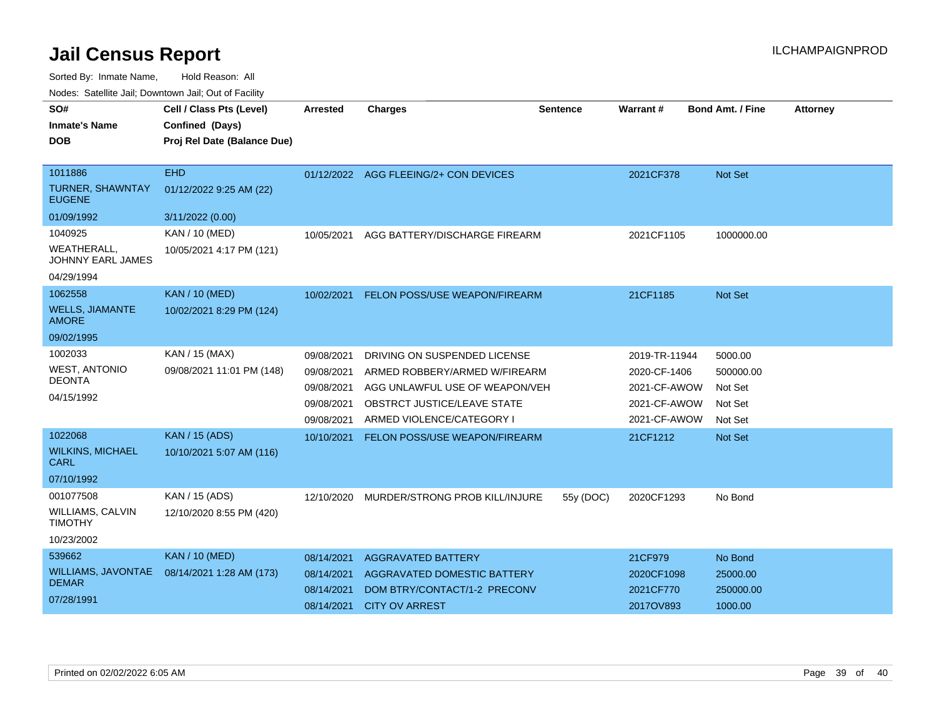Sorted By: Inmate Name, Hold Reason: All

Nodes: Satellite Jail; Downtown Jail; Out of Facility

| SO#<br><b>Inmate's Name</b><br><b>DOB</b>                            | Cell / Class Pts (Level)<br>Confined (Days)<br>Proj Rel Date (Balance Due) | <b>Arrested</b>                                      | <b>Charges</b>                                                                                                                 | <b>Sentence</b> | <b>Warrant#</b>                                               | <b>Bond Amt. / Fine</b>                     | <b>Attorney</b> |
|----------------------------------------------------------------------|----------------------------------------------------------------------------|------------------------------------------------------|--------------------------------------------------------------------------------------------------------------------------------|-----------------|---------------------------------------------------------------|---------------------------------------------|-----------------|
| 1011886<br><b>TURNER, SHAWNTAY</b><br><b>EUGENE</b>                  | <b>EHD</b><br>01/12/2022 9:25 AM (22)                                      |                                                      | 01/12/2022 AGG FLEEING/2+ CON DEVICES                                                                                          |                 | 2021CF378                                                     | Not Set                                     |                 |
| 01/09/1992                                                           | 3/11/2022 (0.00)                                                           |                                                      |                                                                                                                                |                 |                                                               |                                             |                 |
| 1040925<br>WEATHERALL.<br>JOHNNY EARL JAMES                          | KAN / 10 (MED)<br>10/05/2021 4:17 PM (121)                                 | 10/05/2021                                           | AGG BATTERY/DISCHARGE FIREARM                                                                                                  |                 | 2021CF1105                                                    | 1000000.00                                  |                 |
| 04/29/1994                                                           |                                                                            |                                                      |                                                                                                                                |                 |                                                               |                                             |                 |
| 1062558<br><b>WELLS, JIAMANTE</b><br><b>AMORE</b>                    | <b>KAN / 10 (MED)</b><br>10/02/2021 8:29 PM (124)                          | 10/02/2021                                           | FELON POSS/USE WEAPON/FIREARM                                                                                                  |                 | 21CF1185                                                      | <b>Not Set</b>                              |                 |
| 09/02/1995                                                           |                                                                            |                                                      |                                                                                                                                |                 |                                                               |                                             |                 |
| 1002033<br><b>WEST, ANTONIO</b><br><b>DEONTA</b><br>04/15/1992       | KAN / 15 (MAX)<br>09/08/2021 11:01 PM (148)                                | 09/08/2021<br>09/08/2021<br>09/08/2021<br>09/08/2021 | DRIVING ON SUSPENDED LICENSE<br>ARMED ROBBERY/ARMED W/FIREARM<br>AGG UNLAWFUL USE OF WEAPON/VEH<br>OBSTRCT JUSTICE/LEAVE STATE |                 | 2019-TR-11944<br>2020-CF-1406<br>2021-CF-AWOW<br>2021-CF-AWOW | 5000.00<br>500000.00<br>Not Set<br>Not Set  |                 |
|                                                                      |                                                                            | 09/08/2021                                           | ARMED VIOLENCE/CATEGORY I                                                                                                      |                 | 2021-CF-AWOW                                                  | Not Set                                     |                 |
| 1022068<br><b>WILKINS, MICHAEL</b><br><b>CARL</b><br>07/10/1992      | <b>KAN</b> / 15 (ADS)<br>10/10/2021 5:07 AM (116)                          | 10/10/2021                                           | FELON POSS/USE WEAPON/FIREARM                                                                                                  |                 | 21CF1212                                                      | Not Set                                     |                 |
| 001077508<br><b>WILLIAMS, CALVIN</b><br><b>TIMOTHY</b><br>10/23/2002 | KAN / 15 (ADS)<br>12/10/2020 8:55 PM (420)                                 | 12/10/2020                                           | MURDER/STRONG PROB KILL/INJURE                                                                                                 | 55y (DOC)       | 2020CF1293                                                    | No Bond                                     |                 |
| 539662<br><b>WILLIAMS, JAVONTAE</b><br><b>DEMAR</b><br>07/28/1991    | <b>KAN / 10 (MED)</b><br>08/14/2021 1:28 AM (173)                          | 08/14/2021<br>08/14/2021<br>08/14/2021               | <b>AGGRAVATED BATTERY</b><br>AGGRAVATED DOMESTIC BATTERY<br>DOM BTRY/CONTACT/1-2 PRECONV<br>08/14/2021 CITY OV ARREST          |                 | 21CF979<br>2020CF1098<br>2021CF770<br>2017OV893               | No Bond<br>25000.00<br>250000.00<br>1000.00 |                 |